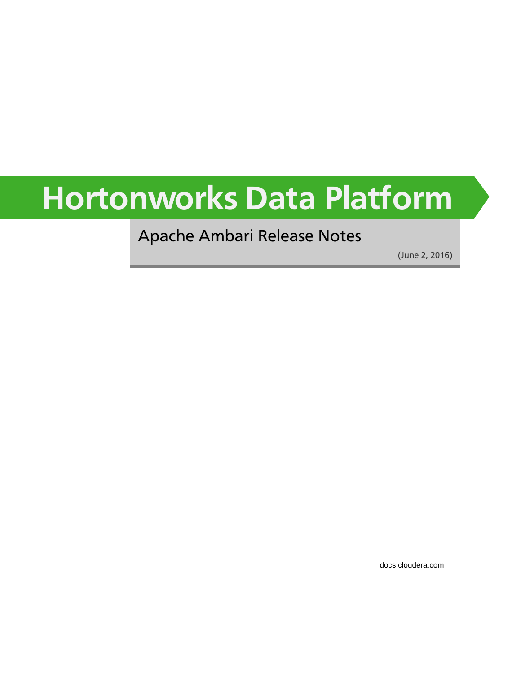# **Hortonworks Data Platform**

### Apache Ambari Release Notes

(June 2, 2016)

[docs.cloudera.com](http://docs.cloudera.com)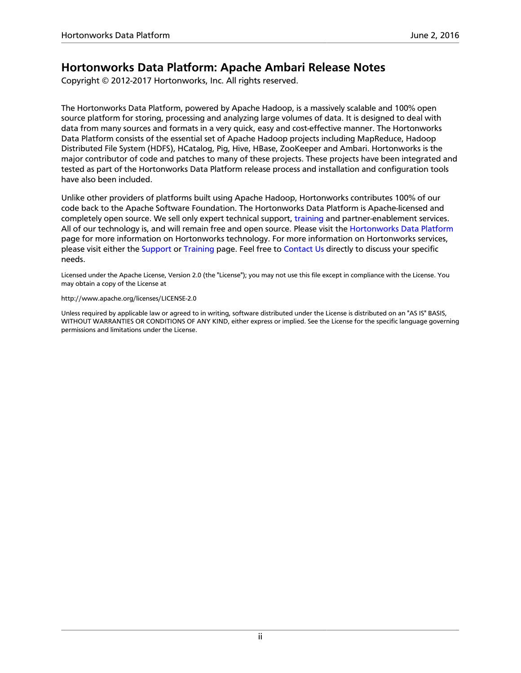### **Hortonworks Data Platform: Apache Ambari Release Notes**

Copyright © 2012-2017 Hortonworks, Inc. All rights reserved.

The Hortonworks Data Platform, powered by Apache Hadoop, is a massively scalable and 100% open source platform for storing, processing and analyzing large volumes of data. It is designed to deal with data from many sources and formats in a very quick, easy and cost-effective manner. The Hortonworks Data Platform consists of the essential set of Apache Hadoop projects including MapReduce, Hadoop Distributed File System (HDFS), HCatalog, Pig, Hive, HBase, ZooKeeper and Ambari. Hortonworks is the major contributor of code and patches to many of these projects. These projects have been integrated and tested as part of the Hortonworks Data Platform release process and installation and configuration tools have also been included.

Unlike other providers of platforms built using Apache Hadoop, Hortonworks contributes 100% of our code back to the Apache Software Foundation. The Hortonworks Data Platform is Apache-licensed and completely open source. We sell only expert technical support, [training](https://hortonworks.com/training/) and partner-enablement services. All of our technology is, and will remain free and open source. Please visit the [Hortonworks Data Platform](https://hortonworks.com/technology/hortonworksdataplatform) page for more information on Hortonworks technology. For more information on Hortonworks services, please visit either the [Support](https://hortonworks.com/support) or [Training](https://hortonworks.com/training/) page. Feel free to [Contact Us](https://hortonworks.com/about-us/contact-us/) directly to discuss your specific needs.

Licensed under the Apache License, Version 2.0 (the "License"); you may not use this file except in compliance with the License. You may obtain a copy of the License at

#### <http://www.apache.org/licenses/LICENSE-2.0>

Unless required by applicable law or agreed to in writing, software distributed under the License is distributed on an "AS IS" BASIS, WITHOUT WARRANTIES OR CONDITIONS OF ANY KIND, either express or implied. See the License for the specific language governing permissions and limitations under the License.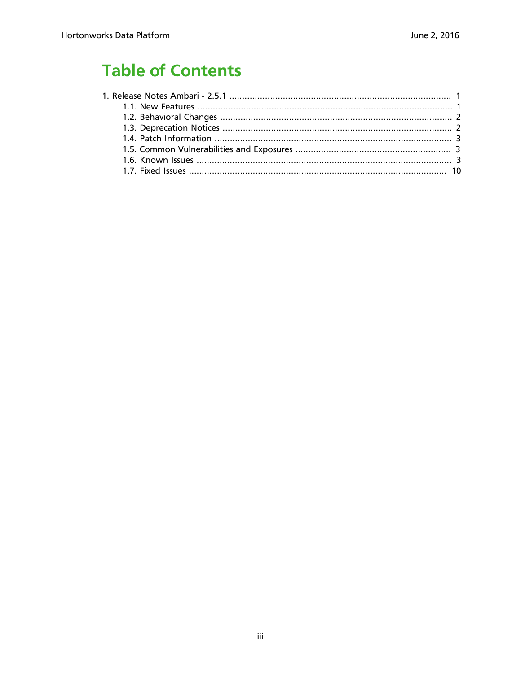# **Table of Contents**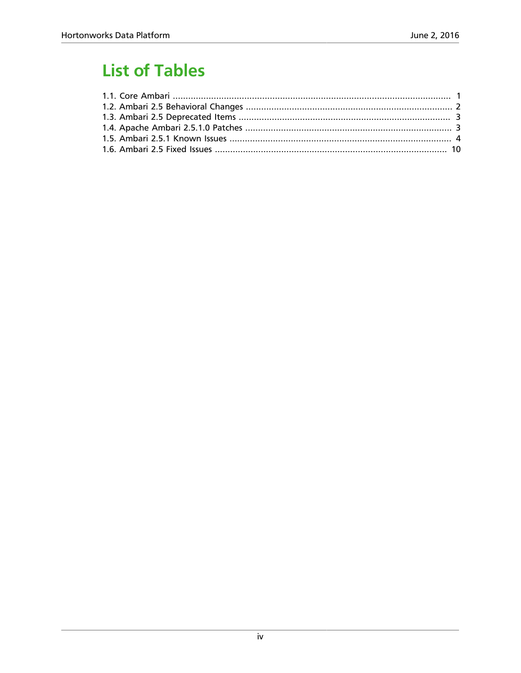# **List of Tables**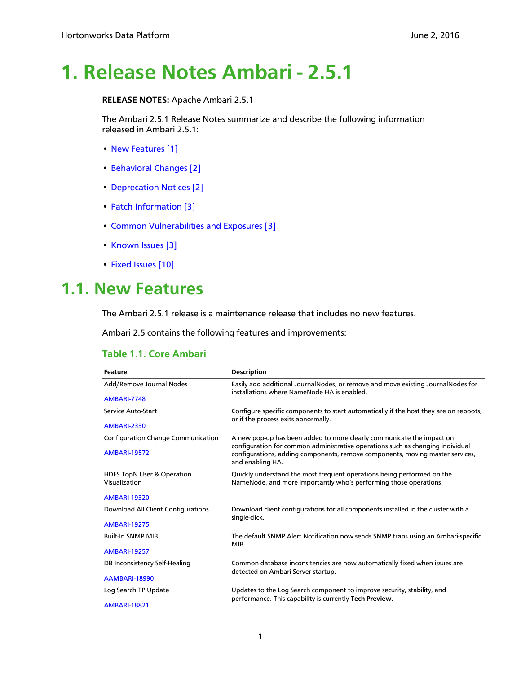# <span id="page-4-0"></span>**1. Release Notes Ambari - 2.5.1**

**RELEASE NOTES:** Apache Ambari 2.5.1

The Ambari 2.5.1 Release Notes summarize and describe the following information released in Ambari 2.5.1:

- [New Features \[1\]](#page-4-1)
- [Behavioral Changes \[2\]](#page-5-0)
- [Deprecation Notices \[2\]](#page-5-1)
- [Patch Information \[3\]](#page-6-0)
- [Common Vulnerabilities and Exposures \[3\]](#page-6-1)
- [Known Issues \[3\]](#page-6-2)
- [Fixed Issues \[10\]](#page-13-0)

### <span id="page-4-1"></span>**1.1. New Features**

The Ambari 2.5.1 release is a maintenance release that includes no new features.

Ambari 2.5 contains the following features and improvements:

#### <span id="page-4-2"></span>**Table 1.1. Core Ambari**

| <b>Feature</b>                                                   | <b>Description</b>                                                                                                                                                                                                                                           |
|------------------------------------------------------------------|--------------------------------------------------------------------------------------------------------------------------------------------------------------------------------------------------------------------------------------------------------------|
| Add/Remove Journal Nodes                                         | Easily add additional JournalNodes, or remove and move existing JournalNodes for<br>installations where NameNode HA is enabled.                                                                                                                              |
| <b>AMBARI-7748</b>                                               |                                                                                                                                                                                                                                                              |
| Service Auto-Start                                               | Configure specific components to start automatically if the host they are on reboots,<br>or if the process exits abnormally.                                                                                                                                 |
| <b>AMBARI-2330</b>                                               |                                                                                                                                                                                                                                                              |
| <b>Configuration Change Communication</b><br><b>AMBARI-19572</b> | A new pop-up has been added to more clearly communicate the impact on<br>configuration for common administrative operations such as changing individual<br>configurations, adding components, remove components, moving master services,<br>and enabling HA. |
| HDFS TopN User & Operation<br>Visualization                      | Quickly understand the most frequent operations being performed on the<br>NameNode, and more importantly who's performing those operations.                                                                                                                  |
| <b>AMBARI-19320</b>                                              |                                                                                                                                                                                                                                                              |
| Download All Client Configurations                               | Download client configurations for all components installed in the cluster with a<br>single-click.                                                                                                                                                           |
| <b>AMBARI-19275</b>                                              |                                                                                                                                                                                                                                                              |
| <b>Built-In SNMP MIB</b>                                         | The default SNMP Alert Notification now sends SNMP traps using an Ambari-specific<br>MIB.                                                                                                                                                                    |
| <b>AMBARI-19257</b>                                              |                                                                                                                                                                                                                                                              |
| DB Inconsistency Self-Healing                                    | Common database inconsitencies are now automatically fixed when issues are<br>detected on Ambari Server startup.                                                                                                                                             |
| <b>AAMBARI-18990</b>                                             |                                                                                                                                                                                                                                                              |
| Log Search TP Update                                             | Updates to the Log Search component to improve security, stability, and<br>performance. This capability is currently Tech Preview.                                                                                                                           |
| <b>AMBARI-18821</b>                                              |                                                                                                                                                                                                                                                              |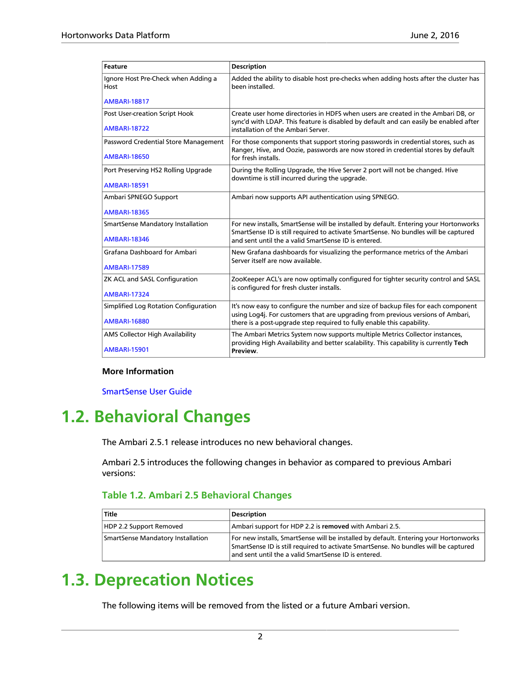| <b>Feature</b>                              | <b>Description</b>                                                                                                                                                          |  |
|---------------------------------------------|-----------------------------------------------------------------------------------------------------------------------------------------------------------------------------|--|
| Ignore Host Pre-Check when Adding a<br>Host | Added the ability to disable host pre-checks when adding hosts after the cluster has<br>been installed.                                                                     |  |
| <b>AMBARI-18817</b>                         |                                                                                                                                                                             |  |
| Post User-creation Script Hook              | Create user home directories in HDFS when users are created in the Ambari DB, or                                                                                            |  |
| <b>AMBARI-18722</b>                         | sync'd with LDAP. This feature is disabled by default and can easily be enabled after<br>installation of the Ambari Server.                                                 |  |
| Password Credential Store Management        | For those components that support storing passwords in credential stores, such as<br>Ranger, Hive, and Oozie, passwords are now stored in credential stores by default      |  |
| <b>AMBARI-18650</b>                         | for fresh installs.                                                                                                                                                         |  |
| Port Preserving HS2 Rolling Upgrade         | During the Rolling Upgrade, the Hive Server 2 port will not be changed. Hive<br>downtime is still incurred during the upgrade.                                              |  |
| <b>AMBARI-18591</b>                         |                                                                                                                                                                             |  |
| Ambari SPNEGO Support                       | Ambari now supports API authentication using SPNEGO.                                                                                                                        |  |
| <b>AMBARI-18365</b>                         |                                                                                                                                                                             |  |
| <b>SmartSense Mandatory Installation</b>    | For new installs, SmartSense will be installed by default. Entering your Hortonworks<br>SmartSense ID is still required to activate SmartSense. No bundles will be captured |  |
| <b>AMBARI-18346</b>                         | and sent until the a valid SmartSense ID is entered.                                                                                                                        |  |
| Grafana Dashboard for Ambari                | New Grafana dashboards for visualizing the performance metrics of the Ambari<br>Server itself are now available.                                                            |  |
| <b>AMBARI-17589</b>                         |                                                                                                                                                                             |  |
| ZK ACL and SASL Configuration               | ZooKeeper ACL's are now optimally configured for tighter security control and SASL<br>is configured for fresh cluster installs.                                             |  |
| <b>AMBARI-17324</b>                         |                                                                                                                                                                             |  |
| Simplified Log Rotation Configuration       | It's now easy to configure the number and size of backup files for each component<br>using Log4j. For customers that are upgrading from previous versions of Ambari,        |  |
| <b>AMBARI-16880</b>                         | there is a post-upgrade step required to fully enable this capability.                                                                                                      |  |
| AMS Collector High Availability             | The Ambari Metrics System now supports multiple Metrics Collector instances,<br>providing High Availability and better scalability. This capability is currently Tech       |  |
| <b>AMBARI-15901</b>                         | Preview.                                                                                                                                                                    |  |

#### **More Information**

[SmartSense User Guide](https://docs.hortonworks.com/HDPDocuments/SS1/SmartSense-1.4.0/bk_user-guide/content/index.html)

# <span id="page-5-0"></span>**1.2. Behavioral Changes**

The Ambari 2.5.1 release introduces no new behavioral changes.

Ambari 2.5 introduces the following changes in behavior as compared to previous Ambari versions:

#### <span id="page-5-2"></span>**Table 1.2. Ambari 2.5 Behavioral Changes**

| Title                             | <b>Description</b>                                                                                                                                                                                                                  |
|-----------------------------------|-------------------------------------------------------------------------------------------------------------------------------------------------------------------------------------------------------------------------------------|
| HDP 2.2 Support Removed           | Ambari support for HDP 2.2 is removed with Ambari 2.5.                                                                                                                                                                              |
| SmartSense Mandatory Installation | For new installs, SmartSense will be installed by default. Entering your Hortonworks<br>SmartSense ID is still required to activate SmartSense. No bundles will be captured<br>and sent until the a valid SmartSense ID is entered. |

### <span id="page-5-1"></span>**1.3. Deprecation Notices**

The following items will be removed from the listed or a future Ambari version.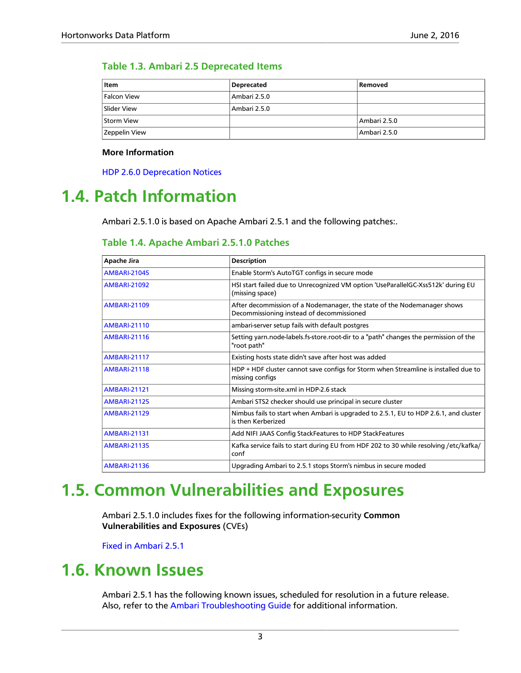#### <span id="page-6-3"></span>**Table 1.3. Ambari 2.5 Deprecated Items**

| Item          | <b>Deprecated</b> | Removed      |
|---------------|-------------------|--------------|
| Falcon View   | Ambari 2.5.0      |              |
| Slider View   | Ambari 2.5.0      |              |
| Storm View    |                   | Ambari 2.5.0 |
| Zeppelin View |                   | Ambari 2.5.0 |

#### **More Information**

[HDP 2.6.0 Deprecation Notices](https://docs.hortonworks.com/HDPDocuments/HDP2/HDP-2.6.1/bk_release-notes/content/deprecated_items.html)

### <span id="page-6-4"></span><span id="page-6-0"></span>**1.4. Patch Information**

Ambari 2.5.1.0 is based on Apache Ambari 2.5.1 and the following patches:.

### **Table 1.4. Apache Ambari 2.5.1.0 Patches**

| <b>Apache Jira</b>  | <b>Description</b>                                                                                                   |
|---------------------|----------------------------------------------------------------------------------------------------------------------|
| <b>AMBARI-21045</b> | Enable Storm's AutoTGT configs in secure mode                                                                        |
| <b>AMBARI-21092</b> | HSI start failed due to Unrecognized VM option 'UseParallelGC-Xss512k' during EU<br>(missing space)                  |
| <b>AMBARI-21109</b> | After decommission of a Nodemanager, the state of the Nodemanager shows<br>Decommissioning instead of decommissioned |
| <b>AMBARI-21110</b> | ambari-server setup fails with default postgres                                                                      |
| <b>AMBARI-21116</b> | Setting yarn.node-labels.fs-store.root-dir to a "path" changes the permission of the<br>"root path"                  |
| <b>AMBARI-21117</b> | Existing hosts state didn't save after host was added                                                                |
| <b>AMBARI-21118</b> | HDP + HDF cluster cannot save configs for Storm when Streamline is installed due to<br>missing configs               |
| <b>AMBARI-21121</b> | Missing storm-site.xml in HDP-2.6 stack                                                                              |
| <b>AMBARI-21125</b> | Ambari STS2 checker should use principal in secure cluster                                                           |
| <b>AMBARI-21129</b> | Nimbus fails to start when Ambari is upgraded to 2.5.1, EU to HDP 2.6.1, and cluster<br>is then Kerberized           |
| <b>AMBARI-21131</b> | Add NIFI JAAS Config StackFeatures to HDP StackFeatures                                                              |
| <b>AMBARI-21135</b> | Kafka service fails to start during EU from HDF 202 to 30 while resolving /etc/kafka/<br>conf                        |
| <b>AMBARI-21136</b> | Upgrading Ambari to 2.5.1 stops Storm's nimbus in secure moded                                                       |

### <span id="page-6-1"></span>**1.5. Common Vulnerabilities and Exposures**

Ambari 2.5.1.0 includes fixes for the following information-security **Common Vulnerabilities and Exposures** (CVEs)

[Fixed in Ambari 2.5.1](https://cwiki.apache.org/confluence/display/AMBARI/Ambari+Vulnerabilities#AmbariVulnerabilities-FixedinAmbari2.5.1)

### <span id="page-6-2"></span>**1.6. Known Issues**

Ambari 2.5.1 has the following known issues, scheduled for resolution in a future release. Also, refer to the [Ambari Troubleshooting Guide](https://docs.hortonworks.com/HDPDocuments/Ambari-2.5.1.0/bk_ambari-troubleshooting/content/ch_ambari_troubleshooting.html) for additional information.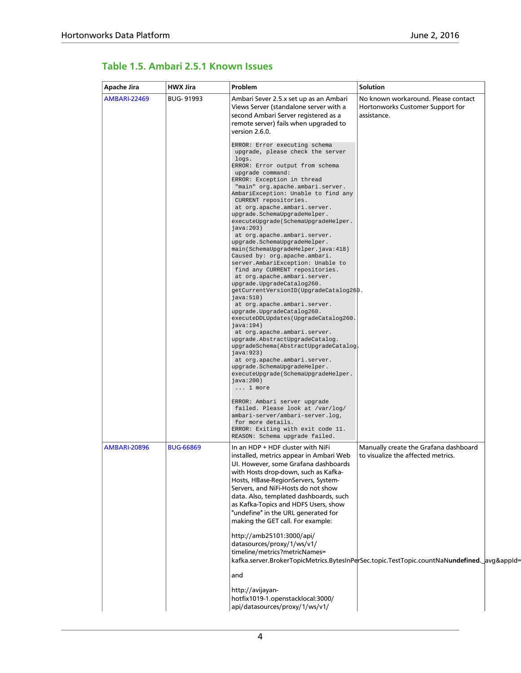| Apache Jira         | <b>HWX Jira</b>  | Problem                                                                                                                                                                                                                                                                                                                                                                                                                                                                                                                                                                                                                                                                                                                                                                                                                                                                                                                                                                                                                                                                                                             | Solution                                                                                    |  |
|---------------------|------------------|---------------------------------------------------------------------------------------------------------------------------------------------------------------------------------------------------------------------------------------------------------------------------------------------------------------------------------------------------------------------------------------------------------------------------------------------------------------------------------------------------------------------------------------------------------------------------------------------------------------------------------------------------------------------------------------------------------------------------------------------------------------------------------------------------------------------------------------------------------------------------------------------------------------------------------------------------------------------------------------------------------------------------------------------------------------------------------------------------------------------|---------------------------------------------------------------------------------------------|--|
| <b>AMBARI-22469</b> | <b>BUG-91993</b> | Ambari Sever 2.5.x set up as an Ambari<br>Views Server (standalone server with a<br>second Ambari Server registered as a<br>remote server) fails when upgraded to<br>version 2.6.0.                                                                                                                                                                                                                                                                                                                                                                                                                                                                                                                                                                                                                                                                                                                                                                                                                                                                                                                                 | No known workaround. Please contact<br>Hortonworks Customer Support for<br>assistance.      |  |
|                     |                  | ERROR: Error executing schema<br>upgrade, please check the server<br>logs.<br>ERROR: Error output from schema<br>upgrade command:<br>ERROR: Exception in thread<br>"main" org.apache.ambari.server.<br>AmbariException: Unable to find any<br>CURRENT repositories.<br>at org.apache.ambari.server.<br>upgrade.SchemaUpgradeHelper.<br>executeUpgrade(SchemaUpgradeHelper.<br>java:203)<br>at org.apache.ambari.server.<br>upgrade.SchemaUpgradeHelper.<br>main(SchemaUpgradeHelper.java:418)<br>Caused by: org.apache.ambari.<br>server.AmbariException: Unable to<br>find any CURRENT repositories.<br>at org.apache.ambari.server.<br>upgrade.UpgradeCatalog260.<br>getCurrentVersionID(UpgradeCatalog260.<br>java:510)<br>at org.apache.ambari.server.<br>upgrade.UpgradeCatalog260.<br>executeDDLUpdates(UpgradeCatalog260.<br>java: $194)$<br>at org.apache.ambari.server.<br>upgrade.AbstractUpgradeCatalog.<br>upgradeSchema(AbstractUpgradeCatalog.<br>java:923)<br>at org.apache.ambari.server.<br>upgrade.SchemaUpgradeHelper.<br>executeUpgrade(SchemaUpgradeHelper.<br>java: $200)$<br>$\ldots$ 1 more |                                                                                             |  |
|                     |                  | ERROR: Ambari server upgrade<br>failed. Please look at /var/log/<br>ambari-server/ambari-server.log,<br>for more details.<br>ERROR: Exiting with exit code 11.<br>REASON: Schema upgrade failed.                                                                                                                                                                                                                                                                                                                                                                                                                                                                                                                                                                                                                                                                                                                                                                                                                                                                                                                    |                                                                                             |  |
| <b>AMBARI-20896</b> | <b>BUG-66869</b> | In an HDP + HDF cluster with NiFi<br>installed, metrics appear in Ambari Web<br>UI. However, some Grafana dashboards<br>with Hosts drop-down, such as Kafka-<br>Hosts, HBase-RegionServers, System-<br>Servers, and NiFi-Hosts do not show<br>data. Also, templated dashboards, such<br>as Kafka-Topics and HDFS Users, show<br>"undefine" in the URL generated for<br>making the GET call. For example:                                                                                                                                                                                                                                                                                                                                                                                                                                                                                                                                                                                                                                                                                                            | Manually create the Grafana dashboard<br>to visualize the affected metrics.                 |  |
|                     |                  | http://amb25101:3000/api/<br>datasources/proxy/1/ws/v1/<br>timeline/metrics?metricNames=                                                                                                                                                                                                                                                                                                                                                                                                                                                                                                                                                                                                                                                                                                                                                                                                                                                                                                                                                                                                                            | kafka.server.BrokerTopicMetrics.BytesInPerSec.topic.TestTopic.countNaNundefined._avg&appId= |  |
|                     |                  | and                                                                                                                                                                                                                                                                                                                                                                                                                                                                                                                                                                                                                                                                                                                                                                                                                                                                                                                                                                                                                                                                                                                 |                                                                                             |  |
|                     |                  | http://avijayan-<br>hotfix1019-1.openstacklocal:3000/<br>api/datasources/proxy/1/ws/v1/                                                                                                                                                                                                                                                                                                                                                                                                                                                                                                                                                                                                                                                                                                                                                                                                                                                                                                                                                                                                                             |                                                                                             |  |

### <span id="page-7-0"></span>**Table 1.5. Ambari 2.5.1 Known Issues**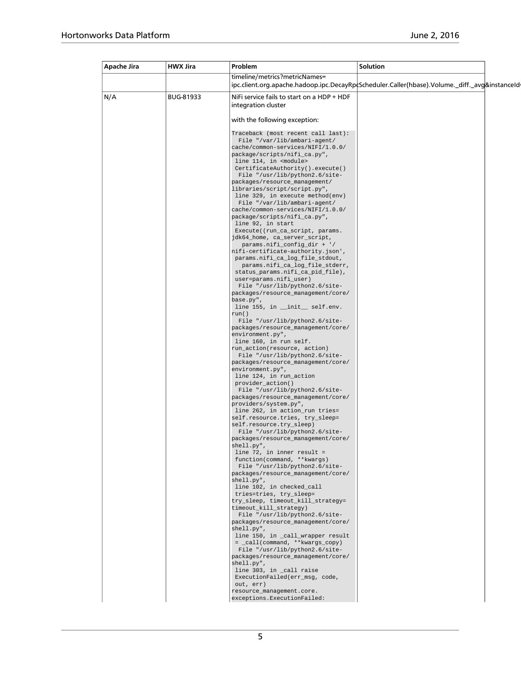| Apache Jira | <b>HWX Jira</b> | Problem                                                                                                 | Solution                                                                                       |  |
|-------------|-----------------|---------------------------------------------------------------------------------------------------------|------------------------------------------------------------------------------------------------|--|
|             |                 | timeline/metrics?metricNames=                                                                           | ipc.client.org.apache.hadoop.ipc.DecayRpcScheduler.Caller(hbase).Volume._diff._avg&instanceId- |  |
| N/A         | BUG-81933       | NiFi service fails to start on a HDP + HDF<br>integration cluster                                       |                                                                                                |  |
|             |                 | with the following exception:                                                                           |                                                                                                |  |
|             |                 | Traceback (most recent call last):<br>File "/var/lib/ambari-agent/<br>cache/common-services/NIFI/1.0.0/ |                                                                                                |  |
|             |                 | package/scripts/nifi_ca.py",<br>line 114, in <module><br/>CertificateAuthority().execute()</module>     |                                                                                                |  |
|             |                 | File "/usr/lib/python2.6/site-<br>packages/resource_management/<br>libraries/script/script.py",         |                                                                                                |  |
|             |                 | line 329, in execute method(env)<br>File "/var/lib/ambari-agent/                                        |                                                                                                |  |
|             |                 | cache/common-services/NIFI/1.0.0/<br>package/scripts/nifi_ca.py",<br>line 92, in start                  |                                                                                                |  |
|             |                 | Execute((run_ca_script, params.<br>jdk64_home, ca_server_script,<br>params.nifi_config_dir + '/         |                                                                                                |  |
|             |                 | nifi-certificate-authority.json',<br>params.nifi_ca_log_file_stdout,<br>params.nifi_ca_log_file_stderr, |                                                                                                |  |
|             |                 | status_params.nifi_ca_pid_file),<br>user=params.nifi_user)                                              |                                                                                                |  |
|             |                 | File "/usr/lib/python2.6/site-<br>packages/resource_management/core/<br>base.py",                       |                                                                                                |  |
|             |                 | line 155, in __init__ self.env.<br>run()<br>File "/usr/lib/python2.6/site-                              |                                                                                                |  |
|             |                 | packages/resource_management/core/<br>environment.py",<br>line 160, in run self.                        |                                                                                                |  |
|             |                 | run_action(resource, action)<br>File "/usr/lib/python2.6/site-                                          |                                                                                                |  |
|             |                 | packages/resource_management/core/<br>environment.py",<br>line 124, in run_action                       |                                                                                                |  |
|             |                 | provider_action()<br>File "/usr/lib/python2.6/site-<br>packages/resource_management/core/               |                                                                                                |  |
|             |                 | providers/system.py",<br>line 262, in action_run tries=<br>self.resource.tries, try_sleep=              |                                                                                                |  |
|             |                 | self.resource.try_sleep)<br>File "/usr/lib/python2.6/site-<br>packages/resource management/core/        |                                                                                                |  |
|             |                 | shell.py",<br>line $72$ , in inner result =                                                             |                                                                                                |  |
|             |                 | function(command, **kwargs)<br>File "/usr/lib/python2.6/site-<br>packages/resource_management/core/     |                                                                                                |  |
|             |                 | shell.py",<br>line 102, in checked_call<br>tries=tries, try_sleep=                                      |                                                                                                |  |
|             |                 | try_sleep, timeout_kill_strategy=<br>timeout_kill_strategy)<br>File "/usr/lib/python2.6/site-           |                                                                                                |  |
|             |                 | packages/resource_management/core/<br>shell.py",<br>line 150, in _call_wrapper result                   |                                                                                                |  |
|             |                 | = _call(command, **kwargs_copy)<br>File "/usr/lib/python2.6/site-                                       |                                                                                                |  |
|             |                 | packages/resource_management/core/<br>shell.py",<br>line 303, in _call raise                            |                                                                                                |  |
|             |                 | ExecutionFailed(err_msg, code,<br>out, err)<br>resource_management.core.                                |                                                                                                |  |
|             |                 | exceptions. ExecutionFailed:                                                                            |                                                                                                |  |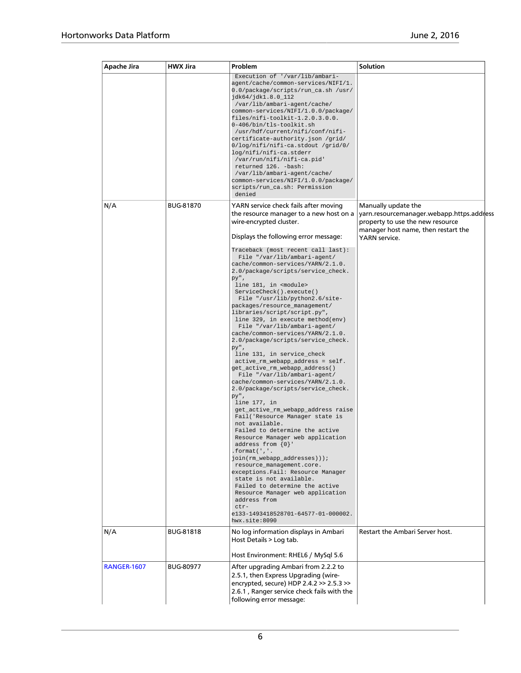| Apache Jira        | <b>HWX Jira</b>  | Problem                                                                                                                                                                                                                                                                                                                                                                                                                                                                                                                                                                                                                                                                                                                                                                                                                                                                                                                                                                                                                                                                                                                                                                                                                                                                     | Solution                                                                                                                                    |
|--------------------|------------------|-----------------------------------------------------------------------------------------------------------------------------------------------------------------------------------------------------------------------------------------------------------------------------------------------------------------------------------------------------------------------------------------------------------------------------------------------------------------------------------------------------------------------------------------------------------------------------------------------------------------------------------------------------------------------------------------------------------------------------------------------------------------------------------------------------------------------------------------------------------------------------------------------------------------------------------------------------------------------------------------------------------------------------------------------------------------------------------------------------------------------------------------------------------------------------------------------------------------------------------------------------------------------------|---------------------------------------------------------------------------------------------------------------------------------------------|
|                    |                  | Execution of '/var/lib/ambari-<br>agent/cache/common-services/NIFI/1.<br>0.0/package/scripts/run_ca.sh /usr/<br>jdk64/jdk1.8.0_112<br>/var/lib/ambari-agent/cache/<br>common-services/NIFI/1.0.0/package/<br>files/nifi-toolkit-1.2.0.3.0.0.<br>0-406/bin/tls-toolkit.sh<br>/usr/hdf/current/nifi/conf/nifi-<br>certificate-authority.json /grid/<br>0/log/nifi/nifi-ca.stdout /grid/0/<br>log/nifi/nifi-ca.stderr<br>/var/run/nifi/nifi-ca.pid'<br>returned 126. - bash:<br>/var/lib/ambari-agent/cache/<br>common-services/NIFI/1.0.0/package/<br>scripts/run_ca.sh: Permission<br>denied                                                                                                                                                                                                                                                                                                                                                                                                                                                                                                                                                                                                                                                                                 |                                                                                                                                             |
| N/A                | <b>BUG-81870</b> | YARN service check fails after moving<br>the resource manager to a new host on a<br>wire-encrypted cluster.                                                                                                                                                                                                                                                                                                                                                                                                                                                                                                                                                                                                                                                                                                                                                                                                                                                                                                                                                                                                                                                                                                                                                                 | Manually update the<br>yarn.resourcemanager.webapp.https.address<br>property to use the new resource<br>manager host name, then restart the |
|                    |                  | Traceback (most recent call last):<br>File "/var/lib/ambari-agent/<br>cache/common-services/YARN/2.1.0.<br>2.0/package/scripts/service_check.<br>ру",<br>line 181, in <module><br/>ServiceCheck().execute()<br/>File "/usr/lib/python2.6/site-<br/>packages/resource_management/<br/>libraries/script/script.py",<br/>line 329, in execute method(env)<br/>File "/var/lib/ambari-agent/<br/>cache/common-services/YARN/2.1.0.<br/>2.0/package/scripts/service_check.<br/>ру",<br/>line 131, in service_check<br/>active_rm_webapp_address = self.<br/>get_active_rm_webapp_address()<br/>File "/var/lib/ambari-agent/<br/>cache/common-services/YARN/2.1.0.<br/>2.0/package/scripts/service_check.<br/>ру",<br/>line 177, in<br/>get_active_rm_webapp_address raise<br/>Fail('Resource Manager state is<br/>not available.<br/>Failed to determine the active<br/>Resource Manager web application<br/>address from <math>\{0\}</math>'<br/>format(',''.<br/>join(rm_webapp_addresses)));<br/>resource_management.core.<br/>exceptions.Fail: Resource Manager<br/>state is not available.<br/>Failed to determine the active<br/>Resource Manager web application<br/>address from<br/><math>ctr-</math><br/>e133-1493418528701-64577-01-000002.<br/>hwx.site:8090</module> | YARN service.                                                                                                                               |
| N/A                | <b>BUG-81818</b> | No log information displays in Ambari<br>Host Details > Log tab.                                                                                                                                                                                                                                                                                                                                                                                                                                                                                                                                                                                                                                                                                                                                                                                                                                                                                                                                                                                                                                                                                                                                                                                                            | Restart the Ambari Server host.                                                                                                             |
| <b>RANGER-1607</b> | <b>BUG-80977</b> | Host Environment: RHEL6 / MySql 5.6<br>After upgrading Ambari from 2.2.2 to<br>2.5.1, then Express Upgrading (wire-<br>encrypted, secure) HDP 2.4.2 >> 2.5.3 >><br>2.6.1, Ranger service check fails with the<br>following error message:                                                                                                                                                                                                                                                                                                                                                                                                                                                                                                                                                                                                                                                                                                                                                                                                                                                                                                                                                                                                                                   |                                                                                                                                             |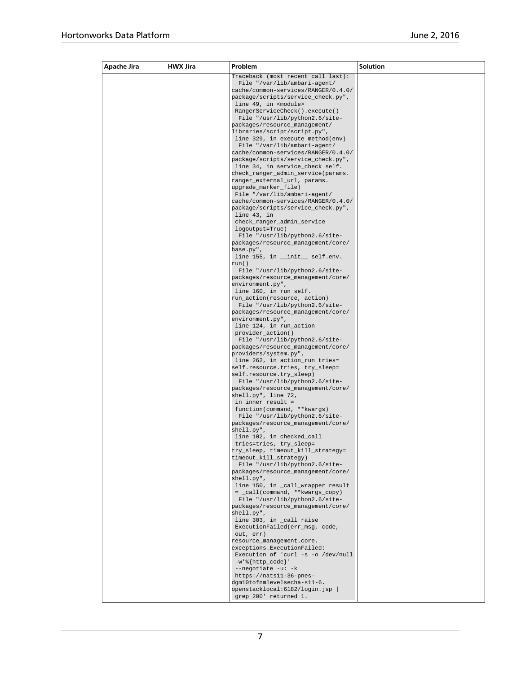| Apache Jira | <b>HWX Jira</b> | Problem                                                                   | <b>Solution</b> |
|-------------|-----------------|---------------------------------------------------------------------------|-----------------|
|             |                 | Traceback (most recent call last):                                        |                 |
|             |                 | File "/var/lib/ambari-agent/                                              |                 |
|             |                 | cache/common-services/RANGER/0.4.0/                                       |                 |
|             |                 | package/scripts/service_check.py",<br>line 49, in <module></module>       |                 |
|             |                 | RangerServiceCheck().execute()                                            |                 |
|             |                 | File "/usr/lib/python2.6/site-                                            |                 |
|             |                 | packages/resource_management/                                             |                 |
|             |                 | libraries/script/script.py",                                              |                 |
|             |                 | line 329, in execute method(env)                                          |                 |
|             |                 | File "/var/lib/ambari-agent/                                              |                 |
|             |                 | cache/common-services/RANGER/0.4.0/<br>package/scripts/service_check.py", |                 |
|             |                 | line 34, in service_check self.                                           |                 |
|             |                 | check_ranger_admin_service(params.                                        |                 |
|             |                 | ranger_external_url, params.                                              |                 |
|             |                 | upgrade_marker_file)                                                      |                 |
|             |                 | File "/var/lib/ambari-agent/                                              |                 |
|             |                 | cache/common-services/RANGER/0.4.0/                                       |                 |
|             |                 | package/scripts/service_check.py",<br>line 43, in                         |                 |
|             |                 | check_ranger_admin_service                                                |                 |
|             |                 | logoutput=True)                                                           |                 |
|             |                 | File "/usr/lib/python2.6/site-                                            |                 |
|             |                 | packages/resource_management/core/                                        |                 |
|             |                 | base.py",                                                                 |                 |
|             |                 | line 155, in __init__ self.env.<br>run()                                  |                 |
|             |                 | File "/usr/lib/python2.6/site-                                            |                 |
|             |                 | packages/resource_management/core/                                        |                 |
|             |                 | environment.py",                                                          |                 |
|             |                 | line 160, in run self.                                                    |                 |
|             |                 | run_action(resource, action)                                              |                 |
|             |                 | File "/usr/lib/python2.6/site-<br>packages/resource_management/core/      |                 |
|             |                 | environment.py",                                                          |                 |
|             |                 | line 124, in run_action                                                   |                 |
|             |                 | provider_action()<br>File "/usr/lib/python2.6/site-                       |                 |
|             |                 | packages/resource_management/core/                                        |                 |
|             |                 | providers/system.py",                                                     |                 |
|             |                 | line 262, in action_run tries=<br>self.resource.tries, try_sleep=         |                 |
|             |                 | self.resource.try_sleep)                                                  |                 |
|             |                 | File "/usr/lib/python2.6/site-                                            |                 |
|             |                 | packages/resource_management/core/                                        |                 |
|             |                 | shell.py", line 72,                                                       |                 |
|             |                 | in inner result =                                                         |                 |
|             |                 | function(command, **kwargs)<br>File "/usr/lib/python2.6/site-             |                 |
|             |                 | packages/resource_management/core/                                        |                 |
|             |                 | shell.py",                                                                |                 |
|             |                 | line 102, in checked_call                                                 |                 |
|             |                 | tries=tries, try_sleep=                                                   |                 |
|             |                 | try_sleep, timeout_kill_strategy=<br>timeout_kill_strategy)               |                 |
|             |                 | File "/usr/lib/python2.6/site-                                            |                 |
|             |                 | packages/resource_management/core/                                        |                 |
|             |                 | shell.py",                                                                |                 |
|             |                 | line 150, in _call_wrapper result                                         |                 |
|             |                 | = _call(command, **kwargs_copy)<br>File "/usr/lib/python2.6/site-         |                 |
|             |                 | packages/resource management/core/                                        |                 |
|             |                 | shell.py",                                                                |                 |
|             |                 | line 303, in _call raise                                                  |                 |
|             |                 | ExecutionFailed(err msq, code,<br>out, err)                               |                 |
|             |                 | resource_management.core.                                                 |                 |
|             |                 | exceptions.ExecutionFailed:                                               |                 |
|             |                 | Execution of 'curl -s -o /dev/null                                        |                 |
|             |                 | $-w$ '%{http_code}'                                                       |                 |
|             |                 | $--$ negotiate $-u: -k$<br>https://nats11-36-pnes-                        |                 |
|             |                 | dgm10tofnmlevelsecha-s11-6.                                               |                 |
|             |                 | openstacklocal: 6182/login.jsp                                            |                 |
|             |                 | grep 200' returned 1.                                                     |                 |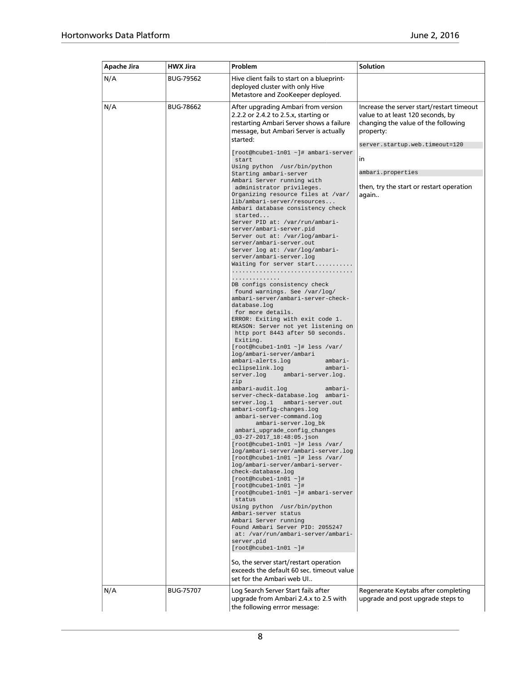| <b>Apache Jira</b> | <b>HWX Jira</b>  | Problem                                                                                                                                                                                                                                                                                                                                                                                                                                                                                                                                                                                                                                                                                                                                                                                                                                                                                                                                                                                                                                                                                                                                                                                                                                                                                                                                                                                                                                                                                                                                                                                                                                                                                                                                                                                                                                                                                                                                                                                                                                    | Solution                                                                                                                                                                                                                                             |
|--------------------|------------------|--------------------------------------------------------------------------------------------------------------------------------------------------------------------------------------------------------------------------------------------------------------------------------------------------------------------------------------------------------------------------------------------------------------------------------------------------------------------------------------------------------------------------------------------------------------------------------------------------------------------------------------------------------------------------------------------------------------------------------------------------------------------------------------------------------------------------------------------------------------------------------------------------------------------------------------------------------------------------------------------------------------------------------------------------------------------------------------------------------------------------------------------------------------------------------------------------------------------------------------------------------------------------------------------------------------------------------------------------------------------------------------------------------------------------------------------------------------------------------------------------------------------------------------------------------------------------------------------------------------------------------------------------------------------------------------------------------------------------------------------------------------------------------------------------------------------------------------------------------------------------------------------------------------------------------------------------------------------------------------------------------------------------------------------|------------------------------------------------------------------------------------------------------------------------------------------------------------------------------------------------------------------------------------------------------|
| N/A                | <b>BUG-79562</b> | Hive client fails to start on a blueprint-<br>deployed cluster with only Hive<br>Metastore and ZooKeeper deployed.                                                                                                                                                                                                                                                                                                                                                                                                                                                                                                                                                                                                                                                                                                                                                                                                                                                                                                                                                                                                                                                                                                                                                                                                                                                                                                                                                                                                                                                                                                                                                                                                                                                                                                                                                                                                                                                                                                                         |                                                                                                                                                                                                                                                      |
| N/A                | <b>BUG-78662</b> | After upgrading Ambari from version<br>2.2.2 or 2.4.2 to 2.5.x, starting or<br>restarting Ambari Server shows a failure<br>message, but Ambari Server is actually<br>started:<br>[root@hcubel-1n01 ~]# ambari-server<br>start<br>Using python /usr/bin/python<br>Starting ambari-server<br>Ambari Server running with<br>administrator privileges.<br>Organizing resource files at /var/<br>lib/ambari-server/resources<br>Ambari database consistency check<br>started<br>Server PID at: /var/run/ambari-<br>server/ambari-server.pid<br>Server out at: /var/log/ambari-<br>server/ambari-server.out<br>Server log at: /var/log/ambari-<br>server/ambari-server.log<br>Waiting for server start<br>.<br>DB configs consistency check<br>found warnings. See /var/log/<br>ambari-server/ambari-server-check-<br>database.log<br>for more details.<br>ERROR: Exiting with exit code 1.<br>REASON: Server not yet listening on<br>http port 8443 after 50 seconds.<br>Exiting.<br>$[root@hcube1-1n01 - ]# less / var/$<br>log/ambari-server/ambari<br>ambari-alerts.log<br>ambari-<br>eclipselink.log<br>ambari-<br>server.log<br>ambari-server.log.<br>zip<br>ambari-audit.log<br>ambari-<br>server-check-database.log ambari-<br>server.log.1<br>ambari-server.out<br>ambari-confiq-changes.log<br>ambari-server-command.log<br>ambari-server.log_bk<br>ambari_upgrade_config_changes<br>$03 - 27 - 2017 - 18:48:05$ . json<br>[root@hcubel-1n01 ~]# less /var/<br>log/ambari-server/ambari-server.log<br>[root@hcubel-1n01 ~]# less /var/<br>log/ambari-server/ambari-server-<br>check-database.log<br>$[root@hcube1-1n01$ ~ $]\#$<br>$[root@hcube1-1n01 - ]$ #<br>[root@hcube1-1n01 ~]# ambari-server<br>status<br>Using python /usr/bin/python<br>Ambari-server status<br>Ambari Server running<br>Found Ambari Server PID: 2055247<br>at: /var/run/ambari-server/ambari-<br>server.pid<br>$[root@hcube1-1n01 - ]#$<br>So, the server start/restart operation<br>exceeds the default 60 sec. timeout value<br>set for the Ambari web UI | Increase the server start/restart timeout<br>value to at least 120 seconds, by<br>changing the value of the following<br>property:<br>server.startup.web.timeout=120<br>in<br>ambari.properties<br>then, try the start or restart operation<br>again |
| N/A                | <b>BUG-75707</b> | Log Search Server Start fails after<br>upgrade from Ambari 2.4.x to 2.5 with<br>the following errror message:                                                                                                                                                                                                                                                                                                                                                                                                                                                                                                                                                                                                                                                                                                                                                                                                                                                                                                                                                                                                                                                                                                                                                                                                                                                                                                                                                                                                                                                                                                                                                                                                                                                                                                                                                                                                                                                                                                                              | Regenerate Keytabs after completing<br>upgrade and post upgrade steps to                                                                                                                                                                             |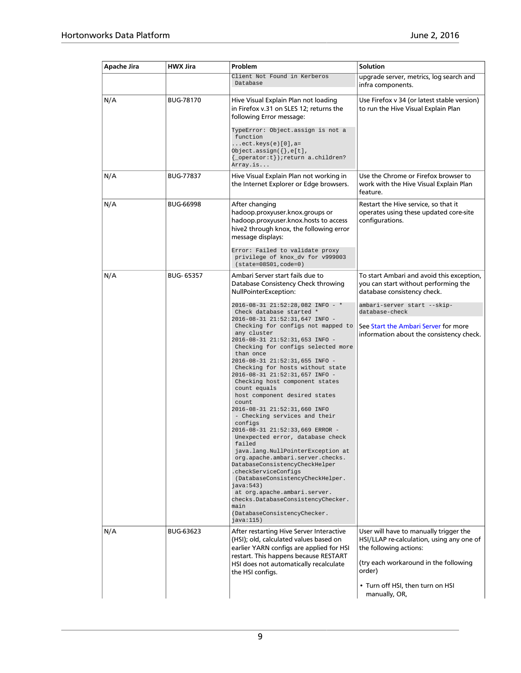| Apache Jira | HWX Jira         | Problem                                                                                                                                                                                                                                                                                                                                                                                                                                                                                                                                                                                                                                                                                                                                                                                                                                                                                                                  | Solution                                                                                                                                                         |
|-------------|------------------|--------------------------------------------------------------------------------------------------------------------------------------------------------------------------------------------------------------------------------------------------------------------------------------------------------------------------------------------------------------------------------------------------------------------------------------------------------------------------------------------------------------------------------------------------------------------------------------------------------------------------------------------------------------------------------------------------------------------------------------------------------------------------------------------------------------------------------------------------------------------------------------------------------------------------|------------------------------------------------------------------------------------------------------------------------------------------------------------------|
|             |                  | Client Not Found in Kerberos<br>Database                                                                                                                                                                                                                                                                                                                                                                                                                                                                                                                                                                                                                                                                                                                                                                                                                                                                                 | upgrade server, metrics, log search and<br>infra components.                                                                                                     |
| N/A         | <b>BUG-78170</b> | Hive Visual Explain Plan not loading<br>in Firefox v.31 on SLES 12; returns the<br>following Error message:<br>TypeError: Object.assign is not a<br>function<br>$ect. keys(e)[0], a =$                                                                                                                                                                                                                                                                                                                                                                                                                                                                                                                                                                                                                                                                                                                                   | Use Firefox v 34 (or latest stable version)<br>to run the Hive Visual Explain Plan                                                                               |
|             |                  | Object.assign $({},e[t],$<br>{ _operator: t} ) ; return a.children?<br>Array.is                                                                                                                                                                                                                                                                                                                                                                                                                                                                                                                                                                                                                                                                                                                                                                                                                                          |                                                                                                                                                                  |
| N/A         | <b>BUG-77837</b> | Hive Visual Explain Plan not working in<br>the Internet Explorer or Edge browsers.                                                                                                                                                                                                                                                                                                                                                                                                                                                                                                                                                                                                                                                                                                                                                                                                                                       | Use the Chrome or Firefox browser to<br>work with the Hive Visual Explain Plan<br>feature.                                                                       |
| N/A         | <b>BUG-66998</b> | After changing<br>hadoop.proxyuser.knox.groups or<br>hadoop.proxyuser.knox.hosts to access<br>hive2 through knox, the following error<br>message displays:                                                                                                                                                                                                                                                                                                                                                                                                                                                                                                                                                                                                                                                                                                                                                               | Restart the Hive service, so that it<br>operates using these updated core-site<br>configurations.                                                                |
|             |                  | Error: Failed to validate proxy<br>privilege of knox_dv for v999003<br>$(state=08S01,code=0)$                                                                                                                                                                                                                                                                                                                                                                                                                                                                                                                                                                                                                                                                                                                                                                                                                            |                                                                                                                                                                  |
| N/A         | <b>BUG-65357</b> | Ambari Server start fails due to<br>Database Consistency Check throwing<br>NullPointerException:                                                                                                                                                                                                                                                                                                                                                                                                                                                                                                                                                                                                                                                                                                                                                                                                                         | To start Ambari and avoid this exception,<br>you can start without performing the<br>database consistency check.                                                 |
|             |                  | 2016-08-31 21:52:28,082 INFO - *<br>Check database started *<br>2016-08-31 21:52:31,647 INFO -<br>Checking for configs not mapped to<br>any cluster<br>2016-08-31 21:52:31,653 INFO -<br>Checking for configs selected more<br>than once<br>2016-08-31 21:52:31,655 INFO -<br>Checking for hosts without state<br>2016-08-31 21:52:31,657 INFO -<br>Checking host component states<br>count equals<br>host component desired states<br>count<br>2016-08-31 21:52:31,660 INFO<br>- Checking services and their<br>configs<br>2016-08-31 21:52:33,669 ERROR -<br>Unexpected error, database check<br>failed<br>java.lang.NullPointerException at<br>org.apache.ambari.server.checks.<br>DatabaseConsistencyCheckHelper<br>.checkServiceConfigs<br>(DatabaseConsistencyCheckHelper.<br>java:543)<br>at org.apache.ambari.server.<br>checks.DatabaseConsistencyChecker.<br>main<br>(DatabaseConsistencyChecker.<br>java:115) | ambari-server start --skip-<br>database-check<br>See Start the Ambari Server for more<br>information about the consistency check.                                |
| N/A         | BUG-63623        | After restarting Hive Server Interactive<br>(HSI); old, calculated values based on<br>earlier YARN configs are applied for HSI<br>restart. This happens because RESTART<br>HSI does not automatically recalculate<br>the HSI configs.                                                                                                                                                                                                                                                                                                                                                                                                                                                                                                                                                                                                                                                                                    | User will have to manually trigger the<br>HSI/LLAP re-calculation, using any one of<br>the following actions:<br>(try each workaround in the following<br>order) |
|             |                  |                                                                                                                                                                                                                                                                                                                                                                                                                                                                                                                                                                                                                                                                                                                                                                                                                                                                                                                          | • Turn off HSI, then turn on HSI<br>manually, OR,                                                                                                                |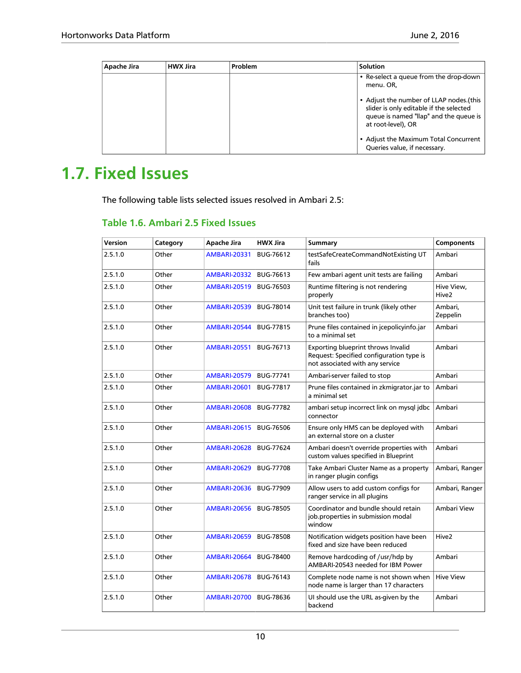| Apache Jira | <b>HWX Jira</b> | Problem | <b>Solution</b>                                                                                                                                    |
|-------------|-----------------|---------|----------------------------------------------------------------------------------------------------------------------------------------------------|
|             |                 |         | • Re-select a queue from the drop-down<br>menu. OR,                                                                                                |
|             |                 |         | • Adjust the number of LLAP nodes.(this<br>slider is only editable if the selected<br>queue is named "llap" and the queue is<br>at root-level), OR |
|             |                 |         | • Adjust the Maximum Total Concurrent<br>Queries value, if necessary.                                                                              |

# <span id="page-13-0"></span>**1.7. Fixed Issues**

The following table lists selected issues resolved in Ambari 2.5:

### <span id="page-13-1"></span>**Table 1.6. Ambari 2.5 Fixed Issues**

| Version | Category | Apache Jira         | <b>HWX Jira</b>  | <b>Summary</b>                                                                                                    | <b>Components</b>               |
|---------|----------|---------------------|------------------|-------------------------------------------------------------------------------------------------------------------|---------------------------------|
| 2.5.1.0 | Other    | <b>AMBARI-20331</b> | BUG-76612        | testSafeCreateCommandNotExisting UT<br>fails                                                                      | Ambari                          |
| 2.5.1.0 | Other    | <b>AMBARI-20332</b> | <b>BUG-76613</b> | Few ambari agent unit tests are failing                                                                           | Ambari                          |
| 2.5.1.0 | Other    | <b>AMBARI-20519</b> | <b>BUG-76503</b> | Runtime filtering is not rendering<br>properly                                                                    | Hive View,<br>Hive <sub>2</sub> |
| 2.5.1.0 | Other    | <b>AMBARI-20539</b> | <b>BUG-78014</b> | Unit test failure in trunk (likely other<br>branches too)                                                         | Ambari,<br>Zeppelin             |
| 2.5.1.0 | Other    | <b>AMBARI-20544</b> | <b>BUG-77815</b> | Prune files contained in icepolicyinfo.jar<br>to a minimal set                                                    | Ambari                          |
| 2.5.1.0 | Other    | <b>AMBARI-20551</b> | <b>BUG-76713</b> | Exporting blueprint throws Invalid<br>Request: Specified configuration type is<br>not associated with any service | Ambari                          |
| 2.5.1.0 | Other    | <b>AMBARI-20579</b> | <b>BUG-77741</b> | Ambari-server failed to stop                                                                                      | Ambari                          |
| 2.5.1.0 | Other    | <b>AMBARI-20601</b> | <b>BUG-77817</b> | Prune files contained in zkmigrator.jar to<br>a minimal set                                                       | Ambari                          |
| 2.5.1.0 | Other    | <b>AMBARI-20608</b> | <b>BUG-77782</b> | ambari setup incorrect link on mysql jdbc<br>connector                                                            | Ambari                          |
| 2.5.1.0 | Other    | <b>AMBARI-20615</b> | <b>BUG-76506</b> | Ensure only HMS can be deployed with<br>an external store on a cluster                                            | Ambari                          |
| 2.5.1.0 | Other    | <b>AMBARI-20628</b> | <b>BUG-77624</b> | Ambari doesn't override properties with<br>custom values specified in Blueprint                                   | Ambari                          |
| 2.5.1.0 | Other    | <b>AMBARI-20629</b> | <b>BUG-77708</b> | Take Ambari Cluster Name as a property<br>in ranger plugin configs                                                | Ambari, Ranger                  |
| 2.5.1.0 | Other    | <b>AMBARI-20636</b> | <b>BUG-77909</b> | Allow users to add custom configs for<br>ranger service in all plugins                                            | Ambari, Ranger                  |
| 2.5.1.0 | Other    | <b>AMBARI-20656</b> | <b>BUG-78505</b> | Coordinator and bundle should retain<br>job.properties in submission modal<br>window                              | Ambari View                     |
| 2.5.1.0 | Other    | <b>AMBARI-20659</b> | <b>BUG-78508</b> | Notification widgets position have been<br>fixed and size have been reduced                                       | Hive <sub>2</sub>               |
| 2.5.1.0 | Other    | <b>AMBARI-20664</b> | <b>BUG-78400</b> | Remove hardcoding of /usr/hdp by<br>AMBARI-20543 needed for IBM Power                                             | Ambari                          |
| 2.5.1.0 | Other    | <b>AMBARI-20678</b> | BUG-76143        | Complete node name is not shown when<br>node name is larger than 17 characters                                    | <b>Hive View</b>                |
| 2.5.1.0 | Other    | <b>AMBARI-20700</b> | <b>BUG-78636</b> | UI should use the URL as-given by the<br>backend                                                                  | Ambari                          |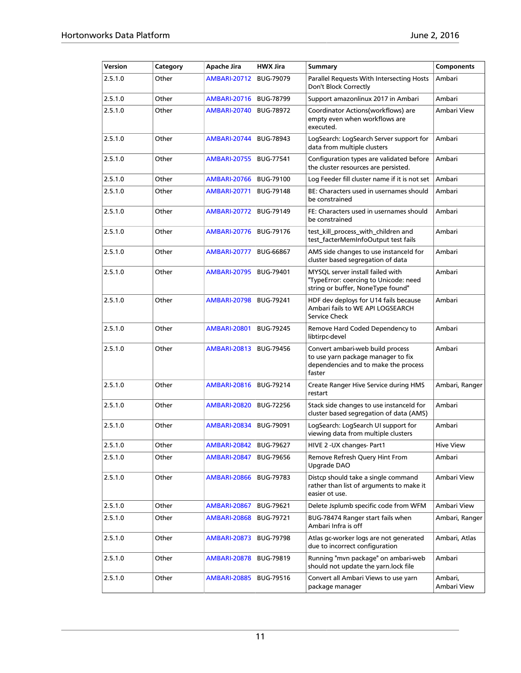| Version | Category | Apache Jira         | <b>HWX Jira</b>  | Summary                                                                                                                  | <b>Components</b>      |
|---------|----------|---------------------|------------------|--------------------------------------------------------------------------------------------------------------------------|------------------------|
| 2.5.1.0 | Other    | <b>AMBARI-20712</b> | <b>BUG-79079</b> | Parallel Requests With Intersecting Hosts<br>Don't Block Correctly                                                       | Ambari                 |
| 2.5.1.0 | Other    | <b>AMBARI-20716</b> | <b>BUG-78799</b> | Support amazonlinux 2017 in Ambari                                                                                       | Ambari                 |
| 2.5.1.0 | Other    | <b>AMBARI-20740</b> | <b>BUG-78972</b> | Coordinator Actions(workflows) are<br>empty even when workflows are<br>executed.                                         | Ambari View            |
| 2.5.1.0 | Other    | <b>AMBARI-20744</b> | <b>BUG-78943</b> | LogSearch: LogSearch Server support for<br>data from multiple clusters                                                   | Ambari                 |
| 2.5.1.0 | Other    | <b>AMBARI-20755</b> | <b>BUG-77541</b> | Configuration types are validated before<br>the cluster resources are persisted.                                         | Ambari                 |
| 2.5.1.0 | Other    | <b>AMBARI-20766</b> | <b>BUG-79100</b> | Log Feeder fill cluster name if it is not set                                                                            | Ambari                 |
| 2.5.1.0 | Other    | <b>AMBARI-20771</b> | <b>BUG-79148</b> | BE: Characters used in usernames should<br>be constrained                                                                | Ambari                 |
| 2.5.1.0 | Other    | <b>AMBARI-20772</b> | <b>BUG-79149</b> | FE: Characters used in usernames should<br>be constrained                                                                | Ambari                 |
| 2.5.1.0 | Other    | <b>AMBARI-20776</b> | <b>BUG-79176</b> | test_kill_process_with_children and<br>test_facterMemInfoOutput test fails                                               | Ambari                 |
| 2.5.1.0 | Other    | <b>AMBARI-20777</b> | <b>BUG-66867</b> | AMS side changes to use instanceld for<br>cluster based segregation of data                                              | Ambari                 |
| 2.5.1.0 | Other    | <b>AMBARI-20795</b> | <b>BUG-79401</b> | MYSQL server install failed with<br>"TypeError: coercing to Unicode: need<br>string or buffer, NoneType found"           | Ambari                 |
| 2.5.1.0 | Other    | <b>AMBARI-20798</b> | <b>BUG-79241</b> | HDF dev deploys for U14 fails because<br>Ambari fails to WE API LOGSEARCH<br>Service Check                               | Ambari                 |
| 2.5.1.0 | Other    | <b>AMBARI-20801</b> | <b>BUG-79245</b> | Remove Hard Coded Dependency to<br>libtirpc-devel                                                                        | Ambari                 |
| 2.5.1.0 | Other    | <b>AMBARI-20813</b> | <b>BUG-79456</b> | Convert ambari-web build process<br>to use yarn package manager to fix<br>dependencies and to make the process<br>faster | Ambari                 |
| 2.5.1.0 | Other    | <b>AMBARI-20816</b> | <b>BUG-79214</b> | Create Ranger Hive Service during HMS<br>restart                                                                         | Ambari, Ranger         |
| 2.5.1.0 | Other    | <b>AMBARI-20820</b> | <b>BUG-72256</b> | Stack side changes to use instanceld for<br>cluster based segregation of data (AMS)                                      | Ambari                 |
| 2.5.1.0 | Other    | <b>AMBARI-20834</b> | <b>BUG-79091</b> | LogSearch: LogSearch UI support for<br>viewing data from multiple clusters                                               | Ambari                 |
| 2.5.1.0 | Other    | <b>AMBARI-20842</b> | <b>BUG-79627</b> | HIVE 2 - UX changes- Part1                                                                                               | <b>Hive View</b>       |
| 2.5.1.0 | Other    | <b>AMBARI-20847</b> | <b>BUG-79656</b> | Remove Refresh Query Hint From<br>Upgrade DAO                                                                            | Ambari                 |
| 2.5.1.0 | Other    | <b>AMBARI-20866</b> | <b>BUG-79783</b> | Distcp should take a single command<br>rather than list of arguments to make it<br>easier ot use.                        | Ambari View            |
| 2.5.1.0 | Other    | <b>AMBARI-20867</b> | BUG-79621        | Delete Jsplumb specific code from WFM                                                                                    | Ambari View            |
| 2.5.1.0 | Other    | <b>AMBARI-20868</b> | <b>BUG-79721</b> | BUG-78474 Ranger start fails when<br>Ambari Infra is off                                                                 | Ambari, Ranger         |
| 2.5.1.0 | Other    | <b>AMBARI-20873</b> | <b>BUG-79798</b> | Atlas gc-worker logs are not generated<br>due to incorrect configuration                                                 | Ambari, Atlas          |
| 2.5.1.0 | Other    | <b>AMBARI-20878</b> | <b>BUG-79819</b> | Running "mvn package" on ambari-web<br>should not update the yarn.lock file                                              | Ambari                 |
| 2.5.1.0 | Other    | <b>AMBARI-20885</b> | <b>BUG-79516</b> | Convert all Ambari Views to use yarn<br>package manager                                                                  | Ambari,<br>Ambari View |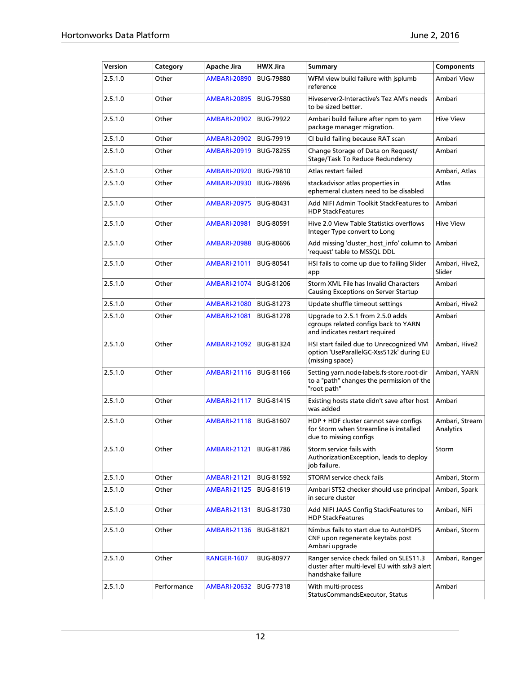| Version | Category    | Apache Jira         | <b>HWX Jira</b>  | Summary                                                                                                       | <b>Components</b>           |
|---------|-------------|---------------------|------------------|---------------------------------------------------------------------------------------------------------------|-----------------------------|
| 2.5.1.0 | Other       | <b>AMBARI-20890</b> | <b>BUG-79880</b> | WFM view build failure with isplumb<br>reference                                                              | Ambari View                 |
| 2.5.1.0 | Other       | <b>AMBARI-20895</b> | <b>BUG-79580</b> | Hiveserver2-Interactive's Tez AM's needs<br>to be sized better.                                               | Ambari                      |
| 2.5.1.0 | Other       | <b>AMBARI-20902</b> | <b>BUG-79922</b> | Ambari build failure after npm to yarn<br>package manager migration.                                          | <b>Hive View</b>            |
| 2.5.1.0 | Other       | <b>AMBARI-20902</b> | <b>BUG-79919</b> | CI build failing because RAT scan                                                                             | Ambari                      |
| 2.5.1.0 | Other       | <b>AMBARI-20919</b> | <b>BUG-78255</b> | Change Storage of Data on Request/<br>Stage/Task To Reduce Redundency                                         | Ambari                      |
| 2.5.1.0 | Other       | <b>AMBARI-20920</b> | <b>BUG-79810</b> | Atlas restart failed                                                                                          | Ambari, Atlas               |
| 2.5.1.0 | Other       | <b>AMBARI-20930</b> | <b>BUG-78696</b> | stackadvisor atlas properties in<br>ephemeral clusters need to be disabled                                    | Atlas                       |
| 2.5.1.0 | Other       | <b>AMBARI-20975</b> | <b>BUG-80431</b> | Add NIFI Admin Toolkit StackFeatures to<br><b>HDP StackFeatures</b>                                           | Ambari                      |
| 2.5.1.0 | Other       | <b>AMBARI-20981</b> | <b>BUG-80591</b> | Hive 2.0 View Table Statistics overflows<br>Integer Type convert to Long                                      | <b>Hive View</b>            |
| 2.5.1.0 | Other       | <b>AMBARI-20988</b> | <b>BUG-80606</b> | Add missing 'cluster_host_info' column to<br>'request' table to MSSQL DDL                                     | Ambari                      |
| 2.5.1.0 | Other       | <b>AMBARI-21011</b> | <b>BUG-80541</b> | HSI fails to come up due to failing Slider<br>app                                                             | Ambari, Hive2,<br>Slider    |
| 2.5.1.0 | Other       | <b>AMBARI-21074</b> | <b>BUG-81206</b> | Storm XML File has Invalid Characters<br>Causing Exceptions on Server Startup                                 | Ambari                      |
| 2.5.1.0 | Other       | <b>AMBARI-21080</b> | BUG-81273        | Update shuffle timeout settings                                                                               | Ambari, Hive2               |
| 2.5.1.0 | Other       | <b>AMBARI-21081</b> | <b>BUG-81278</b> | Upgrade to 2.5.1 from 2.5.0 adds<br>cgroups related configs back to YARN<br>and indicates restart required    | Ambari                      |
| 2.5.1.0 | Other       | <b>AMBARI-21092</b> | BUG-81324        | HSI start failed due to Unrecognized VM<br>option 'UseParallelGC-Xss512k' during EU<br>(missing space)        | Ambari, Hive2               |
| 2.5.1.0 | Other       | <b>AMBARI-21116</b> | BUG-81166        | Setting yarn.node-labels.fs-store.root-dir<br>to a "path" changes the permission of the<br>"root path"        | Ambari, YARN                |
| 2.5.1.0 | Other       | <b>AMBARI-21117</b> | BUG-81415        | Existing hosts state didn't save after host<br>was added                                                      | Ambari                      |
| 2.5.1.0 | Other       | <b>AMBARI-21118</b> | <b>BUG-81607</b> | HDP + HDF cluster cannot save configs<br>for Storm when Streamline is installed<br>due to missing configs     | Ambari, Stream<br>Analytics |
| 2.5.1.0 | Other       | <b>AMBARI-21121</b> | <b>BUG-81786</b> | Storm service fails with<br>AuthorizationException, leads to deploy<br>job failure.                           | Storm                       |
| 2.5.1.0 | Other       | <b>AMBARI-21121</b> | BUG-81592        | <b>STORM service check fails</b>                                                                              | Ambari, Storm               |
| 2.5.1.0 | Other       | <b>AMBARI-21125</b> | <b>BUG-81619</b> | Ambari STS2 checker should use principal<br>in secure cluster                                                 | Ambari, Spark               |
| 2.5.1.0 | Other       | <b>AMBARI-21131</b> | BUG-81730        | Add NIFI JAAS Config StackFeatures to<br><b>HDP StackFeatures</b>                                             | Ambari, NiFi                |
| 2.5.1.0 | Other       | <b>AMBARI-21136</b> | BUG-81821        | Nimbus fails to start due to AutoHDFS<br>CNF upon regenerate keytabs post<br>Ambari upgrade                   | Ambari, Storm               |
| 2.5.1.0 | Other       | <b>RANGER-1607</b>  | <b>BUG-80977</b> | Ranger service check failed on SLES11.3<br>cluster after multi-level EU with sslv3 alert<br>handshake failure | Ambari, Ranger              |
| 2.5.1.0 | Performance | <b>AMBARI-20632</b> | <b>BUG-77318</b> | With multi-process<br>StatusCommandsExecutor, Status                                                          | Ambari                      |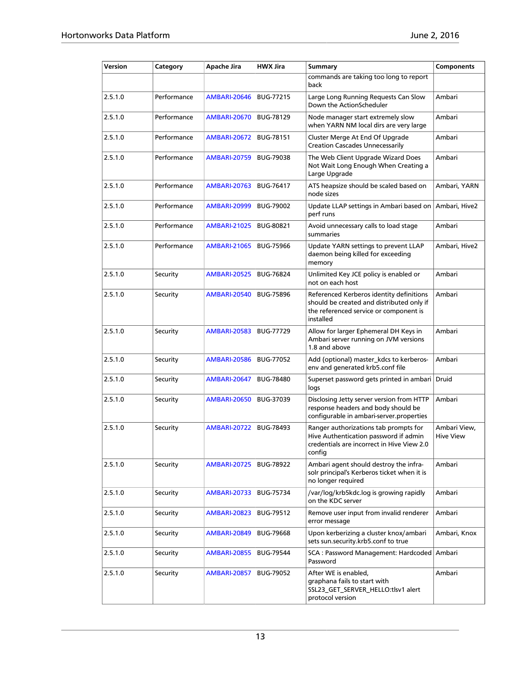| Version | Category    | Apache Jira         | <b>HWX Jira</b>  | <b>Summary</b>                                                                                                                               | Components                       |
|---------|-------------|---------------------|------------------|----------------------------------------------------------------------------------------------------------------------------------------------|----------------------------------|
|         |             |                     |                  | commands are taking too long to report<br>back                                                                                               |                                  |
| 2.5.1.0 | Performance | <b>AMBARI-20646</b> | <b>BUG-77215</b> | Large Long Running Requests Can Slow<br>Down the ActionScheduler                                                                             | Ambari                           |
| 2.5.1.0 | Performance | <b>AMBARI-20670</b> | <b>BUG-78129</b> | Node manager start extremely slow<br>when YARN NM local dirs are very large                                                                  | Ambari                           |
| 2.5.1.0 | Performance | <b>AMBARI-20672</b> | <b>BUG-78151</b> | Cluster Merge At End Of Upgrade<br><b>Creation Cascades Unnecessarily</b>                                                                    | Ambari                           |
| 2.5.1.0 | Performance | AMBARI-20759        | <b>BUG-79038</b> | The Web Client Upgrade Wizard Does<br>Not Wait Long Enough When Creating a<br>Large Upgrade                                                  | Ambari                           |
| 2.5.1.0 | Performance | <b>AMBARI-20763</b> | <b>BUG-76417</b> | ATS heapsize should be scaled based on<br>node sizes                                                                                         | Ambari, YARN                     |
| 2.5.1.0 | Performance | <b>AMBARI-20999</b> | <b>BUG-79002</b> | Update LLAP settings in Ambari based on<br>perf runs                                                                                         | Ambari, Hive2                    |
| 2.5.1.0 | Performance | <b>AMBARI-21025</b> | <b>BUG-80821</b> | Avoid unnecessary calls to load stage<br>summaries                                                                                           | Ambari                           |
| 2.5.1.0 | Performance | <b>AMBARI-21065</b> | <b>BUG-75966</b> | Update YARN settings to prevent LLAP<br>daemon being killed for exceeding<br>memory                                                          | Ambari, Hive2                    |
| 2.5.1.0 | Security    | <b>AMBARI-20525</b> | <b>BUG-76824</b> | Unlimited Key JCE policy is enabled or<br>not on each host                                                                                   | Ambari                           |
| 2.5.1.0 | Security    | <b>AMBARI-20540</b> | <b>BUG-75896</b> | Referenced Kerberos identity definitions<br>should be created and distributed only if<br>the referenced service or component is<br>installed | Ambari                           |
| 2.5.1.0 | Security    | <b>AMBARI-20583</b> | <b>BUG-77729</b> | Allow for larger Ephemeral DH Keys in<br>Ambari server running on JVM versions<br>1.8 and above                                              | Ambari                           |
| 2.5.1.0 | Security    | <b>AMBARI-20586</b> | <b>BUG-77052</b> | Add (optional) master_kdcs to kerberos-<br>env and generated krb5.conf file                                                                  | Ambari                           |
| 2.5.1.0 | Security    | <b>AMBARI-20647</b> | <b>BUG-78480</b> | Superset password gets printed in ambari<br>logs                                                                                             | Druid                            |
| 2.5.1.0 | Security    | <b>AMBARI-20650</b> | BUG-37039        | Disclosing Jetty server version from HTTP<br>response headers and body should be<br>configurable in ambari-server.properties                 | Ambari                           |
| 2.5.1.0 | Security    | <b>AMBARI-20722</b> | <b>BUG-78493</b> | Ranger authorizations tab prompts for<br>Hive Authentication password if admin<br>credentials are incorrect in Hive View 2.0<br>config       | Ambari View.<br><b>Hive View</b> |
| 2.5.1.0 | Security    | <b>AMBARI-20725</b> | <b>BUG-78922</b> | Ambari agent should destroy the infra-<br>solr principal's Kerberos ticket when it is<br>no longer required                                  | Ambari                           |
| 2.5.1.0 | Security    | <b>AMBARI-20733</b> | <b>BUG-75734</b> | /var/log/krb5kdc.log is growing rapidly<br>on the KDC server                                                                                 | Ambari                           |
| 2.5.1.0 | Security    | <b>AMBARI-20823</b> | BUG-79512        | Remove user input from invalid renderer<br>error message                                                                                     | Ambari                           |
| 2.5.1.0 | Security    | <b>AMBARI-20849</b> | <b>BUG-79668</b> | Upon kerberizing a cluster knox/ambari<br>sets sun.security.krb5.conf to true                                                                | Ambari, Knox                     |
| 2.5.1.0 | Security    | <b>AMBARI-20855</b> | <b>BUG-79544</b> | SCA : Password Management: Hardcoded Ambari<br>Password                                                                                      |                                  |
| 2.5.1.0 | Security    | <b>AMBARI-20857</b> | <b>BUG-79052</b> | After WE is enabled,<br>graphana fails to start with<br>SSL23_GET_SERVER_HELLO:tlsv1 alert<br>protocol version                               | Ambari                           |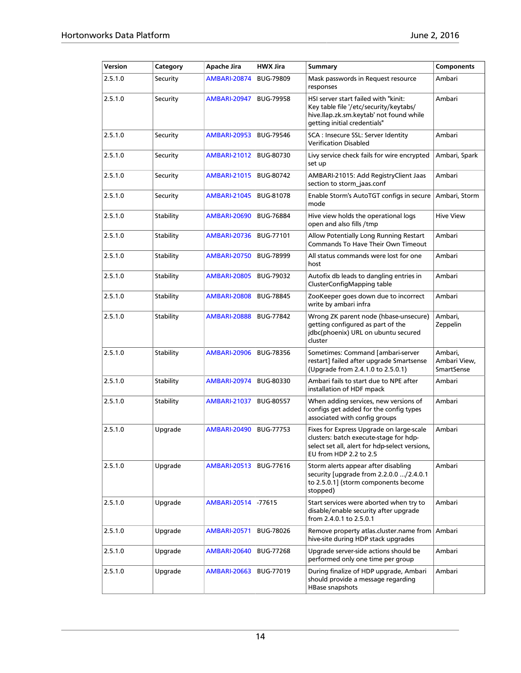| Version | Category  | Apache Jira         | <b>HWX Jira</b>  | Summary                                                                                                                                                        | <b>Components</b>                     |
|---------|-----------|---------------------|------------------|----------------------------------------------------------------------------------------------------------------------------------------------------------------|---------------------------------------|
| 2.5.1.0 | Security  | <b>AMBARI-20874</b> | <b>BUG-79809</b> | Mask passwords in Request resource<br>responses                                                                                                                | Ambari                                |
| 2.5.1.0 | Security  | <b>AMBARI-20947</b> | <b>BUG-79958</b> | HSI server start failed with "kinit:<br>Key table file '/etc/security/keytabs/<br>hive.llap.zk.sm.keytab' not found while<br>getting initial credentials"      | Ambari                                |
| 2.5.1.0 | Security  | <b>AMBARI-20953</b> | <b>BUG-79546</b> | SCA: Insecure SSL: Server Identity<br><b>Verification Disabled</b>                                                                                             | Ambari                                |
| 2.5.1.0 | Security  | <b>AMBARI-21012</b> | BUG-80730        | Livy service check fails for wire encrypted<br>set up                                                                                                          | Ambari, Spark                         |
| 2.5.1.0 | Security  | <b>AMBARI-21015</b> | BUG-80742        | AMBARI-21015: Add RegistryClient Jaas<br>section to storm_jaas.conf                                                                                            | Ambari                                |
| 2.5.1.0 | Security  | <b>AMBARI-21045</b> | <b>BUG-81078</b> | Enable Storm's AutoTGT configs in secure<br>mode                                                                                                               | Ambari, Storm                         |
| 2.5.1.0 | Stability | <b>AMBARI-20690</b> | <b>BUG-76884</b> | Hive view holds the operational logs<br>open and also fills /tmp                                                                                               | <b>Hive View</b>                      |
| 2.5.1.0 | Stability | <b>AMBARI-20736</b> | <b>BUG-77101</b> | Allow Potentially Long Running Restart<br>Commands To Have Their Own Timeout                                                                                   | Ambari                                |
| 2.5.1.0 | Stability | <b>AMBARI-20750</b> | <b>BUG-78999</b> | All status commands were lost for one<br>host                                                                                                                  | Ambari                                |
| 2.5.1.0 | Stability | <b>AMBARI-20805</b> | <b>BUG-79032</b> | Autofix db leads to dangling entries in<br>ClusterConfigMapping table                                                                                          | Ambari                                |
| 2.5.1.0 | Stability | <b>AMBARI-20808</b> | <b>BUG-78845</b> | ZooKeeper goes down due to incorrect<br>write by ambari infra                                                                                                  | Ambari                                |
| 2.5.1.0 | Stability | <b>AMBARI-20888</b> | BUG-77842        | Wrong ZK parent node (hbase-unsecure)<br>getting configured as part of the<br>jdbc(phoenix) URL on ubuntu secured<br>cluster                                   | Ambari,<br>Zeppelin                   |
| 2.5.1.0 | Stability | <b>AMBARI-20906</b> | <b>BUG-78356</b> | Sometimes: Command [ambari-server<br>restart] failed after upgrade Smartsense<br>(Upgrade from 2.4.1.0 to 2.5.0.1)                                             | Ambari,<br>Ambari View,<br>SmartSense |
| 2.5.1.0 | Stability | <b>AMBARI-20974</b> | BUG-80330        | Ambari fails to start due to NPE after<br>installation of HDF mpack                                                                                            | Ambari                                |
| 2.5.1.0 | Stability | <b>AMBARI-21037</b> | <b>BUG-80557</b> | When adding services, new versions of<br>configs get added for the config types<br>associated with config groups                                               | Ambari                                |
| 2.5.1.0 | Upgrade   | <b>AMBARI-20490</b> | <b>BUG-77753</b> | Fixes for Express Upgrade on large-scale<br>clusters: batch execute-stage for hdp-<br>select set all, alert for hdp-select versions,<br>EU from HDP 2.2 to 2.5 | Ambari                                |
| 2.5.1.0 | Upgrade   | <b>AMBARI-20513</b> | <b>BUG-77616</b> | Storm alerts appear after disabling<br>security [upgrade from 2.2.0.0 /2.4.0.1<br>to 2.5.0.1] (storm components become<br>stopped)                             | Ambari                                |
| 2.5.1.0 | Upgrade   | <b>AMBARI-20514</b> | $-77615$         | Start services were aborted when try to<br>disable/enable security after upgrade<br>from 2.4.0.1 to 2.5.0.1                                                    | Ambari                                |
| 2.5.1.0 | Upgrade   | <b>AMBARI-20571</b> | <b>BUG-78026</b> | Remove property atlas.cluster.name from<br>hive-site during HDP stack upgrades                                                                                 | Ambari                                |
| 2.5.1.0 | Upgrade   | <b>AMBARI-20640</b> | <b>BUG-77268</b> | Upgrade server-side actions should be<br>performed only one time per group                                                                                     | Ambari                                |
| 2.5.1.0 | Upgrade   | <b>AMBARI-20663</b> | BUG-77019        | During finalize of HDP upgrade, Ambari<br>should provide a message regarding<br>HBase snapshots                                                                | Ambari                                |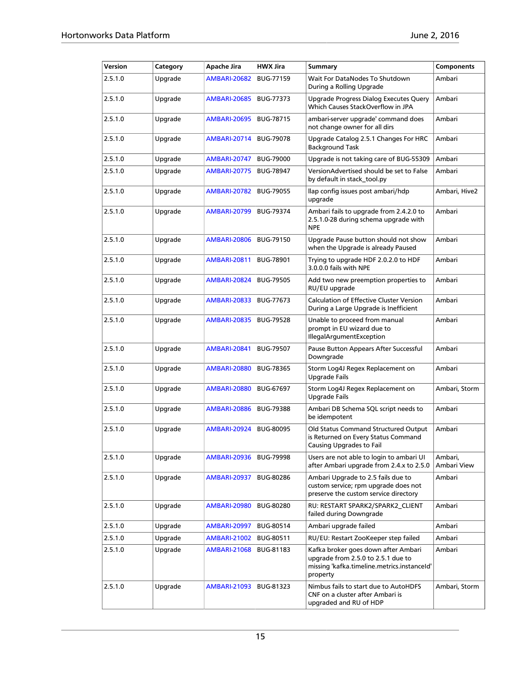| Version | Category | Apache Jira         | <b>HWX Jira</b>  | <b>Summary</b>                                                                                                                       | <b>Components</b>      |
|---------|----------|---------------------|------------------|--------------------------------------------------------------------------------------------------------------------------------------|------------------------|
| 2.5.1.0 | Upgrade  | <b>AMBARI-20682</b> | BUG-77159        | Wait For DataNodes To Shutdown<br>During a Rolling Upgrade                                                                           | Ambari                 |
| 2.5.1.0 | Upgrade  | <b>AMBARI-20685</b> | BUG-77373        | Upgrade Progress Dialog Executes Query<br>Which Causes StackOverflow in JPA                                                          | Ambari                 |
| 2.5.1.0 | Upgrade  | AMBARI-20695        | BUG-78715        | ambari-server upgrade' command does<br>not change owner for all dirs                                                                 | Ambari                 |
| 2.5.1.0 | Upgrade  | AMBARI-20714        | <b>BUG-79078</b> | Upgrade Catalog 2.5.1 Changes For HRC<br><b>Background Task</b>                                                                      | Ambari                 |
| 2.5.1.0 | Upgrade  | AMBARI-20747        | <b>BUG-79000</b> | Upgrade is not taking care of BUG-55309                                                                                              | Ambari                 |
| 2.5.1.0 | Upgrade  | AMBARI-20775        | <b>BUG-78947</b> | VersionAdvertised should be set to False<br>by default in stack tool.py                                                              | Ambari                 |
| 2.5.1.0 | Upgrade  | AMBARI-20782        | <b>BUG-79055</b> | llap config issues post ambari/hdp<br>upgrade                                                                                        | Ambari, Hive2          |
| 2.5.1.0 | Upgrade  | <b>AMBARI-20799</b> | <b>BUG-79374</b> | Ambari fails to upgrade from 2.4.2.0 to<br>2.5.1.0-28 during schema upgrade with<br><b>NPE</b>                                       | Ambari                 |
| 2.5.1.0 | Upgrade  | AMBARI-20806        | <b>BUG-79150</b> | Upgrade Pause button should not show<br>when the Upgrade is already Paused                                                           | Ambari                 |
| 2.5.1.0 | Upgrade  | <b>AMBARI-20811</b> | <b>BUG-78901</b> | Trying to upgrade HDF 2.0.2.0 to HDF<br>3.0.0.0 fails with NPE                                                                       | Ambari                 |
| 2.5.1.0 | Upgrade  | AMBARI-20824        | <b>BUG-79505</b> | Add two new preemption properties to<br>RU/EU upgrade                                                                                | Ambari                 |
| 2.5.1.0 | Upgrade  | <b>AMBARI-20833</b> | <b>BUG-77673</b> | <b>Calculation of Effective Cluster Version</b><br>During a Large Upgrade is Inefficient                                             | Ambari                 |
| 2.5.1.0 | Upgrade  | AMBARI-20835        | <b>BUG-79528</b> | Unable to proceed from manual<br>prompt in EU wizard due to<br><b>IllegalArgumentException</b>                                       | Ambari                 |
| 2.5.1.0 | Upgrade  | <b>AMBARI-20841</b> | <b>BUG-79507</b> | Pause Button Appears After Successful<br>Downgrade                                                                                   | Ambari                 |
| 2.5.1.0 | Upgrade  | <b>AMBARI-20880</b> | <b>BUG-78365</b> | Storm Log4J Regex Replacement on<br><b>Upgrade Fails</b>                                                                             | Ambari                 |
| 2.5.1.0 | Upgrade  | AMBARI-20880        | <b>BUG-67697</b> | Storm Log4J Regex Replacement on<br><b>Upgrade Fails</b>                                                                             | Ambari, Storm          |
| 2.5.1.0 | Upgrade  | AMBARI-20886        | <b>BUG-79388</b> | Ambari DB Schema SQL script needs to<br>be idempotent                                                                                | Ambari                 |
| 2.5.1.0 | Upgrade  | <b>AMBARI-20924</b> | <b>BUG-80095</b> | Old Status Command Structured Output<br>is Returned on Every Status Command<br><b>Causing Upgrades to Fail</b>                       | Ambari                 |
| 2.5.1.0 | Upgrade  | AMBARI-20936        | <b>BUG-79998</b> | Users are not able to login to ambari UI<br>after Ambari upgrade from 2.4.x to 2.5.0                                                 | Ambari,<br>Ambari View |
| 2.5.1.0 | Upgrade  | AMBARI-20937        | <b>BUG-80286</b> | Ambari Upgrade to 2.5 fails due to<br>custom service; rpm upgrade does not<br>preserve the custom service directory                  | Ambari                 |
| 2.5.1.0 | Upgrade  | AMBARI-20980        | <b>BUG-80280</b> | RU: RESTART SPARK2/SPARK2_CLIENT<br>failed during Downgrade                                                                          | Ambari                 |
| 2.5.1.0 | Upgrade  | <b>AMBARI-20997</b> | BUG-80514        | Ambari upgrade failed                                                                                                                | Ambari                 |
| 2.5.1.0 | Upgrade  | AMBARI-21002        | BUG-80511        | RU/EU: Restart ZooKeeper step failed                                                                                                 | Ambari                 |
| 2.5.1.0 | Upgrade  | <b>AMBARI-21068</b> | BUG-81183        | Kafka broker goes down after Ambari<br>upgrade from 2.5.0 to 2.5.1 due to<br>missing 'kafka.timeline.metrics.instanceId'<br>property | Ambari                 |
| 2.5.1.0 | Upgrade  | <b>AMBARI-21093</b> | BUG-81323        | Nimbus fails to start due to AutoHDFS<br>CNF on a cluster after Ambari is<br>upgraded and RU of HDP                                  | Ambari, Storm          |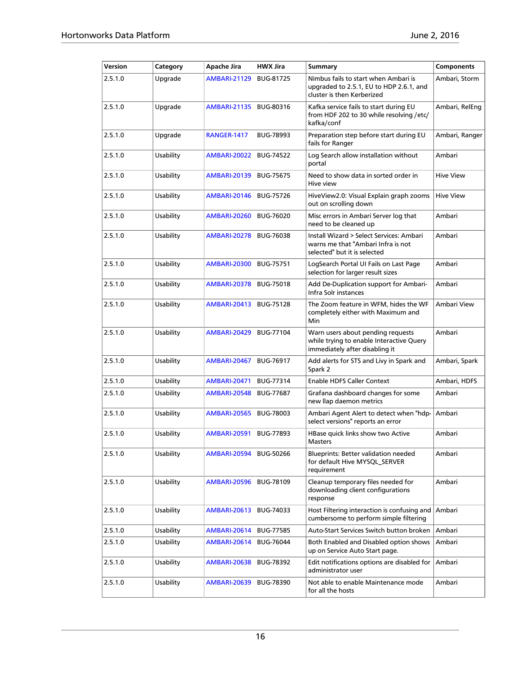| Version | Category  | Apache Jira         | <b>HWX Jira</b>  | <b>Summary</b>                                                                                                  | <b>Components</b> |
|---------|-----------|---------------------|------------------|-----------------------------------------------------------------------------------------------------------------|-------------------|
| 2.5.1.0 | Upgrade   | <b>AMBARI-21129</b> | <b>BUG-81725</b> | Nimbus fails to start when Ambari is<br>upgraded to 2.5.1, EU to HDP 2.6.1, and<br>cluster is then Kerberized   | Ambari, Storm     |
| 2.5.1.0 | Upgrade   | <b>AMBARI-21135</b> | BUG-80316        | Kafka service fails to start during EU<br>from HDF 202 to 30 while resolving /etc/<br>kafka/conf                | Ambari, RelEng    |
| 2.5.1.0 | Upgrade   | <b>RANGER-1417</b>  | <b>BUG-78993</b> | Preparation step before start during EU<br>fails for Ranger                                                     | Ambari, Ranger    |
| 2.5.1.0 | Usability | <b>AMBARI-20022</b> | <b>BUG-74522</b> | Log Search allow installation without<br>portal                                                                 | Ambari            |
| 2.5.1.0 | Usability | <b>AMBARI-20139</b> | <b>BUG-75675</b> | Need to show data in sorted order in<br>Hive view                                                               | <b>Hive View</b>  |
| 2.5.1.0 | Usability | <b>AMBARI-20146</b> | <b>BUG-75726</b> | HiveView2.0: Visual Explain graph zooms<br>out on scrolling down                                                | <b>Hive View</b>  |
| 2.5.1.0 | Usability | <b>AMBARI-20260</b> | <b>BUG-76020</b> | Misc errors in Ambari Server log that<br>need to be cleaned up                                                  | Ambari            |
| 2.5.1.0 | Usability | <b>AMBARI-20278</b> | <b>BUG-76038</b> | Install Wizard > Select Services: Ambari<br>warns me that "Ambari Infra is not<br>selected" but it is selected  | Ambari            |
| 2.5.1.0 | Usability | <b>AMBARI-20300</b> | <b>BUG-75751</b> | LogSearch Portal UI Fails on Last Page<br>selection for larger result sizes                                     | Ambari            |
| 2.5.1.0 | Usability | <b>AMBARI-20378</b> | <b>BUG-75018</b> | Add De-Duplication support for Ambari-<br>Infra Solr instances                                                  | Ambari            |
| 2.5.1.0 | Usability | <b>AMBARI-20413</b> | <b>BUG-75128</b> | The Zoom feature in WFM, hides the WF<br>completely either with Maximum and<br>Min                              | Ambari View       |
| 2.5.1.0 | Usability | <b>AMBARI-20429</b> | <b>BUG-77104</b> | Warn users about pending requests<br>while trying to enable Interactive Query<br>immediately after disabling it | Ambari            |
| 2.5.1.0 | Usability | <b>AMBARI-20467</b> | <b>BUG-76917</b> | Add alerts for STS and Livy in Spark and<br>Spark 2                                                             | Ambari, Spark     |
| 2.5.1.0 | Usability | <b>AMBARI-20471</b> | <b>BUG-77314</b> | <b>Enable HDFS Caller Context</b>                                                                               | Ambari, HDFS      |
| 2.5.1.0 | Usability | <b>AMBARI-20548</b> | <b>BUG-77687</b> | Grafana dashboard changes for some<br>new llap daemon metrics                                                   | Ambari            |
| 2.5.1.0 | Usability | <b>AMBARI-20565</b> | <b>BUG-78003</b> | Ambari Agent Alert to detect when "hdp-<br>select versions" reports an error                                    | Ambari            |
| 2.5.1.0 | Usability | <b>AMBARI-20591</b> | <b>BUG-77893</b> | HBase quick links show two Active<br>Masters                                                                    | Ambari            |
| 2.5.1.0 | Usability | <b>AMBARI-20594</b> | <b>BUG-50266</b> | <b>Blueprints: Better validation needed</b><br>for default Hive MYSQL_SERVER<br>requirement                     | Ambari            |
| 2.5.1.0 | Usability | <b>AMBARI-20596</b> | <b>BUG-78109</b> | Cleanup temporary files needed for<br>downloading client configurations<br>response                             | Ambari            |
| 2.5.1.0 | Usability | <b>AMBARI-20613</b> | BUG-74033        | Host Filtering interaction is confusing and<br>cumbersome to perform simple filtering                           | Ambari            |
| 2.5.1.0 | Usability | <b>AMBARI-20614</b> | <b>BUG-77585</b> | Auto-Start Services Switch button broken                                                                        | Ambari            |
| 2.5.1.0 | Usability | <b>AMBARI-20614</b> | <b>BUG-76044</b> | Both Enabled and Disabled option shows<br>up on Service Auto Start page.                                        | Ambari            |
| 2.5.1.0 | Usability | <b>AMBARI-20638</b> | <b>BUG-78392</b> | Edit notifications options are disabled for<br>administrator user                                               | Ambari            |
| 2.5.1.0 | Usability | <b>AMBARI-20639</b> | <b>BUG-78390</b> | Not able to enable Maintenance mode<br>for all the hosts                                                        | Ambari            |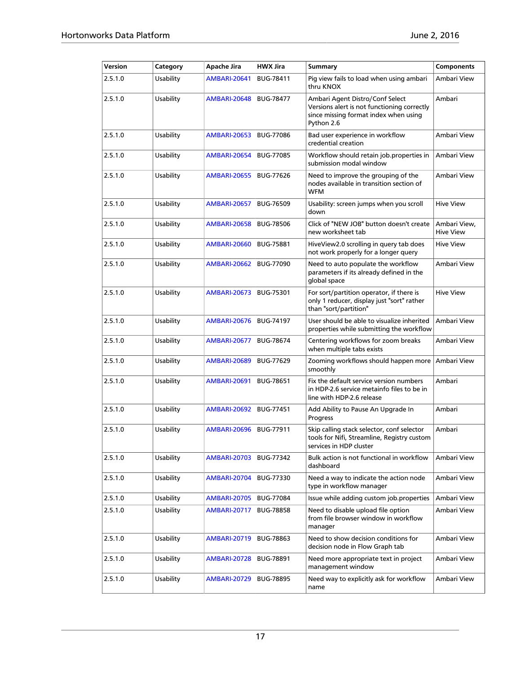| Version | Category  | Apache Jira         | <b>HWX Jira</b>  | <b>Summary</b>                                                                                                                        | <b>Components</b>                |
|---------|-----------|---------------------|------------------|---------------------------------------------------------------------------------------------------------------------------------------|----------------------------------|
| 2.5.1.0 | Usability | <b>AMBARI-20641</b> | <b>BUG-78411</b> | Pig view fails to load when using ambari<br>thru KNOX                                                                                 | Ambari View                      |
| 2.5.1.0 | Usability | <b>AMBARI-20648</b> | <b>BUG-78477</b> | Ambari Agent Distro/Conf Select<br>Versions alert is not functioning correctly<br>since missing format index when using<br>Python 2.6 | Ambari                           |
| 2.5.1.0 | Usability | <b>AMBARI-20653</b> | <b>BUG-77086</b> | Bad user experience in workflow<br>credential creation                                                                                | Ambari View                      |
| 2.5.1.0 | Usability | <b>AMBARI-20654</b> | <b>BUG-77085</b> | Workflow should retain job.properties in<br>submission modal window                                                                   | Ambari View                      |
| 2.5.1.0 | Usability | <b>AMBARI-20655</b> | <b>BUG-77626</b> | Need to improve the grouping of the<br>nodes available in transition section of<br><b>WFM</b>                                         | Ambari View                      |
| 2.5.1.0 | Usability | <b>AMBARI-20657</b> | <b>BUG-76509</b> | Usability: screen jumps when you scroll<br>down                                                                                       | <b>Hive View</b>                 |
| 2.5.1.0 | Usability | <b>AMBARI-20658</b> | <b>BUG-78506</b> | Click of "NEW JOB" button doesn't create<br>new worksheet tab                                                                         | Ambari View,<br><b>Hive View</b> |
| 2.5.1.0 | Usability | <b>AMBARI-20660</b> | <b>BUG-75881</b> | HiveView2.0 scrolling in query tab does<br>not work properly for a longer query                                                       | Hive View                        |
| 2.5.1.0 | Usability | <b>AMBARI-20662</b> | <b>BUG-77090</b> | Need to auto populate the workflow<br>parameters if its already defined in the<br>global space                                        | Ambari View                      |
| 2.5.1.0 | Usability | <b>AMBARI-20673</b> | <b>BUG-75301</b> | For sort/partition operator, if there is<br>only 1 reducer, display just "sort" rather<br>than "sort/partition"                       | <b>Hive View</b>                 |
| 2.5.1.0 | Usability | <b>AMBARI-20676</b> | <b>BUG-74197</b> | User should be able to visualize inherited<br>properties while submitting the workflow                                                | Ambari View                      |
| 2.5.1.0 | Usability | AMBARI-20677        | <b>BUG-78674</b> | Centering workflows for zoom breaks<br>when multiple tabs exists                                                                      | Ambari View                      |
| 2.5.1.0 | Usability | AMBARI-20689        | <b>BUG-77629</b> | Zooming workflows should happen more<br>smoothly                                                                                      | Ambari View                      |
| 2.5.1.0 | Usability | <b>AMBARI-20691</b> | <b>BUG-78651</b> | Fix the default service version numbers<br>in HDP-2.6 service metainfo files to be in<br>line with HDP-2.6 release                    | Ambari                           |
| 2.5.1.0 | Usability | <b>AMBARI-20692</b> | <b>BUG-77451</b> | Add Ability to Pause An Upgrade In<br>Progress                                                                                        | Ambari                           |
| 2.5.1.0 | Usability | <b>AMBARI-20696</b> | BUG-77911        | Skip calling stack selector, conf selector<br>tools for Nifi, Streamline, Registry custom<br>services in HDP cluster                  | Ambari                           |
| 2.5.1.0 | Usability | <b>AMBARI-20703</b> | BUG-77342        | Bulk action is not functional in workflow<br>dashboard                                                                                | Ambari View                      |
| 2.5.1.0 | Usability | <b>AMBARI-20704</b> | BUG-77330        | Need a way to indicate the action node<br>type in workflow manager                                                                    | Ambari View                      |
| 2.5.1.0 | Usability | <b>AMBARI-20705</b> | <b>BUG-77084</b> | Issue while adding custom job.properties                                                                                              | Ambari View                      |
| 2.5.1.0 | Usability | <b>AMBARI-20717</b> | <b>BUG-78858</b> | Need to disable upload file option<br>from file browser window in workflow<br>manager                                                 | Ambari View                      |
| 2.5.1.0 | Usability | <b>AMBARI-20719</b> | <b>BUG-78863</b> | Need to show decision conditions for<br>decision node in Flow Graph tab                                                               | Ambari View                      |
| 2.5.1.0 | Usability | <b>AMBARI-20728</b> | <b>BUG-78891</b> | Need more appropriate text in project<br>management window                                                                            | Ambari View                      |
| 2.5.1.0 | Usability | <b>AMBARI-20729</b> | <b>BUG-78895</b> | Need way to explicitly ask for workflow<br>name                                                                                       | Ambari View                      |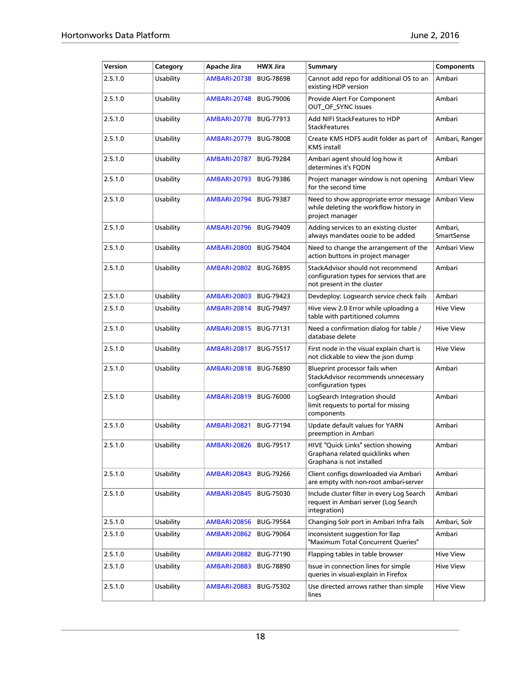| Version | Category  | Apache Jira         | <b>HWX Jira</b>  | <b>Summary</b>                                                                                               | <b>Components</b>            |
|---------|-----------|---------------------|------------------|--------------------------------------------------------------------------------------------------------------|------------------------------|
| 2.5.1.0 | Usability | <b>AMBARI-20738</b> | <b>BUG-78698</b> | Cannot add repo for additional OS to an<br>existing HDP version                                              | Ambari                       |
| 2.5.1.0 | Usability | <b>AMBARI-20748</b> | <b>BUG-79006</b> | Provide Alert For Component<br><b>OUT_OF_SYNC Issues</b>                                                     | Ambari                       |
| 2.5.1.0 | Usability | <b>AMBARI-20778</b> | <b>BUG-77913</b> | Add NIFI StackFeatures to HDP<br><b>StackFeatures</b>                                                        | Ambari                       |
| 2.5.1.0 | Usability | <b>AMBARI-20779</b> | <b>BUG-78008</b> | Create KMS HDFS audit folder as part of<br><b>KMS</b> install                                                | Ambari, Ranger               |
| 2.5.1.0 | Usability | <b>AMBARI-20787</b> | <b>BUG-79284</b> | Ambari agent should log how it<br>determines it's FQDN                                                       | Ambari                       |
| 2.5.1.0 | Usability | <b>AMBARI-20793</b> | <b>BUG-79386</b> | Project manager window is not opening<br>for the second time                                                 | Ambari View                  |
| 2.5.1.0 | Usability | <b>AMBARI-20794</b> | <b>BUG-79387</b> | Need to show appropriate error message<br>while deleting the workflow history in<br>project manager          | Ambari View                  |
| 2.5.1.0 | Usability | <b>AMBARI-20796</b> | <b>BUG-79409</b> | Adding services to an existing cluster<br>always mandates oozie to be added                                  | Ambari,<br><b>SmartSense</b> |
| 2.5.1.0 | Usability | <b>AMBARI-20800</b> | <b>BUG-79404</b> | Need to change the arrangement of the<br>action buttons in project manager                                   | Ambari View                  |
| 2.5.1.0 | Usability | <b>AMBARI-20802</b> | <b>BUG-76895</b> | StackAdvisor should not recommend<br>configuration types for services that are<br>not present in the cluster | Ambari                       |
| 2.5.1.0 | Usability | <b>AMBARI-20803</b> | <b>BUG-79423</b> | Devdeploy: Logsearch service check fails                                                                     | Ambari                       |
| 2.5.1.0 | Usability | <b>AMBARI-20814</b> | <b>BUG-79497</b> | Hive view 2.0 Error while uploading a<br>table with partitioned columns                                      | <b>Hive View</b>             |
| 2.5.1.0 | Usability | <b>AMBARI-20815</b> | <b>BUG-77131</b> | Need a confirmation dialog for table /<br>database delete                                                    | <b>Hive View</b>             |
| 2.5.1.0 | Usability | <b>AMBARI-20817</b> | <b>BUG-75517</b> | First node in the visual explain chart is<br>not clickable to view the json dump                             | <b>Hive View</b>             |
| 2.5.1.0 | Usability | <b>AMBARI-20818</b> | <b>BUG-76890</b> | Blueprint processor fails when<br>StackAdvisor recommends unnecessary<br>configuration types                 | Ambari                       |
| 2.5.1.0 | Usability | <b>AMBARI-20819</b> | <b>BUG-76000</b> | LogSearch Integration should<br>limit requests to portal for missing<br>components                           | Ambari                       |
| 2.5.1.0 | Usability | <b>AMBARI-20821</b> | <b>BUG-77194</b> | Update default values for YARN<br>preemption in Ambari                                                       | Ambari                       |
| 2.5.1.0 | Usability | <b>AMBARI-20826</b> | BUG-79517        | HIVE "Quick Links" section showing<br>Graphana related quicklinks when<br>Graphana is not installed          | Ambari                       |
| 2.5.1.0 | Usability | <b>AMBARI-20843</b> | <b>BUG-79266</b> | Client configs downloaded via Ambari<br>are empty with non-root ambari-server                                | Ambari                       |
| 2.5.1.0 | Usability | <b>AMBARI-20845</b> | <b>BUG-75030</b> | Include cluster filter in every Log Search<br>request in Ambari server (Log Search<br>integration)           | Ambari                       |
| 2.5.1.0 | Usability | <b>AMBARI-20856</b> | <b>BUG-79564</b> | Changing Solr port in Ambari Infra fails                                                                     | Ambari, Solr                 |
| 2.5.1.0 | Usability | <b>AMBARI-20862</b> | <b>BUG-79064</b> | inconsistent suggestion for llap<br>"Maximum Total Concurrent Queries"                                       | Ambari                       |
| 2.5.1.0 | Usability | <b>AMBARI-20882</b> | BUG-77190        | Flapping tables in table browser                                                                             | Hive View                    |
| 2.5.1.0 | Usability | <b>AMBARI-20883</b> | <b>BUG-78890</b> | Issue in connection lines for simple<br>queries in visual-explain in Firefox                                 | Hive View                    |
| 2.5.1.0 | Usability | <b>AMBARI-20883</b> | BUG-75302        | Use directed arrows rather than simple<br>lines                                                              | Hive View                    |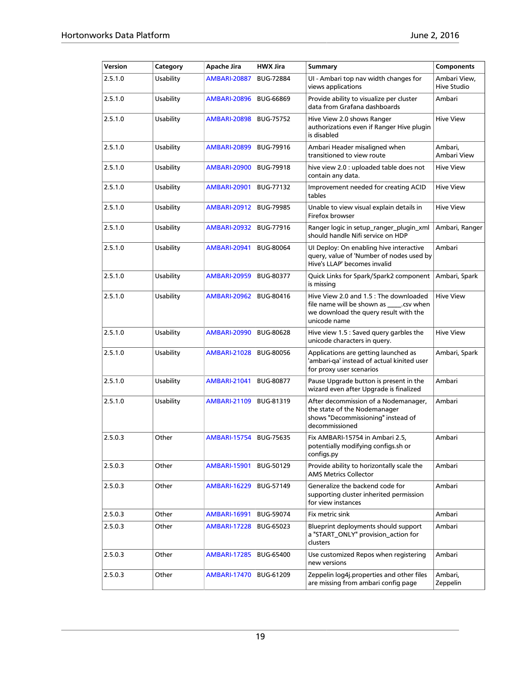| Version | Category  | Apache Jira              | <b>HWX Jira</b>  | <b>Summary</b>                                                                                                                                | <b>Components</b>           |
|---------|-----------|--------------------------|------------------|-----------------------------------------------------------------------------------------------------------------------------------------------|-----------------------------|
| 2.5.1.0 | Usability | <b>AMBARI-20887</b>      | <b>BUG-72884</b> | UI - Ambari top nav width changes for<br>views applications                                                                                   | Ambari View,<br>Hive Studio |
| 2.5.1.0 | Usability | <b>AMBARI-20896</b>      | <b>BUG-66869</b> | Provide ability to visualize per cluster<br>data from Grafana dashboards                                                                      | Ambari                      |
| 2.5.1.0 | Usability | <b>AMBARI-20898</b>      | <b>BUG-75752</b> | Hive View 2.0 shows Ranger<br>authorizations even if Ranger Hive plugin<br>is disabled                                                        | <b>Hive View</b>            |
| 2.5.1.0 | Usability | <b>AMBARI-20899</b>      | <b>BUG-79916</b> | Ambari Header misaligned when<br>transitioned to view route                                                                                   | Ambari,<br>Ambari View      |
| 2.5.1.0 | Usability | AMBARI-20900             | <b>BUG-79918</b> | hive view 2.0 : uploaded table does not<br>contain any data.                                                                                  | <b>Hive View</b>            |
| 2.5.1.0 | Usability | AMBARI-20901             | BUG-77132        | Improvement needed for creating ACID<br>tables                                                                                                | <b>Hive View</b>            |
| 2.5.1.0 | Usability | <b>AMBARI-20912</b>      | <b>BUG-79985</b> | Unable to view visual explain details in<br>Firefox browser                                                                                   | <b>Hive View</b>            |
| 2.5.1.0 | Usability | <b>AMBARI-20932</b>      | <b>BUG-77916</b> | Ranger logic in setup_ranger_plugin_xml<br>should handle Nifi service on HDP                                                                  | Ambari, Ranger              |
| 2.5.1.0 | Usability | <b>AMBARI-20941</b>      | <b>BUG-80064</b> | UI Deploy: On enabling hive interactive<br>query, value of 'Number of nodes used by<br>Hive's LLAP' becomes invalid                           | Ambari                      |
| 2.5.1.0 | Usability | <b>AMBARI-20959</b>      | <b>BUG-80377</b> | Quick Links for Spark/Spark2 component<br>is missing                                                                                          | Ambari, Spark               |
| 2.5.1.0 | Usability | <b>AMBARI-20962</b>      | BUG-80416        | Hive View 2.0 and 1.5 : The downloaded<br>file name will be shown as _____. csv when<br>we download the query result with the<br>unicode name | <b>Hive View</b>            |
| 2.5.1.0 | Usability | <b>AMBARI-20990</b>      | <b>BUG-80628</b> | Hive view 1.5 : Saved query garbles the<br>unicode characters in query.                                                                       | <b>Hive View</b>            |
| 2.5.1.0 | Usability | <b>AMBARI-21028</b>      | <b>BUG-80056</b> | Applications are getting launched as<br>'ambari-qa' instead of actual kinited user<br>for proxy user scenarios                                | Ambari, Spark               |
| 2.5.1.0 | Usability | <b>AMBARI-21041</b>      | <b>BUG-80877</b> | Pause Upgrade button is present in the<br>wizard even after Upgrade is finalized                                                              | Ambari                      |
| 2.5.1.0 | Usability | <b>AMBARI-21109</b>      | BUG-81319        | After decommission of a Nodemanager,<br>the state of the Nodemanager<br>shows "Decommissioning" instead of<br>decommissioned                  | Ambari                      |
| 2.5.0.3 | Other     | AMBARI-15754   BUG-75635 |                  | Fix AMBARI-15754 in Ambari 2.5,<br>potentially modifying configs.sh or<br>configs.py                                                          | Ambari                      |
| 2.5.0.3 | Other     | <b>AMBARI-15901</b>      | <b>BUG-50129</b> | Provide ability to horizontally scale the<br><b>AMS Metrics Collector</b>                                                                     | Ambari                      |
| 2.5.0.3 | Other     | <b>AMBARI-16229</b>      | BUG-57149        | Generalize the backend code for<br>supporting cluster inherited permission<br>for view instances                                              | Ambari                      |
| 2.5.0.3 | Other     | <b>AMBARI-16991</b>      | <b>BUG-59074</b> | Fix metric sink                                                                                                                               | Ambari                      |
| 2.5.0.3 | Other     | <b>AMBARI-17228</b>      | BUG-65023        | Blueprint deployments should support<br>a "START ONLY" provision action for<br>clusters                                                       | Ambari                      |
| 2.5.0.3 | Other     | <b>AMBARI-17285</b>      | <b>BUG-65400</b> | Use customized Repos when registering<br>new versions                                                                                         | Ambari                      |
| 2.5.0.3 | Other     | <b>AMBARI-17470</b>      | BUG-61209        | Zeppelin log4j.properties and other files<br>are missing from ambari config page                                                              | Ambari,<br>Zeppelin         |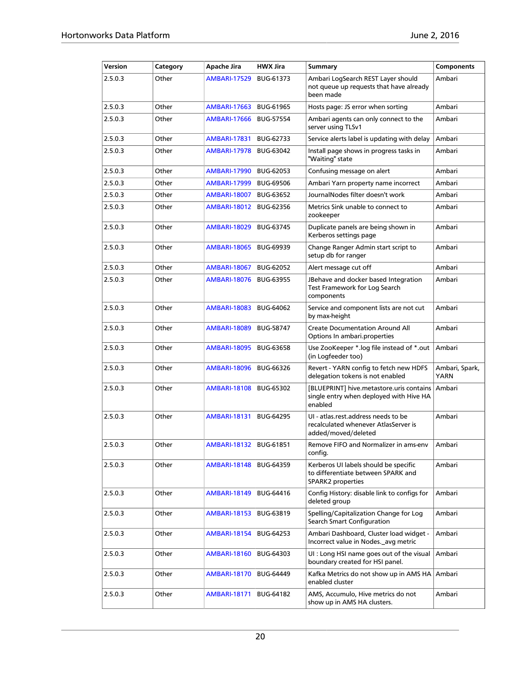| Version | Category | Apache Jira         | <b>HWX Jira</b>  | Summary                                                                                            | <b>Components</b>             |
|---------|----------|---------------------|------------------|----------------------------------------------------------------------------------------------------|-------------------------------|
| 2.5.0.3 | Other    | <b>AMBARI-17529</b> | <b>BUG-61373</b> | Ambari LogSearch REST Layer should<br>not queue up requests that have already<br>been made         | Ambari                        |
| 2.5.0.3 | Other    | <b>AMBARI-17663</b> | <b>BUG-61965</b> | Hosts page: JS error when sorting                                                                  | Ambari                        |
| 2.5.0.3 | Other    | <b>AMBARI-17666</b> | <b>BUG-57554</b> | Ambari agents can only connect to the<br>server using TLSv1                                        | Ambari                        |
| 2.5.0.3 | Other    | <b>AMBARI-17831</b> | BUG-62733        | Service alerts label is updating with delay                                                        | Ambari                        |
| 2.5.0.3 | Other    | <b>AMBARI-17978</b> | <b>BUG-63042</b> | Install page shows in progress tasks in<br>"Waiting" state                                         | Ambari                        |
| 2.5.0.3 | Other    | <b>AMBARI-17990</b> | <b>BUG-62053</b> | Confusing message on alert                                                                         | Ambari                        |
| 2.5.0.3 | Other    | <b>AMBARI-17999</b> | <b>BUG-69506</b> | Ambari Yarn property name incorrect                                                                | Ambari                        |
| 2.5.0.3 | Other    | <b>AMBARI-18007</b> | <b>BUG-63652</b> | JournalNodes filter doesn't work                                                                   | Ambari                        |
| 2.5.0.3 | Other    | <b>AMBARI-18012</b> | <b>BUG-62356</b> | Metrics Sink unable to connect to<br>zookeeper                                                     | Ambari                        |
| 2.5.0.3 | Other    | <b>AMBARI-18029</b> | BUG-63745        | Duplicate panels are being shown in<br>Kerberos settings page                                      | Ambari                        |
| 2.5.0.3 | Other    | <b>AMBARI-18065</b> | <b>BUG-69939</b> | Change Ranger Admin start script to<br>setup db for ranger                                         | Ambari                        |
| 2.5.0.3 | Other    | <b>AMBARI-18067</b> | BUG-62052        | Alert message cut off                                                                              | Ambari                        |
| 2.5.0.3 | Other    | <b>AMBARI-18076</b> | <b>BUG-63955</b> | JBehave and docker based Integration<br>Test Framework for Log Search<br>components                | Ambari                        |
| 2.5.0.3 | Other    | <b>AMBARI-18083</b> | BUG-64062        | Service and component lists are not cut<br>by max-height                                           | Ambari                        |
| 2.5.0.3 | Other    | <b>AMBARI-18089</b> | <b>BUG-58747</b> | <b>Create Documentation Around All</b><br>Options In ambari.properties                             | Ambari                        |
| 2.5.0.3 | Other    | <b>AMBARI-18095</b> | <b>BUG-63658</b> | Use ZooKeeper *.log file instead of *.out<br>(in Logfeeder too)                                    | Ambari                        |
| 2.5.0.3 | Other    | <b>AMBARI-18096</b> | <b>BUG-66326</b> | Revert - YARN config to fetch new HDFS<br>delegation tokens is not enabled                         | Ambari, Spark,<br><b>YARN</b> |
| 2.5.0.3 | Other    | <b>AMBARI-18108</b> | <b>BUG-65302</b> | [BLUEPRINT] hive.metastore.uris contains<br>single entry when deployed with Hive HA<br>enabled     | Ambari                        |
| 2.5.0.3 | Other    | <b>AMBARI-18131</b> | <b>BUG-64295</b> | UI - atlas.rest.address needs to be<br>recalculated whenever AtlasServer is<br>added/moved/deleted | Ambari                        |
| 2.5.0.3 | Other    | <b>AMBARI-18132</b> | BUG-61851        | Remove FIFO and Normalizer in ams-env<br>config.                                                   | Ambari                        |
| 2.5.0.3 | Other    | <b>AMBARI-18148</b> | BUG-64359        | Kerberos UI labels should be specific<br>to differentiate between SPARK and<br>SPARK2 properties   | Ambari                        |
| 2.5.0.3 | Other    | AMBARI-18149        | BUG-64416        | Config History: disable link to configs for<br>deleted group                                       | Ambari                        |
| 2.5.0.3 | Other    | <b>AMBARI-18153</b> | <b>BUG-63819</b> | Spelling/Capitalization Change for Log<br>Search Smart Configuration                               | Ambari                        |
| 2.5.0.3 | Other    | <b>AMBARI-18154</b> | <b>BUG-64253</b> | Ambari Dashboard, Cluster load widget -<br>Incorrect value in Nodes. avg metric                    | Ambari                        |
| 2.5.0.3 | Other    | <b>AMBARI-18160</b> | <b>BUG-64303</b> | UI : Long HSI name goes out of the visual<br>boundary created for HSI panel.                       | Ambari                        |
| 2.5.0.3 | Other    | <b>AMBARI-18170</b> | <b>BUG-64449</b> | Kafka Metrics do not show up in AMS HA<br>enabled cluster                                          | Ambari                        |
| 2.5.0.3 | Other    | <b>AMBARI-18171</b> | <b>BUG-64182</b> | AMS, Accumulo, Hive metrics do not<br>show up in AMS HA clusters.                                  | Ambari                        |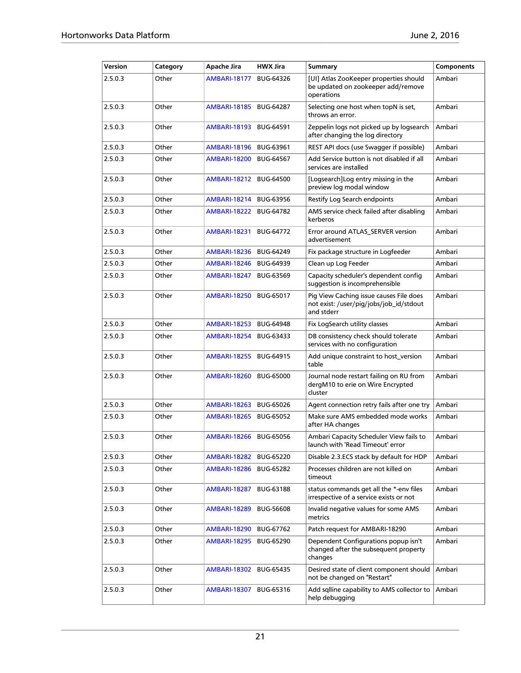| Version | Category | Apache Jira         | <b>HWX Jira</b>  | Summary                                                                                          | <b>Components</b> |
|---------|----------|---------------------|------------------|--------------------------------------------------------------------------------------------------|-------------------|
| 2.5.0.3 | Other    | <b>AMBARI-18177</b> | <b>BUG-64326</b> | [UI] Atlas ZooKeeper properties should<br>be updated on zookeeper add/remove<br>operations       | Ambari            |
| 2.5.0.3 | Other    | <b>AMBARI-18185</b> | <b>BUG-64287</b> | Selecting one host when topN is set,<br>throws an error.                                         | Ambari            |
| 2.5.0.3 | Other    | <b>AMBARI-18193</b> | <b>BUG-64591</b> | Zeppelin logs not picked up by logsearch<br>after changing the log directory                     | Ambari            |
| 2.5.0.3 | Other    | <b>AMBARI-18196</b> | <b>BUG-63961</b> | REST API docs (use Swagger if possible)                                                          | Ambari            |
| 2.5.0.3 | Other    | <b>AMBARI-18200</b> | <b>BUG-64567</b> | Add Service button is not disabled if all<br>services are installed                              | Ambari            |
| 2.5.0.3 | Other    | <b>AMBARI-18212</b> | <b>BUG-64500</b> | [Logsearch]Log entry missing in the<br>preview log modal window                                  | Ambari            |
| 2.5.0.3 | Other    | <b>AMBARI-18214</b> | <b>BUG-63956</b> | Restify Log Search endpoints                                                                     | Ambari            |
| 2.5.0.3 | Other    | <b>AMBARI-18222</b> | <b>BUG-64782</b> | AMS service check failed after disabling<br>kerberos                                             | Ambari            |
| 2.5.0.3 | Other    | <b>AMBARI-18231</b> | <b>BUG-64772</b> | Error around ATLAS_SERVER version<br>advertisement                                               | Ambari            |
| 2.5.0.3 | Other    | <b>AMBARI-18236</b> | <b>BUG-64249</b> | Fix package structure in Logfeeder                                                               | Ambari            |
| 2.5.0.3 | Other    | <b>AMBARI-18246</b> | <b>BUG-64939</b> | Clean up Log Feeder                                                                              | Ambari            |
| 2.5.0.3 | Other    | <b>AMBARI-18247</b> | <b>BUG-63569</b> | Capacity scheduler's dependent config<br>suggestion is incomprehensible                          | Ambari            |
| 2.5.0.3 | Other    | <b>AMBARI-18250</b> | <b>BUG-65017</b> | Pig View Caching issue causes File does<br>not exist: /user/pig/jobs/job_id/stdout<br>and stderr | Ambari            |
| 2.5.0.3 | Other    | <b>AMBARI-18253</b> | <b>BUG-64948</b> | Fix LogSearch utility classes                                                                    | Ambari            |
| 2.5.0.3 | Other    | <b>AMBARI-18254</b> | BUG-63433        | DB consistency check should tolerate<br>services with no configuration                           | Ambari            |
| 2.5.0.3 | Other    | <b>AMBARI-18255</b> | <b>BUG-64915</b> | Add unique constraint to host_version<br>table                                                   | Ambari            |
| 2.5.0.3 | Other    | <b>AMBARI-18260</b> | <b>BUG-65000</b> | Journal node restart failing on RU from<br>dergM10 to erie on Wire Encrypted<br>cluster          | Ambari            |
| 2.5.0.3 | Other    | <b>AMBARI-18263</b> | <b>BUG-65026</b> | Agent connection retry fails after one try                                                       | Ambari            |
| 2.5.0.3 | Other    | <b>AMBARI-18265</b> | <b>BUG-65052</b> | Make sure AMS embedded mode works<br>after HA changes                                            | Ambari            |
| 2.5.0.3 | Other    | <b>AMBARI-18266</b> | <b>BUG-65056</b> | Ambari Capacity Scheduler View fails to<br>launch with 'Read Timeout' error                      | Ambari            |
| 2.5.0.3 | Other    | <b>AMBARI-18282</b> | BUG-65220        | Disable 2.3.ECS stack by default for HDP                                                         | Ambari            |
| 2.5.0.3 | Other    | <b>AMBARI-18286</b> | <b>BUG-65282</b> | Processes children are not killed on<br>timeout                                                  | Ambari            |
| 2.5.0.3 | Other    | <b>AMBARI-18287</b> | <b>BUG-63188</b> | status commands get all the *-env files<br>irrespective of a service exists or not               | Ambari            |
| 2.5.0.3 | Other    | <b>AMBARI-18289</b> | <b>BUG-56608</b> | Invalid negative values for some AMS<br>metrics                                                  | Ambari            |
| 2.5.0.3 | Other    | <b>AMBARI-18290</b> | BUG-67762        | Patch request for AMBARI-18290                                                                   | Ambari            |
| 2.5.0.3 | Other    | <b>AMBARI-18295</b> | <b>BUG-65290</b> | Dependent Configurations popup isn't<br>changed after the subsequent property<br>changes         | Ambari            |
| 2.5.0.3 | Other    | <b>AMBARI-18302</b> | BUG-65435        | Desired state of client component should<br>not be changed on "Restart"                          | Ambari            |
| 2.5.0.3 | Other    | <b>AMBARI-18307</b> | BUG-65316        | Add sqlline capability to AMS collector to<br>help debugging                                     | Ambari            |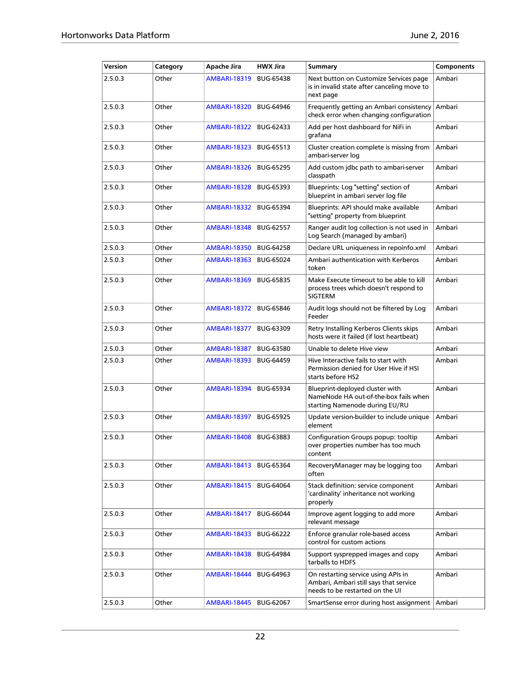| Version | Category | Apache Jira         | <b>HWX Jira</b>  | <b>Summary</b>                                                                                                   | Components |
|---------|----------|---------------------|------------------|------------------------------------------------------------------------------------------------------------------|------------|
| 2.5.0.3 | Other    | <b>AMBARI-18319</b> | <b>BUG-65438</b> | Next button on Customize Services page<br>is in invalid state after canceling move to<br>next page               | Ambari     |
| 2.5.0.3 | Other    | <b>AMBARI-18320</b> | <b>BUG-64946</b> | Frequently getting an Ambari consistency<br>check error when changing configuration                              | Ambari     |
| 2.5.0.3 | Other    | <b>AMBARI-18322</b> | BUG-62433        | Add per host dashboard for NiFi in<br>grafana                                                                    | Ambari     |
| 2.5.0.3 | Other    | <b>AMBARI-18323</b> | BUG-65513        | Cluster creation complete is missing from<br>ambari-server log                                                   | Ambari     |
| 2.5.0.3 | Other    | <b>AMBARI-18326</b> | <b>BUG-65295</b> | Add custom jdbc path to ambari-server<br>classpath                                                               | Ambari     |
| 2.5.0.3 | Other    | <b>AMBARI-18328</b> | BUG-65393        | Blueprints: Log "setting" section of<br>blueprint in ambari server log file                                      | Ambari     |
| 2.5.0.3 | Other    | <b>AMBARI-18332</b> | <b>BUG-65394</b> | Blueprints: API should make available<br>"setting" property from blueprint                                       | Ambari     |
| 2.5.0.3 | Other    | <b>AMBARI-18348</b> | <b>BUG-62557</b> | Ranger audit log collection is not used in<br>Log Search (managed by ambari)                                     | Ambari     |
| 2.5.0.3 | Other    | <b>AMBARI-18350</b> | <b>BUG-64258</b> | Declare URL uniqueness in repoinfo.xml                                                                           | Ambari     |
| 2.5.0.3 | Other    | <b>AMBARI-18363</b> | <b>BUG-65024</b> | Ambari authentication with Kerberos<br>token                                                                     | Ambari     |
| 2.5.0.3 | Other    | <b>AMBARI-18369</b> | <b>BUG-65835</b> | Make Execute timeout to be able to kill<br>process trees which doesn't respond to<br><b>SIGTERM</b>              | Ambari     |
| 2.5.0.3 | Other    | <b>AMBARI-18372</b> | <b>BUG-65846</b> | Audit logs should not be filtered by Log<br>Feeder                                                               | Ambari     |
| 2.5.0.3 | Other    | <b>AMBARI-18377</b> | <b>BUG-63309</b> | Retry Installing Kerberos Clients skips<br>hosts were it failed (if lost heartbeat)                              | Ambari     |
| 2.5.0.3 | Other    | <b>AMBARI-18387</b> | BUG-63580        | Unable to delete Hive view                                                                                       | Ambari     |
| 2.5.0.3 | Other    | <b>AMBARI-18393</b> | <b>BUG-64459</b> | Hive Interactive fails to start with<br>Permission denied for User Hive if HSI<br>starts before HS2              | Ambari     |
| 2.5.0.3 | Other    | <b>AMBARI-18394</b> | <b>BUG-65934</b> | Blueprint-deployed cluster with<br>NameNode HA out-of-the-box fails when<br>starting Namenode during EU/RU       | Ambari     |
| 2.5.0.3 | Other    | <b>AMBARI-18397</b> | <b>BUG-65925</b> | Update version-builder to include unique<br>element                                                              | Ambari     |
| 2.5.0.3 | Other    | <b>AMBARI-18408</b> | <b>BUG-63883</b> | Configuration Groups popup: tooltip<br>over properties number has too much<br>content                            | Ambari     |
| 2.5.0.3 | Other    | <b>AMBARI-18413</b> | <b>BUG-65364</b> | RecoveryManager may be logging too<br>often                                                                      | Ambari     |
| 2.5.0.3 | Other    | <b>AMBARI-18415</b> | BUG-64064        | Stack definition: service component<br>'cardinality' inheritance not working<br>properly                         | Ambari     |
| 2.5.0.3 | Other    | <b>AMBARI-18417</b> | <b>BUG-66044</b> | Improve agent logging to add more<br>relevant message                                                            | Ambari     |
| 2.5.0.3 | Other    | <b>AMBARI-18433</b> | <b>BUG-66222</b> | Enforce granular role-based access<br>control for custom actions                                                 | Ambari     |
| 2.5.0.3 | Other    | AMBARI-18438        | <b>BUG-64984</b> | Support sysprepped images and copy<br>tarballs to HDFS                                                           | Ambari     |
| 2.5.0.3 | Other    | AMBARI-18444        | BUG-64963        | On restarting service using APIs in<br>Ambari, Ambari still says that service<br>needs to be restarted on the UI | Ambari     |
| 2.5.0.3 | Other    | AMBARI-18445        | <b>BUG-62067</b> | SmartSense error during host assignment   Ambari                                                                 |            |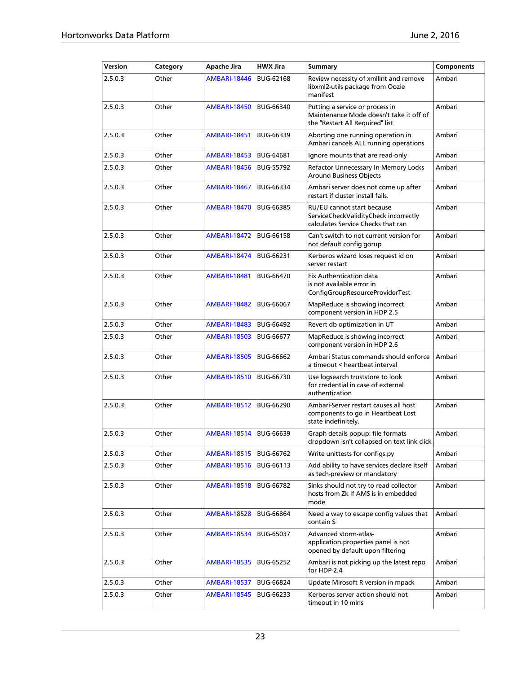| Version | Category | Apache Jira         | <b>HWX Jira</b>  | <b>Summary</b>                                                                                                | <b>Components</b> |
|---------|----------|---------------------|------------------|---------------------------------------------------------------------------------------------------------------|-------------------|
| 2.5.0.3 | Other    | <b>AMBARI-18446</b> | <b>BUG-62168</b> | Review necessity of xmllint and remove<br>libxml2-utils package from Oozie<br>manifest                        | Ambari            |
| 2.5.0.3 | Other    | <b>AMBARI-18450</b> | <b>BUG-66340</b> | Putting a service or process in<br>Maintenance Mode doesn't take it off of<br>the "Restart All Required" list | Ambari            |
| 2.5.0.3 | Other    | <b>AMBARI-18451</b> | <b>BUG-66339</b> | Aborting one running operation in<br>Ambari cancels ALL running operations                                    | Ambari            |
| 2.5.0.3 | Other    | <b>AMBARI-18453</b> | <b>BUG-64681</b> | Ignore mounts that are read-only                                                                              | Ambari            |
| 2.5.0.3 | Other    | <b>AMBARI-18456</b> | <b>BUG-55792</b> | Refactor Unnecessary In-Memory Locks<br><b>Around Business Objects</b>                                        | Ambari            |
| 2.5.0.3 | Other    | <b>AMBARI-18467</b> | <b>BUG-66334</b> | Ambari server does not come up after<br>restart if cluster install fails.                                     | Ambari            |
| 2.5.0.3 | Other    | <b>AMBARI-18470</b> | <b>BUG-66385</b> | RU/EU cannot start because<br>ServiceCheckValidityCheck incorrectly<br>calculates Service Checks that ran     | Ambari            |
| 2.5.0.3 | Other    | <b>AMBARI-18472</b> | <b>BUG-66158</b> | Can't switch to not current version for<br>not default config gorup                                           | Ambari            |
| 2.5.0.3 | Other    | <b>AMBARI-18474</b> | BUG-66231        | Kerberos wizard loses request id on<br>server restart                                                         | Ambari            |
| 2.5.0.3 | Other    | <b>AMBARI-18481</b> | <b>BUG-66470</b> | <b>Fix Authentication data</b><br>is not available error in<br>ConfigGroupResourceProviderTest                | Ambari            |
| 2.5.0.3 | Other    | <b>AMBARI-18482</b> | <b>BUG-66067</b> | MapReduce is showing incorrect<br>component version in HDP 2.5                                                | Ambari            |
| 2.5.0.3 | Other    | <b>AMBARI-18483</b> | <b>BUG-66492</b> | Revert db optimization in UT                                                                                  | Ambari            |
| 2.5.0.3 | Other    | <b>AMBARI-18503</b> | <b>BUG-66677</b> | MapReduce is showing incorrect<br>component version in HDP 2.6                                                | Ambari            |
| 2.5.0.3 | Other    | <b>AMBARI-18505</b> | <b>BUG-66662</b> | Ambari Status commands should enforce<br>a timeout < heartbeat interval                                       | Ambari            |
| 2.5.0.3 | Other    | <b>AMBARI-18510</b> | <b>BUG-66730</b> | Use logsearch truststore to look<br>for credential in case of external<br>authentication                      | Ambari            |
| 2.5.0.3 | Other    | <b>AMBARI-18512</b> | <b>BUG-66290</b> | Ambari-Server restart causes all host<br>components to go in Heartbeat Lost<br>state indefinitely.            | Ambari            |
| 2.5.0.3 | Other    | <b>AMBARI-18514</b> | <b>BUG-66639</b> | Graph details popup: file formats<br>dropdown isn't collapsed on text link click                              | Ambari            |
| 2.5.0.3 | Other    | <b>AMBARI-18515</b> | <b>BUG-66762</b> | Write unittests for configs.py                                                                                | Ambari            |
| 2.5.0.3 | Other    | <b>AMBARI-18516</b> | BUG-66113        | Add ability to have services declare itself<br>as tech-preview or mandatory                                   | Ambari            |
| 2.5.0.3 | Other    | <b>AMBARI-18518</b> | <b>BUG-66782</b> | Sinks should not try to read collector<br>hosts from Zk if AMS is in embedded<br>mode                         | Ambari            |
| 2.5.0.3 | Other    | <b>AMBARI-18528</b> | <b>BUG-66864</b> | Need a way to escape config values that<br>contain \$                                                         | Ambari            |
| 2.5.0.3 | Other    | <b>AMBARI-18534</b> | <b>BUG-65037</b> | Advanced storm-atlas-<br>application.properties panel is not<br>opened by default upon filtering              | Ambari            |
| 2.5.0.3 | Other    | <b>AMBARI-18535</b> | <b>BUG-65252</b> | Ambari is not picking up the latest repo<br>for HDP-2.4                                                       | Ambari            |
| 2.5.0.3 | Other    | <b>AMBARI-18537</b> | <b>BUG-66824</b> | Update Mirosoft R version in mpack                                                                            | Ambari            |
| 2.5.0.3 | Other    | <b>AMBARI-18545</b> | <b>BUG-66233</b> | Kerberos server action should not<br>timeout in 10 mins                                                       | Ambari            |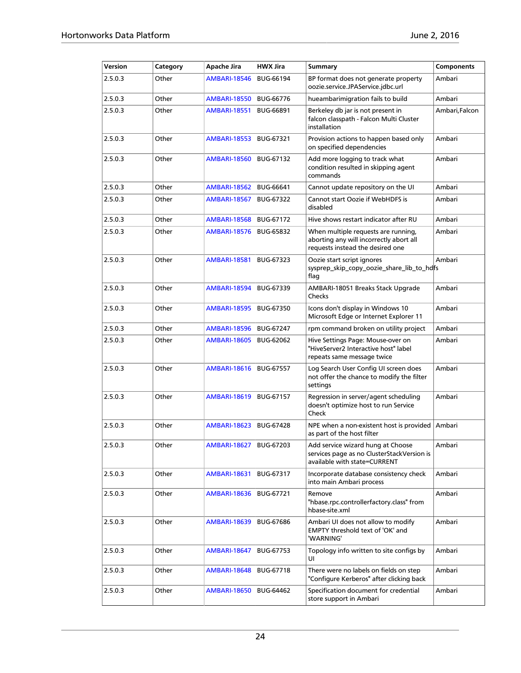| Version | Category | Apache Jira         | <b>HWX Jira</b>  | <b>Summary</b>                                                                                                     | <b>Components</b> |
|---------|----------|---------------------|------------------|--------------------------------------------------------------------------------------------------------------------|-------------------|
| 2.5.0.3 | Other    | <b>AMBARI-18546</b> | <b>BUG-66194</b> | BP format does not generate property<br>oozie.service.JPAService.jdbc.url                                          | Ambari            |
| 2.5.0.3 | Other    | <b>AMBARI-18550</b> | <b>BUG-66776</b> | hueambarimigration fails to build                                                                                  | Ambari            |
| 2.5.0.3 | Other    | <b>AMBARI-18551</b> | <b>BUG-66891</b> | Berkeley db jar is not present in<br>falcon classpath - Falcon Multi Cluster<br>installation                       | Ambari,Falcon     |
| 2.5.0.3 | Other    | <b>AMBARI-18553</b> | BUG-67321        | Provision actions to happen based only<br>on specified dependencies                                                | Ambari            |
| 2.5.0.3 | Other    | <b>AMBARI-18560</b> | BUG-67132        | Add more logging to track what<br>condition resulted in skipping agent<br>commands                                 | Ambari            |
| 2.5.0.3 | Other    | <b>AMBARI-18562</b> | <b>BUG-66641</b> | Cannot update repository on the UI                                                                                 | Ambari            |
| 2.5.0.3 | Other    | <b>AMBARI-18567</b> | <b>BUG-67322</b> | Cannot start Oozie if WebHDFS is<br>disabled                                                                       | Ambari            |
| 2.5.0.3 | Other    | <b>AMBARI-18568</b> | BUG-67172        | Hive shows restart indicator after RU                                                                              | Ambari            |
| 2.5.0.3 | Other    | <b>AMBARI-18576</b> | <b>BUG-65832</b> | When multiple requests are running,<br>aborting any will incorrectly abort all<br>requests instead the desired one | Ambari            |
| 2.5.0.3 | Other    | <b>AMBARI-18581</b> | BUG-67323        | Oozie start script ignores<br>sysprep_skip_copy_oozie_share_lib_to_hdfs<br>flag                                    | Ambari            |
| 2.5.0.3 | Other    | <b>AMBARI-18594</b> | BUG-67339        | AMBARI-18051 Breaks Stack Upgrade<br>Checks                                                                        | Ambari            |
| 2.5.0.3 | Other    | <b>AMBARI-18595</b> | <b>BUG-67350</b> | Icons don't display in Windows 10<br>Microsoft Edge or Internet Explorer 11                                        | Ambari            |
| 2.5.0.3 | Other    | <b>AMBARI-18596</b> | <b>BUG-67247</b> | rpm command broken on utility project                                                                              | Ambari            |
| 2.5.0.3 | Other    | <b>AMBARI-18605</b> | <b>BUG-62062</b> | Hive Settings Page: Mouse-over on<br>"HiveServer2 Interactive host" label<br>repeats same message twice            | Ambari            |
| 2.5.0.3 | Other    | <b>AMBARI-18616</b> | <b>BUG-67557</b> | Log Search User Config UI screen does<br>not offer the chance to modify the filter<br>settings                     | Ambari            |
| 2.5.0.3 | Other    | <b>AMBARI-18619</b> | <b>BUG-67157</b> | Regression in server/agent scheduling<br>doesn't optimize host to run Service<br>Check                             | Ambari            |
| 2.5.0.3 | Other    | <b>AMBARI-18623</b> | <b>BUG-67428</b> | NPE when a non-existent host is provided<br>as part of the host filter                                             | Ambari            |
| 2.5.0.3 | Other    | <b>AMBARI-18627</b> | <b>BUG-67203</b> | Add service wizard hung at Choose<br>services page as no ClusterStackVersion is<br>available with state=CURRENT    | Ambari            |
| 2.5.0.3 | Other    | <b>AMBARI-18631</b> | BUG-67317        | Incorporate database consistency check<br>into main Ambari process                                                 | Ambari            |
| 2.5.0.3 | Other    | <b>AMBARI-18636</b> | <b>BUG-67721</b> | Remove<br>"hbase.rpc.controllerfactory.class" from<br>hbase-site.xml                                               | Ambari            |
| 2.5.0.3 | Other    | <b>AMBARI-18639</b> | <b>BUG-67686</b> | Ambari UI does not allow to modify<br>EMPTY threshold text of 'OK' and<br>'WARNING'                                | Ambari            |
| 2.5.0.3 | Other    | <b>AMBARI-18647</b> | BUG-67753        | Topology info written to site configs by<br>UI                                                                     | Ambari            |
| 2.5.0.3 | Other    | <b>AMBARI-18648</b> | BUG-67718        | There were no labels on fields on step<br>"Configure Kerberos" after clicking back                                 | Ambari            |
| 2.5.0.3 | Other    | <b>AMBARI-18650</b> | BUG-64462        | Specification document for credential<br>store support in Ambari                                                   | Ambari            |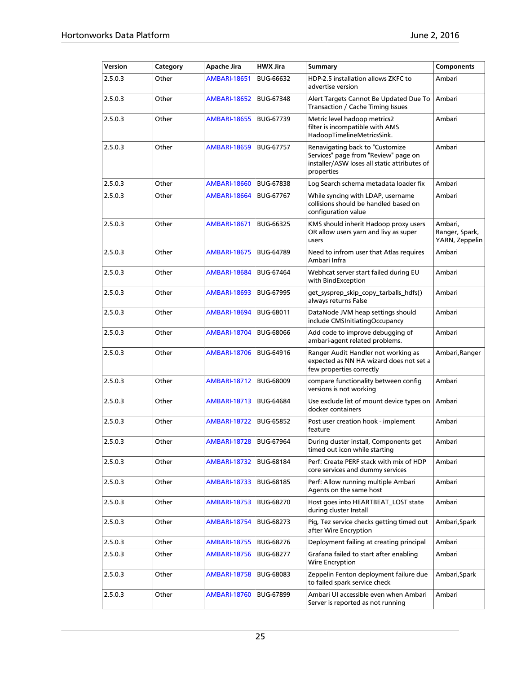| Version | Category | Apache Jira              | <b>HWX Jira</b>  | <b>Summary</b>                                                                                                                        | <b>Components</b>                           |
|---------|----------|--------------------------|------------------|---------------------------------------------------------------------------------------------------------------------------------------|---------------------------------------------|
| 2.5.0.3 | Other    | <b>AMBARI-18651</b>      | <b>BUG-66632</b> | HDP-2.5 installation allows ZKFC to<br>advertise version                                                                              | Ambari                                      |
| 2.5.0.3 | Other    | <b>AMBARI-18652</b>      | <b>BUG-67348</b> | Alert Targets Cannot Be Updated Due To<br>Transaction / Cache Timing Issues                                                           | Ambari                                      |
| 2.5.0.3 | Other    | <b>AMBARI-18655</b>      | <b>BUG-67739</b> | Metric level hadoop metrics2<br>filter is incompatible with AMS<br>HadoopTimelineMetricsSink.                                         | Ambari                                      |
| 2.5.0.3 | Other    | <b>AMBARI-18659</b>      | <b>BUG-67757</b> | Renavigating back to "Customize<br>Services" page from "Review" page on<br>installer/ASW loses all static attributes of<br>properties | Ambari                                      |
| 2.5.0.3 | Other    | <b>AMBARI-18660</b>      | <b>BUG-67838</b> | Log Search schema metadata loader fix                                                                                                 | Ambari                                      |
| 2.5.0.3 | Other    | <b>AMBARI-18664</b>      | <b>BUG-67767</b> | While syncing with LDAP, username<br>collisions should be handled based on<br>configuration value                                     | Ambari                                      |
| 2.5.0.3 | Other    | <b>AMBARI-18671</b>      | <b>BUG-66325</b> | KMS should inherit Hadoop proxy users<br>OR allow users yarn and livy as super<br>users                                               | Ambari,<br>Ranger, Spark,<br>YARN, Zeppelin |
| 2.5.0.3 | Other    | <b>AMBARI-18675</b>      | <b>BUG-64789</b> | Need to infrom user that Atlas requires<br>Ambari Infra                                                                               | Ambari                                      |
| 2.5.0.3 | Other    | <b>AMBARI-18684</b>      | <b>BUG-67464</b> | Webhcat server start failed during EU<br>with BindException                                                                           | Ambari                                      |
| 2.5.0.3 | Other    | <b>AMBARI-18693</b>      | <b>BUG-67995</b> | get_sysprep_skip_copy_tarballs_hdfs()<br>always returns False                                                                         | Ambari                                      |
| 2.5.0.3 | Other    | <b>AMBARI-18694</b>      | <b>BUG-68011</b> | DataNode JVM heap settings should<br>include CMSInitiatingOccupancy                                                                   | Ambari                                      |
| 2.5.0.3 | Other    | <b>AMBARI-18704</b>      | <b>BUG-68066</b> | Add code to improve debugging of<br>ambari-agent related problems.                                                                    | Ambari                                      |
| 2.5.0.3 | Other    | <b>AMBARI-18706</b>      | <b>BUG-64916</b> | Ranger Audit Handler not working as<br>expected as NN HA wizard does not set a<br>few properties correctly                            | Ambari, Ranger                              |
| 2.5.0.3 | Other    | <b>AMBARI-18712</b>      | <b>BUG-68009</b> | compare functionality between config<br>versions is not working                                                                       | Ambari                                      |
| 2.5.0.3 | Other    | <b>AMBARI-18713</b>      | <b>BUG-64684</b> | Use exclude list of mount device types on<br>docker containers                                                                        | Ambari                                      |
| 2.5.0.3 | Other    | <b>AMBARI-18722</b>      | <b>BUG-65852</b> | Post user creation hook - implement<br>feature                                                                                        | Ambari                                      |
| 2.5.0.3 | Other    | AMBARI-18728   BUG-67964 |                  | During cluster install, Components get<br>timed out icon while starting                                                               | Ambari                                      |
| 2.5.0.3 | Other    | <b>AMBARI-18732</b>      | BUG-68184        | Perf: Create PERF stack with mix of HDP<br>core services and dummy services                                                           | Ambari                                      |
| 2.5.0.3 | Other    | <b>AMBARI-18733</b>      | <b>BUG-68185</b> | Perf: Allow running multiple Ambari<br>Agents on the same host                                                                        | Ambari                                      |
| 2.5.0.3 | Other    | <b>AMBARI-18753</b>      | <b>BUG-68270</b> | Host goes into HEARTBEAT_LOST state<br>during cluster Install                                                                         | Ambari                                      |
| 2.5.0.3 | Other    | <b>AMBARI-18754</b>      | <b>BUG-68273</b> | Pig, Tez service checks getting timed out<br>after Wire Encryption                                                                    | Ambari, Spark                               |
| 2.5.0.3 | Other    | <b>AMBARI-18755</b>      | <b>BUG-68276</b> | Deployment failing at creating principal                                                                                              | Ambari                                      |
| 2.5.0.3 | Other    | <b>AMBARI-18756</b>      | <b>BUG-68277</b> | Grafana failed to start after enabling<br>Wire Encryption                                                                             | Ambari                                      |
| 2.5.0.3 | Other    | <b>AMBARI-18758</b>      | <b>BUG-68083</b> | Zeppelin Fenton deployment failure due<br>Ambari, Spark<br>to failed spark service check                                              |                                             |
| 2.5.0.3 | Other    | <b>AMBARI-18760</b>      | <b>BUG-67899</b> | Ambari UI accessible even when Ambari<br>Server is reported as not running                                                            | Ambari                                      |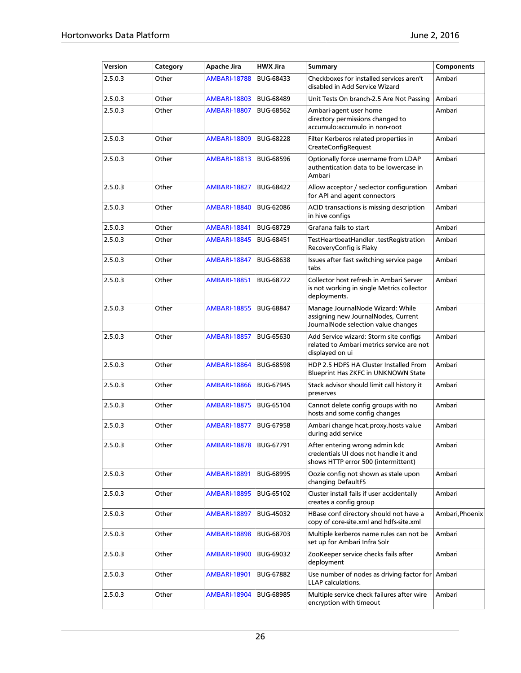| Version | Category | Apache Jira         | <b>HWX Jira</b>  | <b>Summary</b>                                                                                                 | Components      |
|---------|----------|---------------------|------------------|----------------------------------------------------------------------------------------------------------------|-----------------|
| 2.5.0.3 | Other    | <b>AMBARI-18788</b> | <b>BUG-68433</b> | Checkboxes for installed services aren't<br>disabled in Add Service Wizard                                     | Ambari          |
| 2.5.0.3 | Other    | <b>AMBARI-18803</b> | <b>BUG-68489</b> | Unit Tests On branch-2.5 Are Not Passing                                                                       | Ambari          |
| 2.5.0.3 | Other    | <b>AMBARI-18807</b> | <b>BUG-68562</b> | Ambari-agent user home<br>directory permissions changed to<br>accumulo:accumulo in non-root                    | Ambari          |
| 2.5.0.3 | Other    | <b>AMBARI-18809</b> | <b>BUG-68228</b> | Filter Kerberos related properties in<br>CreateConfigRequest                                                   | Ambari          |
| 2.5.0.3 | Other    | <b>AMBARI-18813</b> | <b>BUG-68596</b> | Optionally force username from LDAP<br>authentication data to be lowercase in<br>Ambari                        | Ambari          |
| 2.5.0.3 | Other    | <b>AMBARI-18827</b> | <b>BUG-68422</b> | Allow acceptor / seclector configuration<br>for API and agent connectors                                       | Ambari          |
| 2.5.0.3 | Other    | <b>AMBARI-18840</b> | <b>BUG-62086</b> | ACID transactions is missing description<br>in hive configs                                                    | Ambari          |
| 2.5.0.3 | Other    | <b>AMBARI-18841</b> | <b>BUG-68729</b> | Grafana fails to start                                                                                         | Ambari          |
| 2.5.0.3 | Other    | <b>AMBARI-18845</b> | <b>BUG-68451</b> | TestHeartbeatHandler .testRegistration<br>RecoveryConfig is Flaky                                              | Ambari          |
| 2.5.0.3 | Other    | <b>AMBARI-18847</b> | <b>BUG-68638</b> | Issues after fast switching service page<br>tabs                                                               | Ambari          |
| 2.5.0.3 | Other    | <b>AMBARI-18851</b> | <b>BUG-68722</b> | Collector host refresh in Ambari Server<br>is not working in single Metrics collector<br>deployments.          | Ambari          |
| 2.5.0.3 | Other    | <b>AMBARI-18855</b> | <b>BUG-68847</b> | Manage JournalNode Wizard: While<br>assigning new JournalNodes, Current<br>JournalNode selection value changes | Ambari          |
| 2.5.0.3 | Other    | <b>AMBARI-18857</b> | <b>BUG-65630</b> | Add Service wizard: Storm site configs<br>related to Ambari metrics service are not<br>displayed on ui         | Ambari          |
| 2.5.0.3 | Other    | <b>AMBARI-18864</b> | <b>BUG-68598</b> | HDP 2.5 HDFS HA Cluster Installed From<br>Blueprint Has ZKFC in UNKNOWN State                                  | Ambari          |
| 2.5.0.3 | Other    | <b>AMBARI-18866</b> | <b>BUG-67945</b> | Stack advisor should limit call history it<br>preserves                                                        | Ambari          |
| 2.5.0.3 | Other    | <b>AMBARI-18875</b> | <b>BUG-65104</b> | Cannot delete config groups with no<br>hosts and some config changes                                           | Ambari          |
| 2.5.0.3 | Other    | <b>AMBARI-18877</b> | <b>BUG-67958</b> | Ambari change hcat.proxy.hosts value<br>during add service                                                     | Ambari          |
| 2.5.0.3 | Other    | <b>AMBARI-18878</b> | BUG-67791        | After entering wrong admin kdc<br>credentials UI does not handle it and<br>shows HTTP error 500 (intermittent) | Ambari          |
| 2.5.0.3 | Other    | <b>AMBARI-18891</b> | <b>BUG-68995</b> | Oozie config not shown as stale upon<br>changing DefaultFS                                                     | Ambari          |
| 2.5.0.3 | Other    | <b>AMBARI-18895</b> | BUG-65102        | Cluster install fails if user accidentally<br>creates a config group                                           | Ambari          |
| 2.5.0.3 | Other    | <b>AMBARI-18897</b> | BUG-45032        | HBase conf directory should not have a<br>copy of core-site.xml and hdfs-site.xml                              | Ambari, Phoenix |
| 2.5.0.3 | Other    | <b>AMBARI-18898</b> | <b>BUG-68703</b> | Multiple kerberos name rules can not be<br>set up for Ambari Infra Solr                                        | Ambari          |
| 2.5.0.3 | Other    | <b>AMBARI-18900</b> | <b>BUG-69032</b> | ZooKeeper service checks fails after<br>deployment                                                             | Ambari          |
| 2.5.0.3 | Other    | <b>AMBARI-18901</b> | <b>BUG-67882</b> | Use number of nodes as driving factor for Ambari<br><b>LLAP</b> calculations.                                  |                 |
| 2.5.0.3 | Other    | <b>AMBARI-18904</b> | <b>BUG-68985</b> | Multiple service check failures after wire<br>encryption with timeout                                          | Ambari          |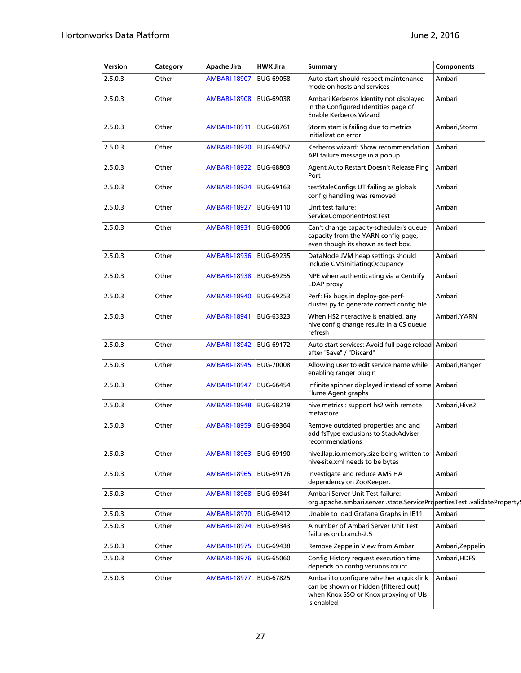| Version | Category | Apache Jira              | <b>HWX Jira</b>  | Summary                                                                                                                                 | <b>Components</b> |
|---------|----------|--------------------------|------------------|-----------------------------------------------------------------------------------------------------------------------------------------|-------------------|
| 2.5.0.3 | Other    | <b>AMBARI-18907</b>      | <b>BUG-69058</b> | Auto-start should respect maintenance<br>mode on hosts and services                                                                     | Ambari            |
| 2.5.0.3 | Other    | AMBARI-18908             | <b>BUG-69038</b> | Ambari Kerberos Identity not displayed<br>in the Configured Identities page of<br><b>Enable Kerberos Wizard</b>                         | Ambari            |
| 2.5.0.3 | Other    | <b>AMBARI-18911</b>      | <b>BUG-68761</b> | Storm start is failing due to metrics<br>initialization error                                                                           | Ambari,Storm      |
| 2.5.0.3 | Other    | <b>AMBARI-18920</b>      | <b>BUG-69057</b> | Kerberos wizard: Show recommendation<br>API failure message in a popup                                                                  | Ambari            |
| 2.5.0.3 | Other    | <b>AMBARI-18922</b>      | <b>BUG-68803</b> | Agent Auto Restart Doesn't Release Ping<br>Port                                                                                         | Ambari            |
| 2.5.0.3 | Other    | AMBARI-18924             | <b>BUG-69163</b> | testStaleConfigs UT failing as globals<br>config handling was removed                                                                   | Ambari            |
| 2.5.0.3 | Other    | <b>AMBARI-18927</b>      | BUG-69110        | Unit test failure:<br>ServiceComponentHostTest                                                                                          | Ambari            |
| 2.5.0.3 | Other    | <b>AMBARI-18931</b>      | <b>BUG-68006</b> | Can't change capacity-scheduler's queue<br>capacity from the YARN config page,<br>even though its shown as text box.                    | Ambari            |
| 2.5.0.3 | Other    | AMBARI-18936             | <b>BUG-69235</b> | DataNode JVM heap settings should<br>include CMSInitiatingOccupancy                                                                     | Ambari            |
| 2.5.0.3 | Other    | AMBARI-18938   BUG-69255 |                  | NPE when authenticating via a Centrify<br>LDAP proxy                                                                                    | Ambari            |
| 2.5.0.3 | Other    | <b>AMBARI-18940</b>      | <b>BUG-69253</b> | Perf: Fix bugs in deploy-gce-perf-<br>cluster.py to generate correct config file                                                        | Ambari            |
| 2.5.0.3 | Other    | <b>AMBARI-18941</b>      | BUG-63323        | When HS2Interactive is enabled, any<br>hive config change results in a CS queue<br>refresh                                              | Ambari, YARN      |
| 2.5.0.3 | Other    | <b>AMBARI-18942</b>      | <b>BUG-69172</b> | Auto-start services: Avoid full page reload Ambari<br>after "Save" / "Discard"                                                          |                   |
| 2.5.0.3 | Other    | <b>AMBARI-18945</b>      | <b>BUG-70008</b> | Allowing user to edit service name while<br>enabling ranger plugin                                                                      | Ambari, Ranger    |
| 2.5.0.3 | Other    | <b>AMBARI-18947</b>      | <b>BUG-66454</b> | Infinite spinner displayed instead of some Ambari<br>Flume Agent graphs                                                                 |                   |
| 2.5.0.3 | Other    | <b>AMBARI-18948</b>      | <b>BUG-68219</b> | hive metrics : support hs2 with remote<br>metastore                                                                                     | Ambari,Hive2      |
| 2.5.0.3 | Other    | <b>AMBARI-18959</b>      | <b>BUG-69364</b> | Remove outdated properties and and<br>add fsType exclusions to StackAdviser<br>recommendations                                          | Ambari            |
| 2.5.0.3 | Other    | <b>AMBARI-18963</b>      | <b>BUG-69190</b> | hive.llap.io.memory.size being written to<br>hive-site.xml needs to be bytes                                                            | Ambari            |
| 2.5.0.3 | Other    | <b>AMBARI-18965</b>      | BUG-69176        | Investigate and reduce AMS HA<br>dependency on ZooKeeper.                                                                               | Ambari            |
| 2.5.0.3 | Other    | <b>AMBARI-18968</b>      | BUG-69341        | Ambari Server Unit Test failure:<br>org.apache.ambari.server .state.ServicePropertiesTest .validateProperty!                            | Ambari            |
| 2.5.0.3 | Other    | <b>AMBARI-18970</b>      | BUG-69412        | Unable to load Grafana Graphs in IE11                                                                                                   | Ambari            |
| 2.5.0.3 | Other    | AMBARI-18974             | <b>BUG-69343</b> | A number of Ambari Server Unit Test<br>failures on branch-2.5                                                                           | Ambari            |
| 2.5.0.3 | Other    | AMBARI-18975             | <b>BUG-69438</b> | Remove Zeppelin View from Ambari                                                                                                        | Ambari, Zeppelin  |
| 2.5.0.3 | Other    | AMBARI-18976             | <b>BUG-65060</b> | Config History request execution time<br>depends on config versions count                                                               | Ambari,HDFS       |
| 2.5.0.3 | Other    | <b>AMBARI-18977</b>      | <b>BUG-67825</b> | Ambari to configure whether a quicklink<br>can be shown or hidden (filtered out)<br>when Knox SSO or Knox proxying of UIs<br>is enabled | Ambari            |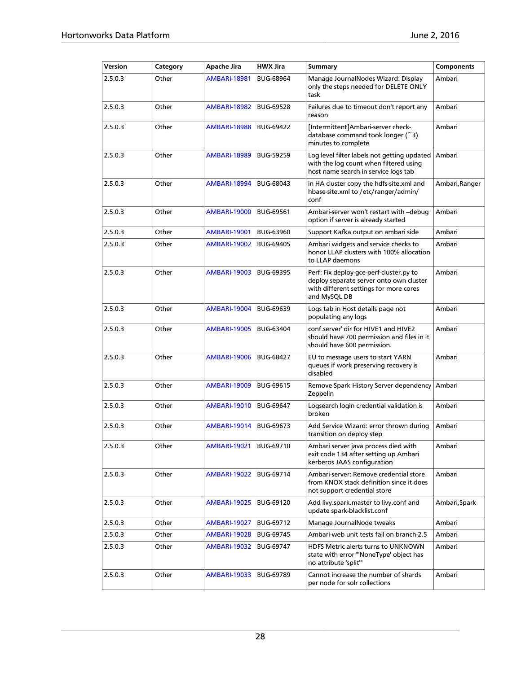| Version | Category | Apache Jira         | <b>HWX Jira</b>  | <b>Summary</b>                                                                                                                               | Components     |
|---------|----------|---------------------|------------------|----------------------------------------------------------------------------------------------------------------------------------------------|----------------|
| 2.5.0.3 | Other    | AMBARI-18981        | <b>BUG-68964</b> | Manage JournalNodes Wizard: Display<br>only the steps needed for DELETE ONLY<br>task                                                         | Ambari         |
| 2.5.0.3 | Other    | <b>AMBARI-18982</b> | <b>BUG-69528</b> | Failures due to timeout don't report any<br>reason                                                                                           | Ambari         |
| 2.5.0.3 | Other    | <b>AMBARI-18988</b> | <b>BUG-69422</b> | [Intermittent]Ambari-server check-<br>database command took longer (~3)<br>minutes to complete                                               | Ambari         |
| 2.5.0.3 | Other    | <b>AMBARI-18989</b> | <b>BUG-59259</b> | Log level filter labels not getting updated<br>with the log count when filtered using<br>host name search in service logs tab                | Ambari         |
| 2.5.0.3 | Other    | <b>AMBARI-18994</b> | BUG-68043        | in HA cluster copy the hdfs-site.xml and<br>hbase-site.xml to /etc/ranger/admin/<br>conf                                                     | Ambari, Ranger |
| 2.5.0.3 | Other    | <b>AMBARI-19000</b> | <b>BUG-69561</b> | Ambari-server won't restart with --debug<br>option if server is already started                                                              | Ambari         |
| 2.5.0.3 | Other    | <b>AMBARI-19001</b> | <b>BUG-63960</b> | Support Kafka output on ambari side                                                                                                          | Ambari         |
| 2.5.0.3 | Other    | <b>AMBARI-19002</b> | <b>BUG-69405</b> | Ambari widgets and service checks to<br>honor LLAP clusters with 100% allocation<br>to LLAP daemons                                          | Ambari         |
| 2.5.0.3 | Other    | <b>AMBARI-19003</b> | <b>BUG-69395</b> | Perf: Fix deploy-gce-perf-cluster.py to<br>deploy separate server onto own cluster<br>with different settings for more cores<br>and MySQL DB | Ambari         |
| 2.5.0.3 | Other    | <b>AMBARI-19004</b> | <b>BUG-69639</b> | Logs tab in Host details page not<br>populating any logs                                                                                     | Ambari         |
| 2.5.0.3 | Other    | <b>AMBARI-19005</b> | <b>BUG-63404</b> | conf.server' dir for HIVE1 and HIVE2<br>should have 700 permission and files in it<br>should have 600 permission.                            | Ambari         |
| 2.5.0.3 | Other    | <b>AMBARI-19006</b> | <b>BUG-68427</b> | EU to message users to start YARN<br>queues if work preserving recovery is<br>disabled                                                       | Ambari         |
| 2.5.0.3 | Other    | <b>AMBARI-19009</b> | <b>BUG-69615</b> | Remove Spark History Server dependency<br>Zeppelin                                                                                           | Ambari         |
| 2.5.0.3 | Other    | <b>AMBARI-19010</b> | <b>BUG-69647</b> | Logsearch login credential validation is<br>broken                                                                                           | Ambari         |
| 2.5.0.3 | Other    | <b>AMBARI-19014</b> | BUG-69673        | Add Service Wizard: error thrown during<br>transition on deploy step                                                                         | Ambari         |
| 2.5.0.3 | Other    | <b>AMBARI-19021</b> | BUG-69710        | Ambari server java process died with<br>exit code 134 after setting up Ambari<br>kerberos JAAS configuration                                 | Ambari         |
| 2.5.0.3 | Other    | <b>AMBARI-19022</b> | BUG-69714        | Ambari-server: Remove credential store<br>from KNOX stack definition since it does<br>not support credential store                           | Ambari         |
| 2.5.0.3 | Other    | <b>AMBARI-19025</b> | <b>BUG-69120</b> | Add livy.spark.master to livy.conf and<br>update spark-blacklist.conf                                                                        | Ambari,Spark   |
| 2.5.0.3 | Other    | <b>AMBARI-19027</b> | BUG-69712        | Manage JournalNode tweaks                                                                                                                    | Ambari         |
| 2.5.0.3 | Other    | <b>AMBARI-19028</b> | <b>BUG-69745</b> | Ambari-web unit tests fail on branch-2.5                                                                                                     | Ambari         |
| 2.5.0.3 | Other    | <b>AMBARI-19032</b> | <b>BUG-69747</b> | HDFS Metric alerts turns to UNKNOWN<br>state with error "'NoneType' object has<br>no attribute 'split"                                       | Ambari         |
| 2.5.0.3 | Other    | AMBARI-19033        | <b>BUG-69789</b> | Cannot increase the number of shards<br>per node for solr collections                                                                        | Ambari         |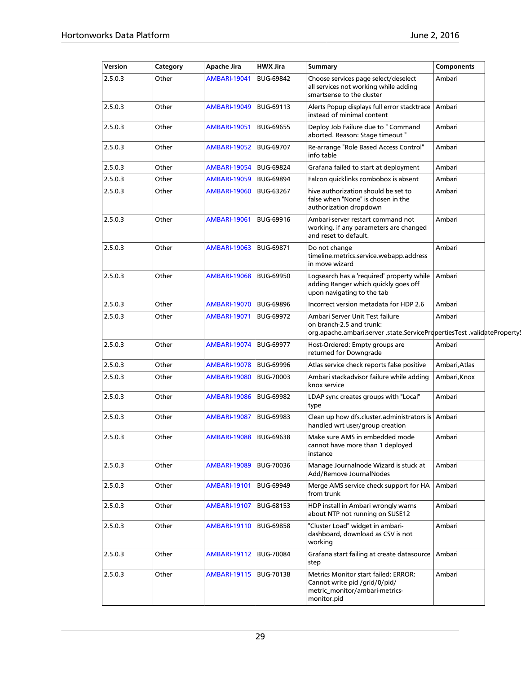| Version | Category | Apache Jira              | <b>HWX Jira</b>  | Summary                                                                                                                                 | Components    |
|---------|----------|--------------------------|------------------|-----------------------------------------------------------------------------------------------------------------------------------------|---------------|
| 2.5.0.3 | Other    | <b>AMBARI-19041</b>      | <b>BUG-69842</b> | Choose services page select/deselect<br>all services not working while adding<br>smartsense to the cluster                              | Ambari        |
| 2.5.0.3 | Other    | <b>AMBARI-19049</b>      | BUG-69113        | Alerts Popup displays full error stacktrace Ambari<br>instead of minimal content                                                        |               |
| 2.5.0.3 | Other    | <b>AMBARI-19051</b>      | <b>BUG-69655</b> | Deploy Job Failure due to " Command<br>aborted. Reason: Stage timeout "                                                                 | Ambari        |
| 2.5.0.3 | Other    | <b>AMBARI-19052</b>      | <b>BUG-69707</b> | Re-arrange "Role Based Access Control"<br>info table                                                                                    | Ambari        |
| 2.5.0.3 | Other    | <b>AMBARI-19054</b>      | <b>BUG-69824</b> | Grafana failed to start at deployment                                                                                                   | Ambari        |
| 2.5.0.3 | Other    | <b>AMBARI-19059</b>      | <b>BUG-69894</b> | Falcon quicklinks combobox is absent                                                                                                    | Ambari        |
| 2.5.0.3 | Other    | <b>AMBARI-19060</b>      | <b>BUG-63267</b> | hive authorization should be set to<br>false when "None" is chosen in the<br>authorization dropdown                                     | Ambari        |
| 2.5.0.3 | Other    | <b>AMBARI-19061</b>      | BUG-69916        | Ambari-server restart command not<br>working. if any parameters are changed<br>and reset to default.                                    | Ambari        |
| 2.5.0.3 | Other    | <b>AMBARI-19063</b>      | <b>BUG-69871</b> | Do not change<br>timeline.metrics.service.webapp.address<br>in move wizard                                                              | Ambari        |
| 2.5.0.3 | Other    | <b>AMBARI-19068</b>      | <b>BUG-69950</b> | Logsearch has a 'required' property while<br>adding Ranger which quickly goes off<br>upon navigating to the tab                         | Ambari        |
| 2.5.0.3 | Other    | <b>AMBARI-19070</b>      | <b>BUG-69896</b> | Incorrect version metadata for HDP 2.6                                                                                                  | Ambari        |
| 2.5.0.3 | Other    | <b>AMBARI-19071</b>      | <b>BUG-69972</b> | Ambari Server Unit Test failure<br>on branch-2.5 and trunk:<br>org.apache.ambari.server .state.ServicePropertiesTest .validateProperty! | Ambari        |
| 2.5.0.3 | Other    | <b>AMBARI-19074</b>      | <b>BUG-69977</b> | Host-Ordered: Empty groups are<br>returned for Downgrade                                                                                | Ambari        |
| 2.5.0.3 | Other    | <b>AMBARI-19078</b>      | <b>BUG-69996</b> | Atlas service check reports false positive                                                                                              | Ambari, Atlas |
| 2.5.0.3 | Other    | <b>AMBARI-19080</b>      | BUG-70003        | Ambari stackadvisor failure while adding<br>knox service                                                                                | Ambari, Knox  |
| 2.5.0.3 | Other    | <b>AMBARI-19086</b>      | <b>BUG-69982</b> | LDAP sync creates groups with "Local"<br>type                                                                                           | Ambari        |
| 2.5.0.3 | Other    | <b>AMBARI-19087</b>      | <b>BUG-69983</b> | Clean up how dfs.cluster.administrators is Ambari<br>handled wrt user/group creation                                                    |               |
| 2.5.0.3 | Other    | <b>AMBARI-19088</b>      | <b>BUG-69638</b> | Make sure AMS in embedded mode<br>cannot have more than 1 deployed<br>instance                                                          | Ambari        |
| 2.5.0.3 | Other    | <b>AMBARI-19089</b>      | BUG-70036        | Manage Journalnode Wizard is stuck at<br>Add/Remove JournalNodes                                                                        | Ambari        |
| 2.5.0.3 | Other    | <b>AMBARI-19101</b>      | <b>BUG-69949</b> | Merge AMS service check support for HA<br>from trunk                                                                                    | Ambari        |
| 2.5.0.3 | Other    | <b>AMBARI-19107</b>      | <b>BUG-68153</b> | HDP install in Ambari wrongly warns<br>about NTP not running on SUSE12                                                                  | Ambari        |
| 2.5.0.3 | Other    | AMBARI-19110   BUG-69858 |                  | "Cluster Load" widget in ambari-<br>dashboard, download as CSV is not<br>working                                                        | Ambari        |
| 2.5.0.3 | Other    | AMBARI-19112   BUG-70084 |                  | Grafana start failing at create datasource<br>step                                                                                      | Ambari        |
| 2.5.0.3 | Other    | <b>AMBARI-19115</b>      | BUG-70138        | Metrics Monitor start failed: ERROR:<br>Cannot write pid /grid/0/pid/<br>metric_monitor/ambari-metrics-<br>monitor.pid                  | Ambari        |
|         |          |                          |                  |                                                                                                                                         |               |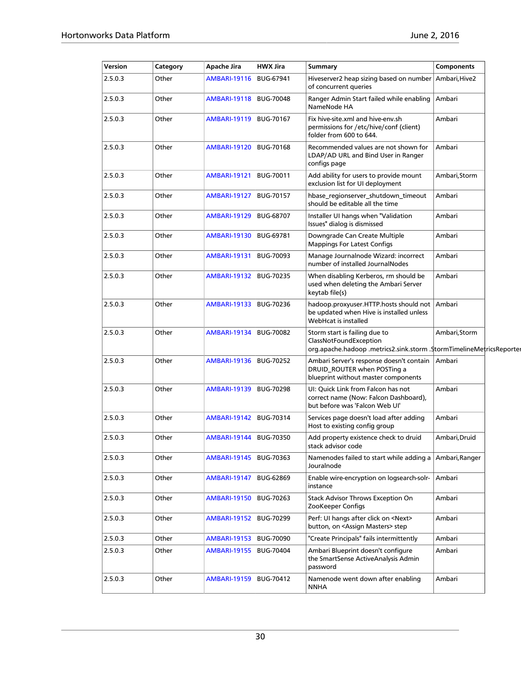| Version | Category | Apache Jira              | <b>HWX Jira</b>  | Summary                                                                                                                         | <b>Components</b> |  |
|---------|----------|--------------------------|------------------|---------------------------------------------------------------------------------------------------------------------------------|-------------------|--|
| 2.5.0.3 | Other    | <b>AMBARI-19116</b>      | <b>BUG-67941</b> | Hiveserver2 heap sizing based on number<br>of concurrent queries                                                                | Ambari, Hive2     |  |
| 2.5.0.3 | Other    | <b>AMBARI-19118</b>      | <b>BUG-70048</b> | Ranger Admin Start failed while enabling<br>NameNode HA                                                                         | Ambari            |  |
| 2.5.0.3 | Other    | <b>AMBARI-19119</b>      | <b>BUG-70167</b> | Fix hive-site.xml and hive-env.sh<br>permissions for /etc/hive/conf (client)<br>folder from 600 to 644.                         | Ambari            |  |
| 2.5.0.3 | Other    | <b>AMBARI-19120</b>      | <b>BUG-70168</b> | Recommended values are not shown for<br>LDAP/AD URL and Bind User in Ranger<br>configs page                                     | Ambari            |  |
| 2.5.0.3 | Other    | <b>AMBARI-19121</b>      | <b>BUG-70011</b> | Add ability for users to provide mount<br>exclusion list for UI deployment                                                      | Ambari, Storm     |  |
| 2.5.0.3 | Other    | <b>AMBARI-19127</b>      | <b>BUG-70157</b> | hbase_regionserver_shutdown_timeout<br>should be editable all the time                                                          | Ambari            |  |
| 2.5.0.3 | Other    | <b>AMBARI-19129</b>      | <b>BUG-68707</b> | Installer UI hangs when "Validation<br>Issues" dialog is dismissed                                                              | Ambari            |  |
| 2.5.0.3 | Other    | <b>AMBARI-19130</b>      | BUG-69781        | Downgrade Can Create Multiple<br><b>Mappings For Latest Configs</b>                                                             | Ambari            |  |
| 2.5.0.3 | Other    | <b>AMBARI-19131</b>      | <b>BUG-70093</b> | Manage Journalnode Wizard: incorrect<br>number of installed JournalNodes                                                        | Ambari            |  |
| 2.5.0.3 | Other    | <b>AMBARI-19132</b>      | BUG-70235        | When disabling Kerberos, rm should be<br>used when deleting the Ambari Server<br>keytab file(s)                                 | Ambari            |  |
| 2.5.0.3 | Other    | <b>AMBARI-19133</b>      | BUG-70236        | hadoop.proxyuser.HTTP.hosts should not<br>be updated when Hive is installed unless<br>WebHcat is installed                      | Ambari            |  |
| 2.5.0.3 | Other    | <b>AMBARI-19134</b>      | <b>BUG-70082</b> | Storm start is failing due to<br>ClassNotFoundException<br>org.apache.hadoop .metrics2.sink.storm .StormTimelineMetricsReporter | Ambari, Storm     |  |
| 2.5.0.3 | Other    | <b>AMBARI-19136</b>      | BUG-70252        | Ambari Server's response doesn't contain<br>DRUID_ROUTER when POSTing a<br>blueprint without master components                  | Ambari            |  |
| 2.5.0.3 | Other    | <b>AMBARI-19139</b>      | <b>BUG-70298</b> | UI: Quick Link from Falcon has not<br>correct name (Now: Falcon Dashboard),<br>but before was 'Falcon Web UI'                   | Ambari            |  |
| 2.5.0.3 | Other    | <b>AMBARI-19142</b>      | BUG-70314        | Services page doesn't load after adding<br>Host to existing config group                                                        | Ambari            |  |
| 2.5.0.3 | Other    | AMBARI-19144   BUG-70350 |                  | Add property existence check to druid<br>stack advisor code                                                                     | Ambari, Druid     |  |
| 2.5.0.3 | Other    | AMBARI-19145             | <b>BUG-70363</b> | Namenodes failed to start while adding a<br>Jouralnode                                                                          | Ambari, Ranger    |  |
| 2.5.0.3 | Other    | <b>AMBARI-19147</b>      | <b>BUG-62869</b> | Enable wire-encryption on logsearch-solr-<br>instance                                                                           | Ambari            |  |
| 2.5.0.3 | Other    | <b>AMBARI-19150</b>      | <b>BUG-70263</b> | <b>Stack Advisor Throws Exception On</b><br>ZooKeeper Configs                                                                   | Ambari            |  |
| 2.5.0.3 | Other    | <b>AMBARI-19152</b>      | <b>BUG-70299</b> | Perf: UI hangs after click on <next><br/>button, on <assign masters=""> step</assign></next>                                    | Ambari            |  |
| 2.5.0.3 | Other    | <b>AMBARI-19153</b>      | <b>BUG-70090</b> | "Create Principals" fails intermittently                                                                                        | Ambari            |  |
| 2.5.0.3 | Other    | <b>AMBARI-19155</b>      | BUG-70404        | Ambari Blueprint doesn't configure<br>the SmartSense ActiveAnalysis Admin<br>password                                           | Ambari            |  |
| 2.5.0.3 | Other    | <b>AMBARI-19159</b>      | BUG-70412        | Namenode went down after enabling<br><b>NNHA</b>                                                                                | Ambari            |  |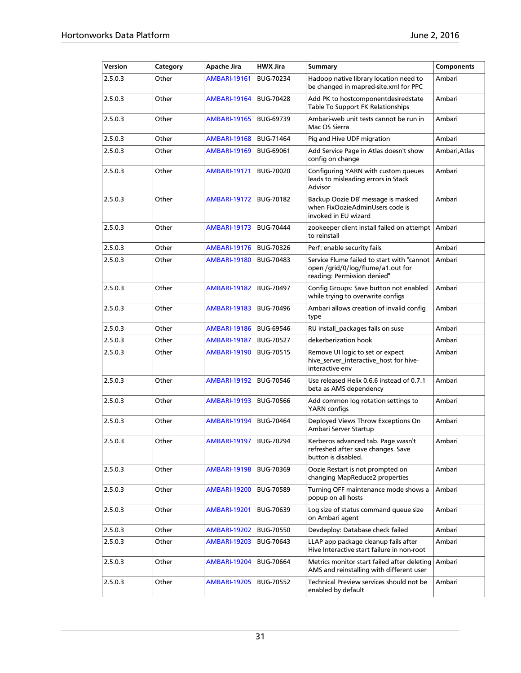| Version | Category | Apache Jira              | <b>HWX Jira</b>  | Summary                                                                                                        | Components    |
|---------|----------|--------------------------|------------------|----------------------------------------------------------------------------------------------------------------|---------------|
| 2.5.0.3 | Other    | <b>AMBARI-19161</b>      | <b>BUG-70234</b> | Hadoop native library location need to<br>be changed in mapred-site.xml for PPC                                | Ambari        |
| 2.5.0.3 | Other    | <b>AMBARI-19164</b>      | <b>BUG-70428</b> | Add PK to hostcomponentdesiredstate<br>Table To Support FK Relationships                                       | Ambari        |
| 2.5.0.3 | Other    | <b>AMBARI-19165</b>      | BUG-69739        | Ambari-web unit tests cannot be run in<br>Mac OS Sierra                                                        | Ambari        |
| 2.5.0.3 | Other    | <b>AMBARI-19168</b>      | <b>BUG-71464</b> | Pig and Hive UDF migration                                                                                     | Ambari        |
| 2.5.0.3 | Other    | AMBARI-19169             | <b>BUG-69061</b> | Add Service Page in Atlas doesn't show<br>config on change                                                     | Ambari, Atlas |
| 2.5.0.3 | Other    | <b>AMBARI-19171</b>      | <b>BUG-70020</b> | Configuring YARN with custom queues<br>leads to misleading errors in Stack<br>Advisor                          | Ambari        |
| 2.5.0.3 | Other    | <b>AMBARI-19172</b>      | <b>BUG-70182</b> | Backup Oozie DB' message is masked<br>when FixOozieAdminUsers code is<br>invoked in EU wizard                  | Ambari        |
| 2.5.0.3 | Other    | <b>AMBARI-19173</b>      | <b>BUG-70444</b> | zookeeper client install failed on attempt<br>to reinstall                                                     | Ambari        |
| 2.5.0.3 | Other    | <b>AMBARI-19176</b>      | <b>BUG-70326</b> | Perf: enable security fails                                                                                    | Ambari        |
| 2.5.0.3 | Other    | <b>AMBARI-19180</b>      | <b>BUG-70483</b> | Service Flume failed to start with "cannot<br>open /grid/0/log/flume/a1.out for<br>reading: Permission denied" | Ambari        |
| 2.5.0.3 | Other    | <b>AMBARI-19182</b>      | <b>BUG-70497</b> | Config Groups: Save button not enabled<br>while trying to overwrite configs                                    | Ambari        |
| 2.5.0.3 | Other    | <b>AMBARI-19183</b>      | <b>BUG-70496</b> | Ambari allows creation of invalid config<br>type                                                               | Ambari        |
| 2.5.0.3 | Other    | <b>AMBARI-19186</b>      | <b>BUG-69546</b> | RU install_packages fails on suse                                                                              | Ambari        |
| 2.5.0.3 | Other    | AMBARI-19187             | <b>BUG-70527</b> | dekerberization hook                                                                                           | Ambari        |
| 2.5.0.3 | Other    | <b>AMBARI-19190</b>      | <b>BUG-70515</b> | Remove UI logic to set or expect<br>hive_server_interactive_host for hive-<br>interactive-env                  | Ambari        |
| 2.5.0.3 | Other    | <b>AMBARI-19192</b>      | <b>BUG-70546</b> | Use released Helix 0.6.6 instead of 0.7.1<br>beta as AMS dependency                                            | Ambari        |
| 2.5.0.3 | Other    | <b>AMBARI-19193</b>      | <b>BUG-70566</b> | Add common log rotation settings to<br>YARN configs                                                            | Ambari        |
| 2.5.0.3 | Other    | <b>AMBARI-19194</b>      | <b>BUG-70464</b> | Deployed Views Throw Exceptions On<br>Ambari Server Startup                                                    | Ambari        |
| 2.5.0.3 | Other    | AMBARI-19197   BUG-70294 |                  | Kerberos advanced tab. Page wasn't<br>refreshed after save changes. Save<br>button is disabled.                | Ambari        |
| 2.5.0.3 | Other    | <b>AMBARI-19198</b>      | BUG-70369        | Oozie Restart is not prompted on<br>changing MapReduce2 properties                                             | Ambari        |
| 2.5.0.3 | Other    | <b>AMBARI-19200</b>      | <b>BUG-70589</b> | Turning OFF maintenance mode shows a<br>popup on all hosts                                                     | Ambari        |
| 2.5.0.3 | Other    | <b>AMBARI-19201</b>      | <b>BUG-70639</b> | Log size of status command queue size<br>on Ambari agent                                                       | Ambari        |
| 2.5.0.3 | Other    | <b>AMBARI-19202</b>      | <b>BUG-70550</b> | Devdeploy: Database check failed                                                                               | Ambari        |
| 2.5.0.3 | Other    | <b>AMBARI-19203</b>      | BUG-70643        | LLAP app package cleanup fails after<br>Hive Interactive start failure in non-root                             | Ambari        |
| 2.5.0.3 | Other    | <b>AMBARI-19204</b>      | <b>BUG-70664</b> | Metrics monitor start failed after deleting<br>AMS and reinstalling with different user                        | Ambari        |
| 2.5.0.3 | Other    | <b>AMBARI-19205</b>      | <b>BUG-70552</b> | Technical Preview services should not be<br>enabled by default                                                 | Ambari        |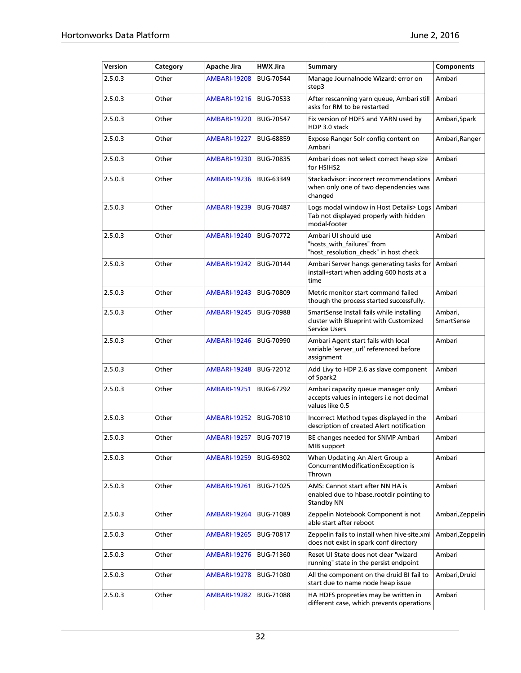| Version | Category | Apache Jira         | <b>HWX Jira</b>  | <b>Summary</b>                                                                                              | <b>Components</b>            |
|---------|----------|---------------------|------------------|-------------------------------------------------------------------------------------------------------------|------------------------------|
| 2.5.0.3 | Other    | <b>AMBARI-19208</b> | <b>BUG-70544</b> | Manage Journalnode Wizard: error on<br>step3                                                                | Ambari                       |
| 2.5.0.3 | Other    | <b>AMBARI-19216</b> | <b>BUG-70533</b> | After rescanning yarn queue, Ambari still<br>asks for RM to be restarted                                    | Ambari                       |
| 2.5.0.3 | Other    | <b>AMBARI-19220</b> | <b>BUG-70547</b> | Fix version of HDFS and YARN used by<br>HDP 3.0 stack                                                       | Ambari,Spark                 |
| 2.5.0.3 | Other    | <b>AMBARI-19227</b> | <b>BUG-68859</b> | Expose Ranger Solr config content on<br>Ambari                                                              | Ambari, Ranger               |
| 2.5.0.3 | Other    | <b>AMBARI-19230</b> | <b>BUG-70835</b> | Ambari does not select correct heap size<br>for HSIHS2                                                      | Ambari                       |
| 2.5.0.3 | Other    | <b>AMBARI-19236</b> | BUG-63349        | Stackadvisor: incorrect recommendations<br>when only one of two dependencies was<br>changed                 | Ambari                       |
| 2.5.0.3 | Other    | <b>AMBARI-19239</b> | <b>BUG-70487</b> | Logs modal window in Host Details> Logs<br>Tab not displayed properly with hidden<br>modal-footer           | Ambari                       |
| 2.5.0.3 | Other    | <b>AMBARI-19240</b> | <b>BUG-70772</b> | Ambari UI should use<br>"hosts_with_failures" from<br>"host_resolution_check" in host check                 | Ambari                       |
| 2.5.0.3 | Other    | <b>AMBARI-19242</b> | <b>BUG-70144</b> | Ambari Server hangs generating tasks for<br>install+start when adding 600 hosts at a<br>time                | Ambari                       |
| 2.5.0.3 | Other    | <b>AMBARI-19243</b> | <b>BUG-70809</b> | Metric monitor start command failed<br>though the process started successfully.                             | Ambari                       |
| 2.5.0.3 | Other    | <b>AMBARI-19245</b> | <b>BUG-70988</b> | SmartSense Install fails while installing<br>cluster with Blueprint with Customized<br><b>Service Users</b> | Ambari,<br><b>SmartSense</b> |
| 2.5.0.3 | Other    | <b>AMBARI-19246</b> | <b>BUG-70990</b> | Ambari Agent start fails with local<br>variable 'server_url' referenced before<br>assignment                | Ambari                       |
| 2.5.0.3 | Other    | <b>AMBARI-19248</b> | <b>BUG-72012</b> | Add Livy to HDP 2.6 as slave component<br>of Spark2                                                         | Ambari                       |
| 2.5.0.3 | Other    | <b>AMBARI-19251</b> | <b>BUG-67292</b> | Ambari capacity queue manager only<br>accepts values in integers i.e not decimal<br>values like 0.5         | Ambari                       |
| 2.5.0.3 | Other    | <b>AMBARI-19252</b> | <b>BUG-70810</b> | Incorrect Method types displayed in the<br>description of created Alert notification                        | Ambari                       |
| 2.5.0.3 | Other    | <b>AMBARI-19257</b> | <b>BUG-70719</b> | BE changes needed for SNMP Ambari<br>MIB support                                                            | Ambari                       |
| 2.5.0.3 | Other    | <b>AMBARI-19259</b> | BUG-69302        | When Updating An Alert Group a<br>ConcurrentModificationException is<br>Thrown                              | Ambari                       |
| 2.5.0.3 | Other    | <b>AMBARI-19261</b> | <b>BUG-71025</b> | AMS: Cannot start after NN HA is<br>enabled due to hbase rootdir pointing to<br>Standby NN                  | Ambari                       |
| 2.5.0.3 | Other    | <b>AMBARI-19264</b> | <b>BUG-71089</b> | Zeppelin Notebook Component is not<br>able start after reboot                                               | Ambari, Zeppelin             |
| 2.5.0.3 | Other    | <b>AMBARI-19265</b> | BUG-70817        | Zeppelin fails to install when hive-site.xml<br>does not exist in spark conf directory                      | Ambari, Zeppelin             |
| 2.5.0.3 | Other    | <b>AMBARI-19276</b> | <b>BUG-71360</b> | Reset UI State does not clear "wizard<br>running" state in the persist endpoint                             | Ambari                       |
| 2.5.0.3 | Other    | <b>AMBARI-19278</b> | <b>BUG-71080</b> | All the component on the druid BI fail to<br>start due to name node heap issue                              | Ambari,Druid                 |
| 2.5.0.3 | Other    | <b>AMBARI-19282</b> | <b>BUG-71088</b> | HA HDFS propreties may be written in<br>different case, which prevents operations                           | Ambari                       |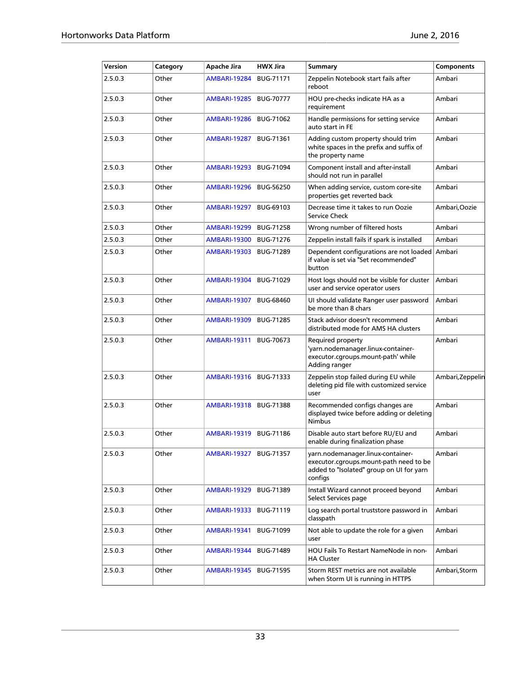| Version | Category | Apache Jira         | <b>HWX Jira</b>  | <b>Summary</b>                                                                                                                     | <b>Components</b> |
|---------|----------|---------------------|------------------|------------------------------------------------------------------------------------------------------------------------------------|-------------------|
| 2.5.0.3 | Other    | <b>AMBARI-19284</b> | <b>BUG-71171</b> | Zeppelin Notebook start fails after<br>reboot                                                                                      | Ambari            |
| 2.5.0.3 | Other    | <b>AMBARI-19285</b> | <b>BUG-70777</b> | HOU pre-checks indicate HA as a<br>requirement                                                                                     | Ambari            |
| 2.5.0.3 | Other    | <b>AMBARI-19286</b> | BUG-71062        | Handle permissions for setting service<br>auto start in FE                                                                         | Ambari            |
| 2.5.0.3 | Other    | <b>AMBARI-19287</b> | <b>BUG-71361</b> | Adding custom property should trim<br>white spaces in the prefix and suffix of<br>the property name                                | Ambari            |
| 2.5.0.3 | Other    | <b>AMBARI-19293</b> | <b>BUG-71094</b> | Component install and after-install<br>should not run in parallel                                                                  | Ambari            |
| 2.5.0.3 | Other    | <b>AMBARI-19296</b> | <b>BUG-56250</b> | When adding service, custom core-site<br>properties get reverted back                                                              | Ambari            |
| 2.5.0.3 | Other    | <b>AMBARI-19297</b> | BUG-69103        | Decrease time it takes to run Oozie<br>Service Check                                                                               | Ambari,Oozie      |
| 2.5.0.3 | Other    | <b>AMBARI-19299</b> | <b>BUG-71258</b> | Wrong number of filtered hosts                                                                                                     | Ambari            |
| 2.5.0.3 | Other    | <b>AMBARI-19300</b> | <b>BUG-71276</b> | Zeppelin install fails if spark is installed                                                                                       | Ambari            |
| 2.5.0.3 | Other    | <b>AMBARI-19303</b> | <b>BUG-71289</b> | Dependent configurations are not loaded<br>if value is set via "Set recommended"<br>button                                         | Ambari            |
| 2.5.0.3 | Other    | <b>AMBARI-19304</b> | <b>BUG-71029</b> | Host logs should not be visible for cluster<br>user and service operator users                                                     | Ambari            |
| 2.5.0.3 | Other    | <b>AMBARI-19307</b> | <b>BUG-68460</b> | UI should validate Ranger user password<br>be more than 8 chars                                                                    | Ambari            |
| 2.5.0.3 | Other    | <b>AMBARI-19309</b> | <b>BUG-71285</b> | Stack advisor doesn't recommend<br>distributed mode for AMS HA clusters                                                            | Ambari            |
| 2.5.0.3 | Other    | <b>AMBARI-19311</b> | <b>BUG-70673</b> | Required property<br>'yarn.nodemanager.linux-container-<br>executor.cgroups.mount-path' while<br>Adding ranger                     | Ambari            |
| 2.5.0.3 | Other    | <b>AMBARI-19316</b> | BUG-71333        | Zeppelin stop failed during EU while<br>deleting pid file with customized service<br>user                                          | Ambari, Zeppelin  |
| 2.5.0.3 | Other    | <b>AMBARI-19318</b> | <b>BUG-71388</b> | Recommended configs changes are<br>displayed twice before adding or deleting<br><b>Nimbus</b>                                      | Ambari            |
| 2.5.0.3 | Other    | <b>AMBARI-19319</b> | <b>BUG-71186</b> | Disable auto start before RU/EU and<br>enable during finalization phase                                                            | Ambari            |
| 2.5.0.3 | Other    | <b>AMBARI-19327</b> | <b>BUG-71357</b> | yarn.nodemanager.linux-container-<br>executor.cgroups.mount-path need to be<br>added to "Isolated" group on UI for yarn<br>configs | Ambari            |
| 2.5.0.3 | Other    | <b>AMBARI-19329</b> | BUG-71389        | Install Wizard cannot proceed beyond<br>Select Services page                                                                       | Ambari            |
| 2.5.0.3 | Other    | <b>AMBARI-19333</b> | BUG-71119        | Log search portal truststore password in<br>classpath                                                                              | Ambari            |
| 2.5.0.3 | Other    | <b>AMBARI-19341</b> | BUG-71099        | Not able to update the role for a given<br>user                                                                                    | Ambari            |
| 2.5.0.3 | Other    | <b>AMBARI-19344</b> | BUG-71489        | HOU Fails To Restart NameNode in non-<br><b>HA Cluster</b>                                                                         | Ambari            |
| 2.5.0.3 | Other    | <b>AMBARI-19345</b> | <b>BUG-71595</b> | Storm REST metrics are not available<br>when Storm UI is running in HTTPS                                                          | Ambari, Storm     |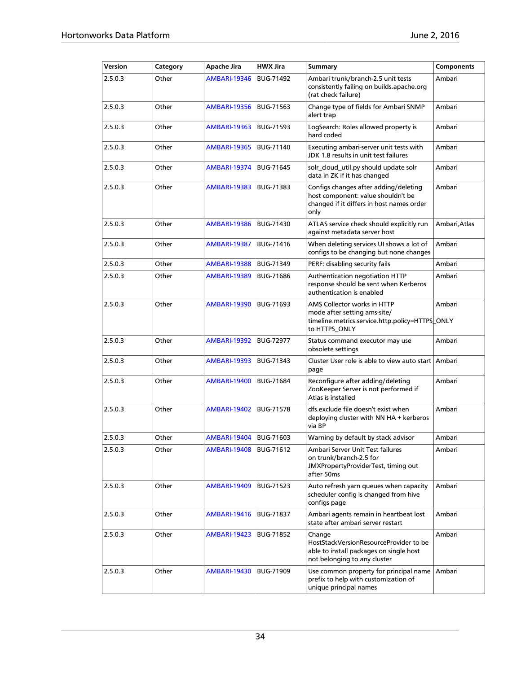| Version | Category | Apache Jira         | <b>HWX Jira</b>  | <b>Summary</b>                                                                                                                   | <b>Components</b> |
|---------|----------|---------------------|------------------|----------------------------------------------------------------------------------------------------------------------------------|-------------------|
| 2.5.0.3 | Other    | <b>AMBARI-19346</b> | <b>BUG-71492</b> | Ambari trunk/branch-2.5 unit tests<br>consistently failing on builds.apache.org<br>(rat check failure)                           | Ambari            |
| 2.5.0.3 | Other    | <b>AMBARI-19356</b> | BUG-71563        | Change type of fields for Ambari SNMP<br>alert trap                                                                              | Ambari            |
| 2.5.0.3 | Other    | <b>AMBARI-19363</b> | <b>BUG-71593</b> | LogSearch: Roles allowed property is<br>hard coded                                                                               | Ambari            |
| 2.5.0.3 | Other    | <b>AMBARI-19365</b> | BUG-71140        | Executing ambari-server unit tests with<br>JDK 1.8 results in unit test failures                                                 | Ambari            |
| 2.5.0.3 | Other    | <b>AMBARI-19374</b> | <b>BUG-71645</b> | solr cloud util.py should update solr<br>data in ZK if it has changed                                                            | Ambari            |
| 2.5.0.3 | Other    | <b>AMBARI-19383</b> | BUG-71383        | Configs changes after adding/deleting<br>host component: value shouldn't be<br>changed if it differs in host names order<br>only | Ambari            |
| 2.5.0.3 | Other    | <b>AMBARI-19386</b> | BUG-71430        | ATLAS service check should explicitly run<br>against metadata server host                                                        | Ambari,Atlas      |
| 2.5.0.3 | Other    | <b>AMBARI-19387</b> | BUG-71416        | When deleting services UI shows a lot of<br>configs to be changing but none changes                                              | Ambari            |
| 2.5.0.3 | Other    | <b>AMBARI-19388</b> | <b>BUG-71349</b> | PERF: disabling security fails                                                                                                   | Ambari            |
| 2.5.0.3 | Other    | <b>AMBARI-19389</b> | <b>BUG-71686</b> | Authentication negotiation HTTP<br>response should be sent when Kerberos<br>authentication is enabled                            | Ambari            |
| 2.5.0.3 | Other    | <b>AMBARI-19390</b> | BUG-71693        | AMS Collector works in HTTP<br>mode after setting ams-site/<br>timeline.metrics.service.http.policy=HTTPS_ONLY<br>to HTTPS_ONLY  | Ambari            |
| 2.5.0.3 | Other    | <b>AMBARI-19392</b> | <b>BUG-72977</b> | Status command executor may use<br>obsolete settings                                                                             | Ambari            |
| 2.5.0.3 | Other    | <b>AMBARI-19393</b> | BUG-71343        | Cluster User role is able to view auto start<br>page                                                                             | Ambari            |
| 2.5.0.3 | Other    | <b>AMBARI-19400</b> | <b>BUG-71684</b> | Reconfigure after adding/deleting<br>ZooKeeper Server is not performed if<br>Atlas is installed                                  | Ambari            |
| 2.5.0.3 | Other    | <b>AMBARI-19402</b> | <b>BUG-71578</b> | dfs.exclude file doesn't exist when<br>deploying cluster with NN HA + kerberos<br>via BP                                         | Ambari            |
| 2.5.0.3 | Other    | <b>AMBARI-19404</b> | BUG-71603        | Warning by default by stack advisor                                                                                              | Ambari            |
| 2.5.0.3 | Other    | AMBARI-19408        | BUG-71612        | Ambari Server Unit Test failures<br>on trunk/branch-2.5 for<br>JMXPropertyProviderTest, timing out<br>after 50ms                 | Ambari            |
| 2.5.0.3 | Other    | <b>AMBARI-19409</b> | BUG-71523        | Auto refresh yarn queues when capacity<br>scheduler config is changed from hive<br>configs page                                  | Ambari            |
| 2.5.0.3 | Other    | <b>AMBARI-19416</b> | <b>BUG-71837</b> | Ambari agents remain in heartbeat lost<br>state after ambari server restart                                                      | Ambari            |
| 2.5.0.3 | Other    | <b>AMBARI-19423</b> | BUG-71852        | Change<br>HostStackVersionResourceProvider to be<br>able to install packages on single host<br>not belonging to any cluster      | Ambari            |
| 2.5.0.3 | Other    | <b>AMBARI-19430</b> | <b>BUG-71909</b> | Use common property for principal name<br>prefix to help with customization of<br>unique principal names                         | Ambari            |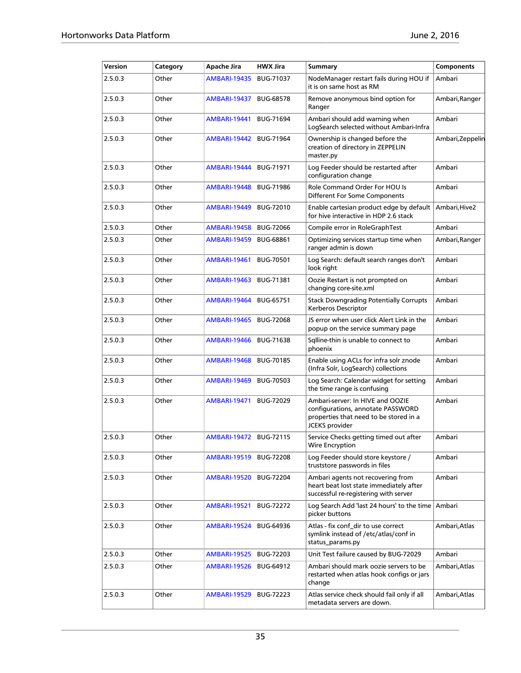| Version | Category | Apache Jira            | <b>HWX Jira</b>  | Summary                                                                                                                           | Components       |
|---------|----------|------------------------|------------------|-----------------------------------------------------------------------------------------------------------------------------------|------------------|
| 2.5.0.3 | Other    | <b>AMBARI-19435</b>    | <b>BUG-71037</b> | NodeManager restart fails during HOU if<br>it is on same host as RM                                                               | Ambari           |
| 2.5.0.3 | Other    | <b>AMBARI-19437</b>    | <b>BUG-68578</b> | Remove anonymous bind option for<br>Ranger                                                                                        | Ambari, Ranger   |
| 2.5.0.3 | Other    | <b>AMBARI-19441</b>    | <b>BUG-71694</b> | Ambari should add warning when<br>LogSearch selected without Ambari-Infra                                                         | Ambari           |
| 2.5.0.3 | Other    | AMBARI-19442           | <b>BUG-71964</b> | Ownership is changed before the<br>creation of directory in ZEPPELIN<br>master.py                                                 | Ambari, Zeppelin |
| 2.5.0.3 | Other    | AMBARI-19444           | <b>BUG-71971</b> | Log Feeder should be restarted after<br>configuration change                                                                      | Ambari           |
| 2.5.0.3 | Other    | <b>AMBARI-19448</b>    | <b>BUG-71986</b> | Role Command Order For HOU Is<br>Different For Some Components                                                                    | Ambari           |
| 2.5.0.3 | Other    | <b>AMBARI-19449</b>    | <b>BUG-72010</b> | Enable cartesian product edge by default<br>for hive interactive in HDP 2.6 stack                                                 | Ambari, Hive2    |
| 2.5.0.3 | Other    | <b>AMBARI-19458</b>    | <b>BUG-72066</b> | Compile error in RoleGraphTest                                                                                                    | Ambari           |
| 2.5.0.3 | Other    | <b>AMBARI-19459</b>    | <b>BUG-68861</b> | Optimizing services startup time when<br>ranger admin is down                                                                     | Ambari, Ranger   |
| 2.5.0.3 | Other    | <b>AMBARI-19461</b>    | <b>BUG-70501</b> | Log Search: default search ranges don't<br>look right                                                                             | Ambari           |
| 2.5.0.3 | Other    | <b>AMBARI-19463</b>    | <b>BUG-71381</b> | Oozie Restart is not prompted on<br>changing core-site.xml                                                                        | Ambari           |
| 2.5.0.3 | Other    | <b>AMBARI-19464</b>    | <b>BUG-65751</b> | <b>Stack Downgrading Potentially Corrupts</b><br>Kerberos Descriptor                                                              | Ambari           |
| 2.5.0.3 | Other    | <b>AMBARI-19465</b>    | <b>BUG-72068</b> | JS error when user click Alert Link in the<br>popup on the service summary page                                                   | Ambari           |
| 2.5.0.3 | Other    | <b>AMBARI-19466</b>    | <b>BUG-71638</b> | Sqlline-thin is unable to connect to<br>phoenix                                                                                   | Ambari           |
| 2.5.0.3 | Other    | <b>AMBARI-19468</b>    | <b>BUG-70185</b> | Enable using ACLs for infra solr znode<br>(Infra Solr, LogSearch) collections                                                     | Ambari           |
| 2.5.0.3 | Other    | <b>AMBARI-19469</b>    | <b>BUG-70503</b> | Log Search: Calendar widget for setting<br>the time range is confusing                                                            | Ambari           |
| 2.5.0.3 | Other    | <b>AMBARI-19471</b>    | <b>BUG-72029</b> | Ambari-server: In HIVE and OOZIE<br>configurations, annotate PASSWORD<br>properties that need to be stored in a<br>JCEKS provider | Ambari           |
| 2.5.0.3 | Other    | AMBARI-19472 BUG-72115 |                  | Service Checks getting timed out after<br>Wire Encryption                                                                         | Ambari           |
| 2.5.0.3 | Other    | AMBARI-19519           | <b>BUG-72208</b> | Log Feeder should store keystore /<br>truststore passwords in files                                                               | Ambari           |
| 2.5.0.3 | Other    | AMBARI-19520           | <b>BUG-72204</b> | Ambari agents not recovering from<br>heart beat lost state immediately after<br>successful re-registering with server             | Ambari           |
| 2.5.0.3 | Other    | <b>AMBARI-19521</b>    | <b>BUG-72272</b> | Log Search Add 'last 24 hours' to the time Ambari<br>picker buttons                                                               |                  |
| 2.5.0.3 | Other    | AMBARI-19524           | <b>BUG-64936</b> | Atlas - fix conf dir to use correct<br>symlink instead of /etc/atlas/conf in<br>status_params.py                                  | Ambari, Atlas    |
| 2.5.0.3 | Other    | AMBARI-19525           | BUG-72203        | Unit Test failure caused by BUG-72029                                                                                             | Ambari           |
| 2.5.0.3 | Other    | AMBARI-19526           | BUG-64912        | Ambari should mark oozie servers to be<br>restarted when atlas hook configs or jars<br>change                                     | Ambari, Atlas    |
| 2.5.0.3 | Other    | AMBARI-19529           | <b>BUG-72223</b> | Atlas service check should fail only if all<br>metadata servers are down.                                                         | Ambari, Atlas    |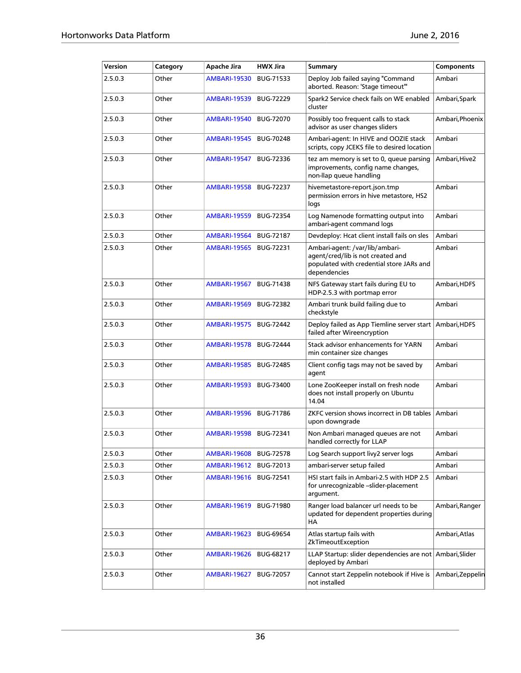| Version | Category | Apache Jira         | <b>HWX Jira</b>  | <b>Summary</b>                                                                                                                  | <b>Components</b> |
|---------|----------|---------------------|------------------|---------------------------------------------------------------------------------------------------------------------------------|-------------------|
| 2.5.0.3 | Other    | <b>AMBARI-19530</b> | <b>BUG-71533</b> | Deploy Job failed saying "Command<br>aborted. Reason: 'Stage timeout'"                                                          | Ambari            |
| 2.5.0.3 | Other    | <b>AMBARI-19539</b> | <b>BUG-72229</b> | Spark2 Service check fails on WE enabled<br>cluster                                                                             | Ambari, Spark     |
| 2.5.0.3 | Other    | <b>AMBARI-19540</b> | <b>BUG-72070</b> | Possibly too frequent calls to stack<br>advisor as user changes sliders                                                         | Ambari, Phoenix   |
| 2.5.0.3 | Other    | <b>AMBARI-19545</b> | <b>BUG-70248</b> | Ambari-agent: In HIVE and OOZIE stack<br>scripts, copy JCEKS file to desired location                                           | Ambari            |
| 2.5.0.3 | Other    | <b>AMBARI-19547</b> | <b>BUG-72336</b> | tez am memory is set to 0, queue parsing<br>improvements, config name changes,<br>non-llap queue handling                       | Ambari, Hive2     |
| 2.5.0.3 | Other    | <b>AMBARI-19558</b> | <b>BUG-72237</b> | hivemetastore-report.json.tmp<br>permission errors in hive metastore, HS2<br>logs                                               | Ambari            |
| 2.5.0.3 | Other    | <b>AMBARI-19559</b> | <b>BUG-72354</b> | Log Namenode formatting output into<br>ambari-agent command logs                                                                | Ambari            |
| 2.5.0.3 | Other    | <b>AMBARI-19564</b> | <b>BUG-72187</b> | Devdeploy: Hcat client install fails on sles                                                                                    | Ambari            |
| 2.5.0.3 | Other    | <b>AMBARI-19565</b> | <b>BUG-72231</b> | Ambari-agent: /var/lib/ambari-<br>agent/cred/lib is not created and<br>populated with credential store JARs and<br>dependencies | Ambari            |
| 2.5.0.3 | Other    | <b>AMBARI-19567</b> | <b>BUG-71438</b> | NFS Gateway start fails during EU to<br>HDP-2.5.3 with portmap error                                                            | Ambari, HDFS      |
| 2.5.0.3 | Other    | <b>AMBARI-19569</b> | <b>BUG-72382</b> | Ambari trunk build failing due to<br>checkstyle                                                                                 | Ambari            |
| 2.5.0.3 | Other    | <b>AMBARI-19575</b> | <b>BUG-72442</b> | Deploy failed as App Tiemline server start<br>failed after Wireencryption                                                       | Ambari, HDFS      |
| 2.5.0.3 | Other    | <b>AMBARI-19578</b> | <b>BUG-72444</b> | Stack advisor enhancements for YARN<br>min container size changes                                                               | Ambari            |
| 2.5.0.3 | Other    | <b>AMBARI-19585</b> | <b>BUG-72485</b> | Client config tags may not be saved by<br>agent                                                                                 | Ambari            |
| 2.5.0.3 | Other    | <b>AMBARI-19593</b> | <b>BUG-73400</b> | Lone ZooKeeper install on fresh node<br>does not install properly on Ubuntu<br>14.04                                            | Ambari            |
| 2.5.0.3 | Other    | <b>AMBARI-19596</b> | <b>BUG-71786</b> | ZKFC version shows incorrect in DB tables<br>upon downgrade                                                                     | Ambari            |
| 2.5.0.3 | Other    | <b>AMBARI-19598</b> | <b>BUG-72341</b> | Non Ambari managed queues are not<br>handled correctly for LLAP                                                                 | Ambari            |
| 2.5.0.3 | Other    | <b>AMBARI-19608</b> | <b>BUG-72578</b> | Log Search support livy2 server logs                                                                                            | Ambari            |
| 2.5.0.3 | Other    | <b>AMBARI-19612</b> | BUG-72013        | ambari-server setup failed                                                                                                      | Ambari            |
| 2.5.0.3 | Other    | <b>AMBARI-19616</b> | <b>BUG-72541</b> | HSI start fails in Ambari-2.5 with HDP 2.5<br>for unrecognizable -slider-placement<br>argument.                                 | Ambari            |
| 2.5.0.3 | Other    | <b>AMBARI-19619</b> | BUG-71980        | Ranger load balancer url needs to be<br>updated for dependent properties during<br>HА                                           | Ambari, Ranger    |
| 2.5.0.3 | Other    | <b>AMBARI-19623</b> | <b>BUG-69654</b> | Atlas startup fails with<br>ZkTimeoutException                                                                                  | Ambari,Atlas      |
| 2.5.0.3 | Other    | <b>AMBARI-19626</b> | <b>BUG-68217</b> | LLAP Startup: slider dependencies are not Ambari, Slider<br>deployed by Ambari                                                  |                   |
| 2.5.0.3 | Other    | <b>AMBARI-19627</b> | <b>BUG-72057</b> | Cannot start Zeppelin notebook if Hive is<br>not installed                                                                      | Ambari, Zeppelin  |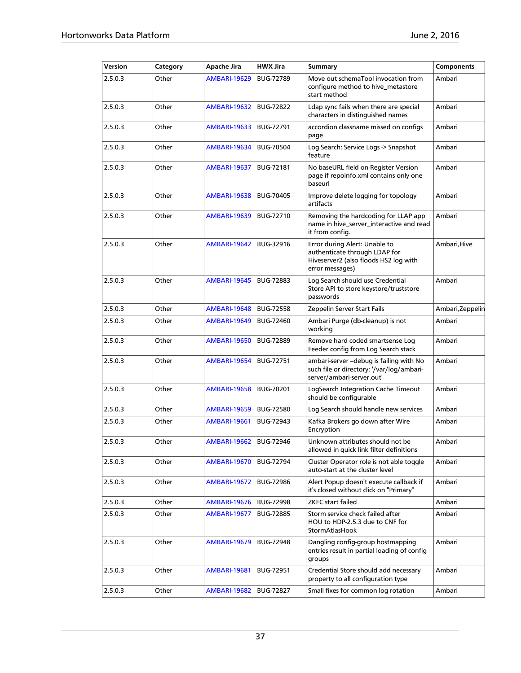| Version | Category | Apache Jira              | <b>HWX Jira</b>  | Summary                                                                                                                    | Components       |
|---------|----------|--------------------------|------------------|----------------------------------------------------------------------------------------------------------------------------|------------------|
| 2.5.0.3 | Other    | <b>AMBARI-19629</b>      | <b>BUG-72789</b> | Move out schemaTool invocation from<br>configure method to hive_metastore<br>start method                                  | Ambari           |
| 2.5.0.3 | Other    | <b>AMBARI-19632</b>      | <b>BUG-72822</b> | Ldap sync fails when there are special<br>characters in distinguished names                                                | Ambari           |
| 2.5.0.3 | Other    | <b>AMBARI-19633</b>      | <b>BUG-72791</b> | accordion classname missed on configs<br>page                                                                              | Ambari           |
| 2.5.0.3 | Other    | <b>AMBARI-19634</b>      | <b>BUG-70504</b> | Log Search: Service Logs -> Snapshot<br>feature                                                                            | Ambari           |
| 2.5.0.3 | Other    | <b>AMBARI-19637</b>      | <b>BUG-72181</b> | No baseURL field on Register Version<br>page if repoinfo.xml contains only one<br>baseurl                                  | Ambari           |
| 2.5.0.3 | Other    | <b>AMBARI-19638</b>      | <b>BUG-70405</b> | Improve delete logging for topology<br>artifacts                                                                           | Ambari           |
| 2.5.0.3 | Other    | <b>AMBARI-19639</b>      | <b>BUG-72710</b> | Removing the hardcoding for LLAP app<br>name in hive_server_interactive and read<br>it from config.                        | Ambari           |
| 2.5.0.3 | Other    | <b>AMBARI-19642</b>      | BUG-32916        | Error during Alert: Unable to<br>authenticate through LDAP for<br>Hiveserver2 (also floods HS2 log with<br>error messages) | Ambari, Hive     |
| 2.5.0.3 | Other    | <b>AMBARI-19645</b>      | <b>BUG-72883</b> | Log Search should use Credential<br>Store API to store keystore/truststore<br>passwords                                    | Ambari           |
| 2.5.0.3 | Other    | <b>AMBARI-19648</b>      | <b>BUG-72558</b> | Zeppelin Server Start Fails                                                                                                | Ambari, Zeppelin |
| 2.5.0.3 | Other    | <b>AMBARI-19649</b>      | <b>BUG-72460</b> | Ambari Purge (db-cleanup) is not<br>working                                                                                | Ambari           |
| 2.5.0.3 | Other    | <b>AMBARI-19650</b>      | <b>BUG-72889</b> | Remove hard coded smartsense Log<br>Feeder config from Log Search stack                                                    | Ambari           |
| 2.5.0.3 | Other    | <b>AMBARI-19654</b>      | <b>BUG-72751</b> | ambari-server - debug is failing with No<br>such file or directory: '/var/log/ambari-<br>server/ambari-server.out'         | Ambari           |
| 2.5.0.3 | Other    | <b>AMBARI-19658</b>      | BUG-70201        | LogSearch Integration Cache Timeout<br>should be configurable                                                              | Ambari           |
| 2.5.0.3 | Other    | <b>AMBARI-19659</b>      | <b>BUG-72580</b> | Log Search should handle new services                                                                                      | Ambari           |
| 2.5.0.3 | Other    | <b>AMBARI-19661</b>      | <b>BUG-72943</b> | Kafka Brokers go down after Wire<br>Encryption                                                                             | Ambari           |
| 2.5.0.3 | Other    | AMBARI-19662   BUG-72946 |                  | Unknown attributes should not be<br>allowed in quick link filter definitions                                               | Ambari           |
| 2.5.0.3 | Other    | <b>AMBARI-19670</b>      | <b>BUG-72794</b> | Cluster Operator role is not able toggle<br>auto-start at the cluster level                                                | Ambari           |
| 2.5.0.3 | Other    | <b>AMBARI-19672</b>      | <b>BUG-72986</b> | Alert Popup doesn't execute callback if<br>it's closed without click on "Primary"                                          | Ambari           |
| 2.5.0.3 | Other    | <b>AMBARI-19676</b>      | <b>BUG-72998</b> | <b>ZKFC</b> start failed                                                                                                   | Ambari           |
| 2.5.0.3 | Other    | <b>AMBARI-19677</b>      | <b>BUG-72885</b> | Storm service check failed after<br>HOU to HDP-2.5.3 due to CNF for<br>StormAtlasHook                                      | Ambari           |
| 2.5.0.3 | Other    | <b>AMBARI-19679</b>      | <b>BUG-72948</b> | Dangling config-group hostmapping<br>entries result in partial loading of config<br>groups                                 | Ambari           |
| 2.5.0.3 | Other    | <b>AMBARI-19681</b>      | BUG-72951        | Credential Store should add necessary<br>property to all configuration type                                                | Ambari           |
| 2.5.0.3 | Other    | <b>AMBARI-19682</b>      | <b>BUG-72827</b> | Small fixes for common log rotation                                                                                        | Ambari           |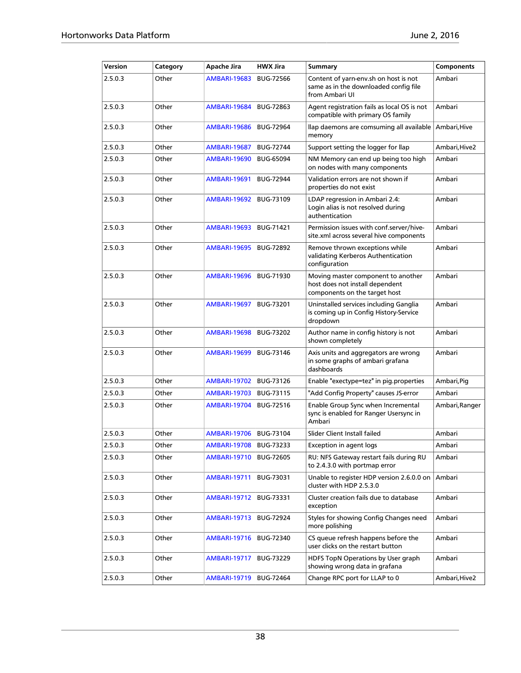| Version | Category | Apache Jira         | <b>HWX Jira</b>  | <b>Summary</b>                                                                                         | <b>Components</b> |
|---------|----------|---------------------|------------------|--------------------------------------------------------------------------------------------------------|-------------------|
| 2.5.0.3 | Other    | <b>AMBARI-19683</b> | <b>BUG-72566</b> | Content of yarn-env.sh on host is not<br>same as in the downloaded config file<br>from Ambari UI       | Ambari            |
| 2.5.0.3 | Other    | <b>AMBARI-19684</b> | <b>BUG-72863</b> | Agent registration fails as local OS is not<br>compatible with primary OS family                       | Ambari            |
| 2.5.0.3 | Other    | <b>AMBARI-19686</b> | <b>BUG-72964</b> | llap daemons are comsuming all available<br>memory                                                     | Ambari, Hive      |
| 2.5.0.3 | Other    | <b>AMBARI-19687</b> | <b>BUG-72744</b> | Support setting the logger for llap                                                                    | Ambari, Hive2     |
| 2.5.0.3 | Other    | <b>AMBARI-19690</b> | <b>BUG-65094</b> | NM Memory can end up being too high<br>on nodes with many components                                   | Ambari            |
| 2.5.0.3 | Other    | <b>AMBARI-19691</b> | <b>BUG-72944</b> | Validation errors are not shown if<br>properties do not exist                                          | Ambari            |
| 2.5.0.3 | Other    | <b>AMBARI-19692</b> | BUG-73109        | LDAP regression in Ambari 2.4:<br>Login alias is not resolved during<br>authentication                 | Ambari            |
| 2.5.0.3 | Other    | <b>AMBARI-19693</b> | BUG-71421        | Permission issues with conf.server/hive-<br>site.xml across several hive components                    | Ambari            |
| 2.5.0.3 | Other    | <b>AMBARI-19695</b> | <b>BUG-72892</b> | Remove thrown exceptions while<br>validating Kerberos Authentication<br>configuration                  | Ambari            |
| 2.5.0.3 | Other    | <b>AMBARI-19696</b> | <b>BUG-71930</b> | Moving master component to another<br>host does not install dependent<br>components on the target host | Ambari            |
| 2.5.0.3 | Other    | <b>AMBARI-19697</b> | <b>BUG-73201</b> | Uninstalled services including Ganglia<br>is coming up in Config History-Service<br>dropdown           | Ambari            |
| 2.5.0.3 | Other    | <b>AMBARI-19698</b> | <b>BUG-73202</b> | Author name in config history is not<br>shown completely                                               | Ambari            |
| 2.5.0.3 | Other    | <b>AMBARI-19699</b> | <b>BUG-73146</b> | Axis units and aggregators are wrong<br>in some graphs of ambari grafana<br>dashboards                 | Ambari            |
| 2.5.0.3 | Other    | <b>AMBARI-19702</b> | <b>BUG-73126</b> | Enable "exectype=tez" in pig.properties                                                                | Ambari, Pig       |
| 2.5.0.3 | Other    | <b>AMBARI-19703</b> | BUG-73115        | "Add Config Property" causes JS-error                                                                  | Ambari            |
| 2.5.0.3 | Other    | <b>AMBARI-19704</b> | <b>BUG-72516</b> | Enable Group Sync when Incremental<br>sync is enabled for Ranger Usersync in<br>Ambari                 | Ambari, Ranger    |
| 2.5.0.3 | Other    | <b>AMBARI-19706</b> | <b>BUG-73104</b> | Slider Client Install failed                                                                           | Ambari            |
| 2.5.0.3 | Other    | <b>AMBARI-19708</b> | BUG-73233        | Exception in agent logs                                                                                | Ambari            |
| 2.5.0.3 | Other    | <b>AMBARI-19710</b> | <b>BUG-72605</b> | RU: NFS Gateway restart fails during RU<br>to 2.4.3.0 with portmap error                               | Ambari            |
| 2.5.0.3 | Other    | <b>AMBARI-19711</b> | BUG-73031        | Unable to register HDP version 2.6.0.0 on<br>cluster with HDP 2.5.3.0                                  | Ambari            |
| 2.5.0.3 | Other    | <b>AMBARI-19712</b> | BUG-73331        | Cluster creation fails due to database<br>exception                                                    | Ambari            |
| 2.5.0.3 | Other    | <b>AMBARI-19713</b> | <b>BUG-72924</b> | Styles for showing Config Changes need<br>more polishing                                               | Ambari            |
| 2.5.0.3 | Other    | <b>AMBARI-19716</b> | <b>BUG-72340</b> | CS queue refresh happens before the<br>user clicks on the restart button                               | Ambari            |
| 2.5.0.3 | Other    | <b>AMBARI-19717</b> | BUG-73229        | HDFS TopN Operations by User graph<br>showing wrong data in grafana                                    | Ambari            |
| 2.5.0.3 | Other    | <b>AMBARI-19719</b> | <b>BUG-72464</b> | Change RPC port for LLAP to 0                                                                          | Ambari, Hive2     |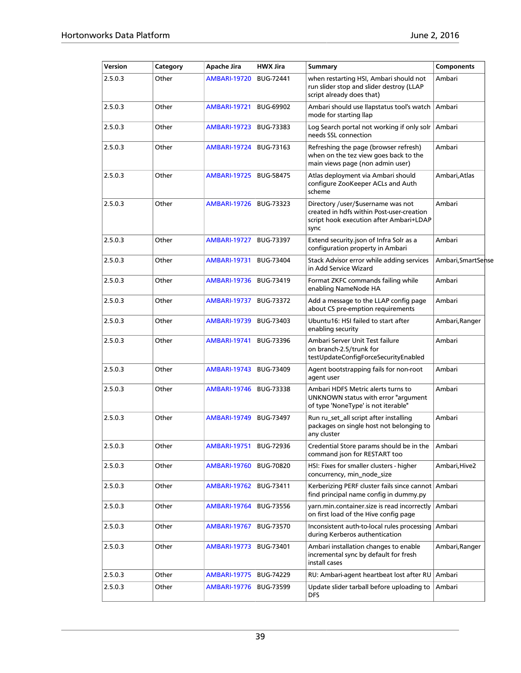| Version | Category | Apache Jira         | <b>HWX Jira</b>  | <b>Summary</b>                                                                                                                     | <b>Components</b>   |  |
|---------|----------|---------------------|------------------|------------------------------------------------------------------------------------------------------------------------------------|---------------------|--|
| 2.5.0.3 | Other    | <b>AMBARI-19720</b> | <b>BUG-72441</b> | when restarting HSI, Ambari should not<br>run slider stop and slider destroy (LLAP<br>script already does that)                    | Ambari              |  |
| 2.5.0.3 | Other    | <b>AMBARI-19721</b> | <b>BUG-69902</b> | Ambari should use llapstatus tool's watch<br>mode for starting llap                                                                | Ambari              |  |
| 2.5.0.3 | Other    | <b>AMBARI-19723</b> | BUG-73383        | Log Search portal not working if only solr<br>needs SSL connection                                                                 | Ambari              |  |
| 2.5.0.3 | Other    | <b>AMBARI-19724</b> | BUG-73163        | Refreshing the page (browser refresh)<br>when on the tez view goes back to the<br>main views page (non admin user)                 | Ambari              |  |
| 2.5.0.3 | Other    | <b>AMBARI-19725</b> | <b>BUG-58475</b> | Atlas deployment via Ambari should<br>configure ZooKeeper ACLs and Auth<br>scheme                                                  | Ambari. Atlas       |  |
| 2.5.0.3 | Other    | <b>AMBARI-19726</b> | BUG-73323        | Directory /user/\$username was not<br>created in hdfs within Post-user-creation<br>script hook execution after Ambari+LDAP<br>sync | Ambari              |  |
| 2.5.0.3 | Other    | <b>AMBARI-19727</b> | BUG-73397        | Extend security.json of Infra Solr as a<br>configuration property in Ambari                                                        | Ambari              |  |
| 2.5.0.3 | Other    | <b>AMBARI-19731</b> | BUG-73404        | Stack Advisor error while adding services<br>in Add Service Wizard                                                                 | Ambari, Smart Sense |  |
| 2.5.0.3 | Other    | <b>AMBARI-19736</b> | BUG-73419        | Format ZKFC commands failing while<br>enabling NameNode HA                                                                         | Ambari              |  |
| 2.5.0.3 | Other    | <b>AMBARI-19737</b> | BUG-73372        | Add a message to the LLAP config page<br>about CS pre-emption requirements                                                         | Ambari              |  |
| 2.5.0.3 | Other    | <b>AMBARI-19739</b> | BUG-73403        | Ubuntu16: HSI failed to start after<br>enabling security                                                                           | Ambari, Ranger      |  |
| 2.5.0.3 | Other    | <b>AMBARI-19741</b> | BUG-73396        | Ambari Server Unit Test failure<br>on branch-2.5/trunk for<br>testUpdateConfigForceSecurityEnabled                                 | Ambari              |  |
| 2.5.0.3 | Other    | <b>AMBARI-19743</b> | BUG-73409        | Agent bootstrapping fails for non-root<br>agent user                                                                               | Ambari              |  |
| 2.5.0.3 | Other    | <b>AMBARI-19746</b> | BUG-73338        | Ambari HDFS Metric alerts turns to<br>UNKNOWN status with error "argument<br>of type 'NoneType' is not iterable"                   | Ambari              |  |
| 2.5.0.3 | Other    | <b>AMBARI-19749</b> | BUG-73497        | Run ru_set_all script after installing<br>packages on single host not belonging to<br>any cluster                                  | Ambari              |  |
| 2.5.0.3 | Other    | <b>AMBARI-19751</b> | <b>BUG-72936</b> | Credential Store params should be in the<br>command json for RESTART too                                                           | Ambari              |  |
| 2.5.0.3 | Other    | <b>AMBARI-19760</b> | <b>BUG-70820</b> | HSI: Fixes for smaller clusters - higher<br>concurrency, min_node_size                                                             | Ambari,Hive2        |  |
| 2.5.0.3 | Other    | <b>AMBARI-19762</b> | BUG-73411        | Kerberizing PERF cluster fails since cannot Ambari<br>find principal name config in dummy.py                                       |                     |  |
| 2.5.0.3 | Other    | <b>AMBARI-19764</b> | BUG-73556        | varn.min.container.size is read incorrectly<br>on first load of the Hive config page                                               | Ambari              |  |
| 2.5.0.3 | Other    | AMBARI-19767        | BUG-73570        | Inconsistent auth-to-local rules processing<br>during Kerberos authentication                                                      | Ambari              |  |
| 2.5.0.3 | Other    | <b>AMBARI-19773</b> | BUG-73401        | Ambari installation changes to enable<br>incremental sync by default for fresh<br>install cases                                    | Ambari, Ranger      |  |
| 2.5.0.3 | Other    | AMBARI-19775        | BUG-74229        | RU: Ambari-agent heartbeat lost after RU                                                                                           | Ambari              |  |
| 2.5.0.3 | Other    | AMBARI-19776        | BUG-73599        | Update slider tarball before uploading to<br><b>DFS</b>                                                                            | Ambari              |  |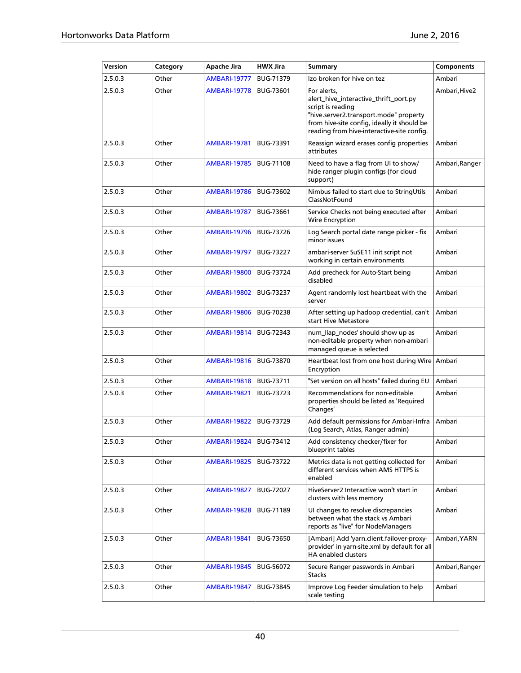| Version | Category | Apache Jira              | <b>HWX Jira</b>  | <b>Summary</b>                                                                                                                                                                                                   | <b>Components</b> |
|---------|----------|--------------------------|------------------|------------------------------------------------------------------------------------------------------------------------------------------------------------------------------------------------------------------|-------------------|
| 2.5.0.3 | Other    | <b>AMBARI-19777</b>      | <b>BUG-71379</b> | Izo broken for hive on tez                                                                                                                                                                                       | Ambari            |
| 2.5.0.3 | Other    | <b>AMBARI-19778</b>      | <b>BUG-73601</b> | For alerts,<br>alert_hive_interactive_thrift_port.py<br>script is reading<br>"hive.server2.transport.mode" property<br>from hive-site config, ideally it should be<br>reading from hive-interactive-site config. | Ambari, Hive2     |
| 2.5.0.3 | Other    | <b>AMBARI-19781</b>      | <b>BUG-73391</b> | Reassign wizard erases config properties<br>attributes                                                                                                                                                           | Ambari            |
| 2.5.0.3 | Other    | <b>AMBARI-19785</b>      | <b>BUG-71108</b> | Need to have a flag from UI to show/<br>hide ranger plugin configs (for cloud<br>support)                                                                                                                        | Ambari, Ranger    |
| 2.5.0.3 | Other    | <b>AMBARI-19786</b>      | <b>BUG-73602</b> | Nimbus failed to start due to StringUtils<br>ClassNotFound                                                                                                                                                       | Ambari            |
| 2.5.0.3 | Other    | <b>AMBARI-19787</b>      | <b>BUG-73661</b> | Service Checks not being executed after<br>Wire Encryption                                                                                                                                                       | Ambari            |
| 2.5.0.3 | Other    | <b>AMBARI-19796</b>      | <b>BUG-73726</b> | Log Search portal date range picker - fix<br>minor issues                                                                                                                                                        | Ambari            |
| 2.5.0.3 | Other    | AMBARI-19797             | <b>BUG-73227</b> | ambari-server SuSE11 init script not<br>working in certain environments                                                                                                                                          | Ambari            |
| 2.5.0.3 | Other    | <b>AMBARI-19800</b>      | <b>BUG-73724</b> | Add precheck for Auto-Start being<br>disabled                                                                                                                                                                    | Ambari            |
| 2.5.0.3 | Other    | <b>AMBARI-19802</b>      | <b>BUG-73237</b> | Agent randomly lost heartbeat with the<br>server                                                                                                                                                                 | Ambari            |
| 2.5.0.3 | Other    | <b>AMBARI-19806</b>      | BUG-70238        | After setting up hadoop credential, can't<br>start Hive Metastore                                                                                                                                                | Ambari            |
| 2.5.0.3 | Other    | <b>AMBARI-19814</b>      | <b>BUG-72343</b> | num_llap_nodes' should show up as<br>non-editable property when non-ambari<br>managed queue is selected                                                                                                          | Ambari            |
| 2.5.0.3 | Other    | AMBARI-19816             | <b>BUG-73870</b> | Heartbeat lost from one host during Wire<br>Encryption                                                                                                                                                           | Ambari            |
| 2.5.0.3 | Other    | AMBARI-19818             | <b>BUG-73711</b> | "Set version on all hosts" failed during EU                                                                                                                                                                      | Ambari            |
| 2.5.0.3 | Other    | <b>AMBARI-19821</b>      | <b>BUG-73723</b> | Recommendations for non-editable<br>properties should be listed as 'Required<br>Changes'                                                                                                                         | Ambari            |
| 2.5.0.3 | Other    | <b>AMBARI-19822</b>      | <b>BUG-73729</b> | Add default permissions for Ambari-Infra<br>(Log Search, Atlas, Ranger admin)                                                                                                                                    | Ambari            |
| 2.5.0.3 | Other    | AMBARI-19824   BUG-73412 |                  | Add consistency checker/fixer for<br>blueprint tables                                                                                                                                                            | Ambari            |
| 2.5.0.3 | Other    | <b>AMBARI-19825</b>      | <b>BUG-73722</b> | Metrics data is not getting collected for<br>different services when AMS HTTPS is<br>enabled                                                                                                                     | Ambari            |
| 2.5.0.3 | Other    | <b>AMBARI-19827</b>      | BUG-72027        | HiveServer2 Interactive won't start in<br>clusters with less memory                                                                                                                                              | Ambari            |
| 2.5.0.3 | Other    | <b>AMBARI-19828</b>      | <b>BUG-71189</b> | UI changes to resolve discrepancies<br>between what the stack vs Ambari<br>reports as "live" for NodeManagers                                                                                                    | Ambari            |
| 2.5.0.3 | Other    | <b>AMBARI-19841</b>      | <b>BUG-73650</b> | [Ambari] Add 'yarn.client.failover-proxy-<br>provider' in yarn-site.xml by default for all<br>HA enabled clusters                                                                                                | Ambari, YARN      |
| 2.5.0.3 | Other    | <b>AMBARI-19845</b>      | <b>BUG-56072</b> | Secure Ranger passwords in Ambari<br><b>Stacks</b>                                                                                                                                                               | Ambari, Ranger    |
| 2.5.0.3 | Other    | <b>AMBARI-19847</b>      | BUG-73845        | Improve Log Feeder simulation to help<br>scale testing                                                                                                                                                           | Ambari            |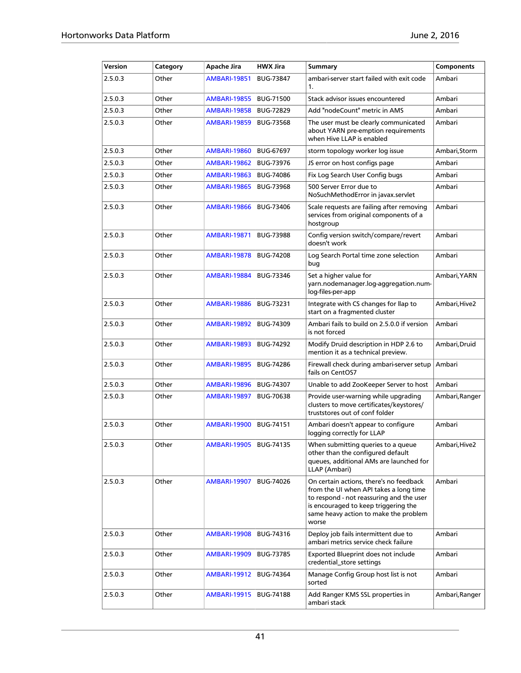| Version | Category | Apache Jira         | <b>HWX Jira</b>  | <b>Summary</b>                                                                                                                                                                                                          | <b>Components</b> |
|---------|----------|---------------------|------------------|-------------------------------------------------------------------------------------------------------------------------------------------------------------------------------------------------------------------------|-------------------|
| 2.5.0.3 | Other    | <b>AMBARI-19851</b> | <b>BUG-73847</b> | ambari-server start failed with exit code<br>1 <sub>1</sub>                                                                                                                                                             | Ambari            |
| 2.5.0.3 | Other    | <b>AMBARI-19855</b> | <b>BUG-71500</b> | Stack advisor issues encountered                                                                                                                                                                                        | Ambari            |
| 2.5.0.3 | Other    | <b>AMBARI-19858</b> | <b>BUG-72829</b> | Add "nodeCount" metric in AMS                                                                                                                                                                                           | Ambari            |
| 2.5.0.3 | Other    | <b>AMBARI-19859</b> | <b>BUG-73568</b> | The user must be clearly communicated<br>about YARN pre-emption requirements<br>when Hive LLAP is enabled                                                                                                               | Ambari            |
| 2.5.0.3 | Other    | AMBARI-19860        | <b>BUG-67697</b> | storm topology worker log issue                                                                                                                                                                                         | Ambari, Storm     |
| 2.5.0.3 | Other    | <b>AMBARI-19862</b> | <b>BUG-73976</b> | JS error on host configs page                                                                                                                                                                                           | Ambari            |
| 2.5.0.3 | Other    | <b>AMBARI-19863</b> | <b>BUG-74086</b> | Fix Log Search User Config bugs                                                                                                                                                                                         | Ambari            |
| 2.5.0.3 | Other    | <b>AMBARI-19865</b> | <b>BUG-73968</b> | 500 Server Error due to<br>NoSuchMethodError in javax.servlet                                                                                                                                                           | Ambari            |
| 2.5.0.3 | Other    | <b>AMBARI-19866</b> | <b>BUG-73406</b> | Scale requests are failing after removing<br>services from original components of a<br>hostgroup                                                                                                                        | Ambari            |
| 2.5.0.3 | Other    | <b>AMBARI-19871</b> | <b>BUG-73988</b> | Config version switch/compare/revert<br>doesn't work                                                                                                                                                                    | Ambari            |
| 2.5.0.3 | Other    | <b>AMBARI-19878</b> | <b>BUG-74208</b> | Log Search Portal time zone selection<br>bug                                                                                                                                                                            | Ambari            |
| 2.5.0.3 | Other    | <b>AMBARI-19884</b> | BUG-73346        | Set a higher value for<br>yarn.nodemanager.log-aggregation.num-<br>log-files-per-app                                                                                                                                    | Ambari, YARN      |
| 2.5.0.3 | Other    | <b>AMBARI-19886</b> | <b>BUG-73231</b> | Integrate with CS changes for llap to<br>start on a fragmented cluster                                                                                                                                                  | Ambari, Hive2     |
| 2.5.0.3 | Other    | <b>AMBARI-19892</b> | <b>BUG-74309</b> | Ambari fails to build on 2.5.0.0 if version<br>is not forced                                                                                                                                                            | Ambari            |
| 2.5.0.3 | Other    | <b>AMBARI-19893</b> | <b>BUG-74292</b> | Modify Druid description in HDP 2.6 to<br>mention it as a technical preview.                                                                                                                                            | Ambari, Druid     |
| 2.5.0.3 | Other    | <b>AMBARI-19895</b> | <b>BUG-74286</b> | Firewall check during ambari-server setup<br>fails on CentOS7                                                                                                                                                           | Ambari            |
| 2.5.0.3 | Other    | <b>AMBARI-19896</b> | <b>BUG-74307</b> | Unable to add ZooKeeper Server to host                                                                                                                                                                                  | Ambari            |
| 2.5.0.3 | Other    | <b>AMBARI-19897</b> | <b>BUG-70638</b> | Provide user-warning while upgrading<br>clusters to move certificates/keystores/<br>truststores out of conf folder                                                                                                      | Ambari, Ranger    |
| 2.5.0.3 | Other    | <b>AMBARI-19900</b> | <b>BUG-74151</b> | Ambari doesn't appear to configure<br>logging correctly for LLAP                                                                                                                                                        | Ambari            |
| 2.5.0.3 | Other    | AMBARI-19905        | BUG-74135        | When submitting queries to a queue<br>other than the configured default<br>queues, additional AMs are launched for<br>LLAP (Ambari)                                                                                     | Ambari, Hive2     |
| 2.5.0.3 | Other    | <b>AMBARI-19907</b> | BUG-74026        | On certain actions, there's no feedback<br>from the UI when API takes a long time<br>to respond - not reassuring and the user<br>is encouraged to keep triggering the<br>same heavy action to make the problem<br>worse | Ambari            |
| 2.5.0.3 | Other    | AMBARI-19908        | BUG-74316        | Deploy job fails intermittent due to<br>ambari metrics service check failure                                                                                                                                            | Ambari            |
| 2.5.0.3 | Other    | AMBARI-19909        | BUG-73785        | Exported Blueprint does not include<br>credential_store settings                                                                                                                                                        | Ambari            |
| 2.5.0.3 | Other    | AMBARI-19912        | <b>BUG-74364</b> | Manage Config Group host list is not<br>sorted                                                                                                                                                                          | Ambari            |
| 2.5.0.3 | Other    | AMBARI-19915        | <b>BUG-74188</b> | Add Ranger KMS SSL properties in<br>ambari stack                                                                                                                                                                        | Ambari, Ranger    |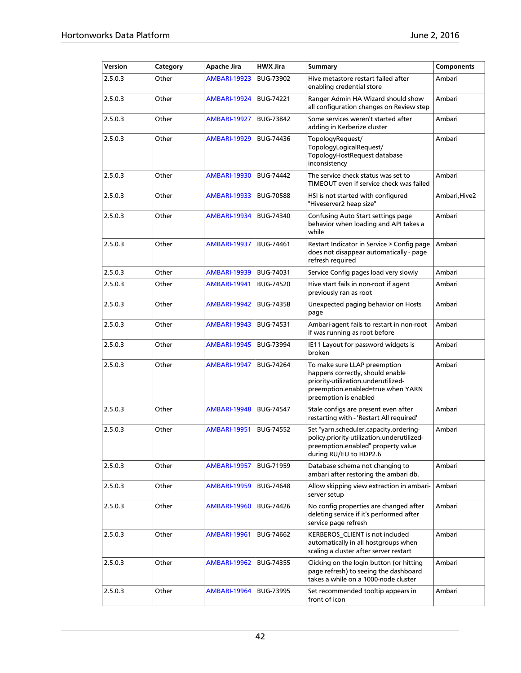| Version | Category | Apache Jira         | <b>HWX Jira</b>  | Summary                                                                                                                                                               | <b>Components</b> |
|---------|----------|---------------------|------------------|-----------------------------------------------------------------------------------------------------------------------------------------------------------------------|-------------------|
| 2.5.0.3 | Other    | <b>AMBARI-19923</b> | BUG-73902        | Hive metastore restart failed after<br>enabling credential store                                                                                                      | Ambari            |
| 2.5.0.3 | Other    | <b>AMBARI-19924</b> | <b>BUG-74221</b> | Ranger Admin HA Wizard should show<br>all configuration changes on Review step                                                                                        | Ambari            |
| 2.5.0.3 | Other    | <b>AMBARI-19927</b> | <b>BUG-73842</b> | Some services weren't started after<br>adding in Kerberize cluster                                                                                                    | Ambari            |
| 2.5.0.3 | Other    | <b>AMBARI-19929</b> | BUG-74436        | TopologyRequest/<br>TopologyLogicalRequest/<br>TopologyHostRequest database<br>inconsistency                                                                          | Ambari            |
| 2.5.0.3 | Other    | <b>AMBARI-19930</b> | <b>BUG-74442</b> | The service check status was set to<br>TIMEOUT even if service check was failed                                                                                       | Ambari            |
| 2.5.0.3 | Other    | <b>AMBARI-19933</b> | <b>BUG-70588</b> | HSI is not started with configured<br>"Hiveserver2 heap size"                                                                                                         | Ambari,Hive2      |
| 2.5.0.3 | Other    | <b>AMBARI-19934</b> | <b>BUG-74340</b> | Confusing Auto Start settings page<br>behavior when loading and API takes a<br>while                                                                                  | Ambari            |
| 2.5.0.3 | Other    | <b>AMBARI-19937</b> | <b>BUG-74461</b> | Restart Indicator in Service > Config page<br>does not disappear automatically - page<br>refresh required                                                             | Ambari            |
| 2.5.0.3 | Other    | <b>AMBARI-19939</b> | BUG-74031        | Service Config pages load very slowly                                                                                                                                 | Ambari            |
| 2.5.0.3 | Other    | <b>AMBARI-19941</b> | <b>BUG-74520</b> | Hive start fails in non-root if agent<br>previously ran as root                                                                                                       | Ambari            |
| 2.5.0.3 | Other    | <b>AMBARI-19942</b> | <b>BUG-74358</b> | Unexpected paging behavior on Hosts<br>page                                                                                                                           | Ambari            |
| 2.5.0.3 | Other    | <b>AMBARI-19943</b> | <b>BUG-74531</b> | Ambari-agent fails to restart in non-root<br>if was running as root before                                                                                            | Ambari            |
| 2.5.0.3 | Other    | <b>AMBARI-19945</b> | <b>BUG-73994</b> | IE11 Layout for password widgets is<br>broken                                                                                                                         | Ambari            |
| 2.5.0.3 | Other    | <b>AMBARI-19947</b> | <b>BUG-74264</b> | To make sure LLAP preemption<br>happens correctly, should enable<br>priority-utilization.underutilized-<br>preemption.enabled=true when YARN<br>preemption is enabled | Ambari            |
| 2.5.0.3 | Other    | <b>AMBARI-19948</b> | <b>BUG-74547</b> | Stale configs are present even after<br>restarting with - 'Restart All required'                                                                                      | Ambari            |
| 2.5.0.3 | Other    | <b>AMBARI-19951</b> | <b>BUG-74552</b> | Set "yarn.scheduler.capacity.ordering-<br>policy.priority-utilization.underutilized-<br>preemption.enabled" property value<br>during RU/EU to HDP2.6                  | Ambari            |
| 2.5.0.3 | Other    | <b>AMBARI-19957</b> | <b>BUG-71959</b> | Database schema not changing to<br>ambari after restoring the ambari db.                                                                                              | Ambari            |
| 2.5.0.3 | Other    | <b>AMBARI-19959</b> | <b>BUG-74648</b> | Allow skipping view extraction in ambari-<br>server setup                                                                                                             | Ambari            |
| 2.5.0.3 | Other    | <b>AMBARI-19960</b> | <b>BUG-74426</b> | No config properties are changed after<br>deleting service if it's performed after<br>service page refresh                                                            | Ambari            |
| 2.5.0.3 | Other    | <b>AMBARI-19961</b> | BUG-74662        | KERBEROS_CLIENT is not included<br>automatically in all hostgroups when<br>scaling a cluster after server restart                                                     | Ambari            |
| 2.5.0.3 | Other    | <b>AMBARI-19962</b> | <b>BUG-74355</b> | Clicking on the login button (or hitting<br>page refresh) to seeing the dashboard<br>takes a while on a 1000-node cluster                                             | Ambari            |
| 2.5.0.3 | Other    | <b>AMBARI-19964</b> | <b>BUG-73995</b> | Set recommended tooltip appears in<br>front of icon                                                                                                                   | Ambari            |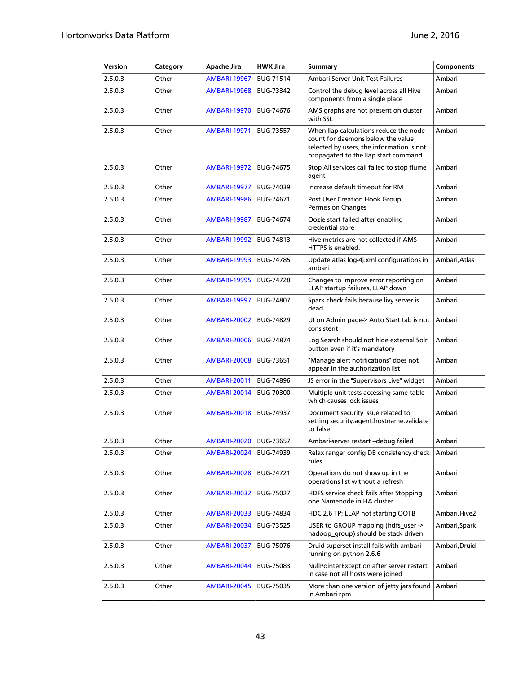| Version | Category | Apache Jira              | <b>HWX Jira</b>  | <b>Summary</b>                                                                                                                                                   | Components    |
|---------|----------|--------------------------|------------------|------------------------------------------------------------------------------------------------------------------------------------------------------------------|---------------|
| 2.5.0.3 | Other    | <b>AMBARI-19967</b>      | <b>BUG-71514</b> | Ambari Server Unit Test Failures                                                                                                                                 | Ambari        |
| 2.5.0.3 | Other    | <b>AMBARI-19968</b>      | <b>BUG-73342</b> | Control the debug level across all Hive<br>components from a single place                                                                                        | Ambari        |
| 2.5.0.3 | Other    | <b>AMBARI-19970</b>      | <b>BUG-74676</b> | AMS graphs are not present on cluster<br>with SSL                                                                                                                | Ambari        |
| 2.5.0.3 | Other    | <b>AMBARI-19971</b>      | <b>BUG-73557</b> | When llap calculations reduce the node<br>count for daemons below the value<br>selected by users, the information is not<br>propagated to the llap start command | Ambari        |
| 2.5.0.3 | Other    | <b>AMBARI-19972</b>      | <b>BUG-74675</b> | Stop All services call failed to stop flume<br>agent                                                                                                             | Ambari        |
| 2.5.0.3 | Other    | AMBARI-19977             | <b>BUG-74039</b> | Increase default timeout for RM                                                                                                                                  | Ambari        |
| 2.5.0.3 | Other    | <b>AMBARI-19986</b>      | <b>BUG-74671</b> | Post User Creation Hook Group<br><b>Permission Changes</b>                                                                                                       | Ambari        |
| 2.5.0.3 | Other    | <b>AMBARI-19987</b>      | <b>BUG-74674</b> | Oozie start failed after enabling<br>credential store                                                                                                            | Ambari        |
| 2.5.0.3 | Other    | <b>AMBARI-19992</b>      | BUG-74813        | Hive metrics are not collected if AMS<br>HTTPS is enabled.                                                                                                       | Ambari        |
| 2.5.0.3 | Other    | <b>AMBARI-19993</b>      | <b>BUG-74785</b> | Update atlas log-4j.xml configurations in<br>ambari                                                                                                              | Ambari, Atlas |
| 2.5.0.3 | Other    | <b>AMBARI-19995</b>      | <b>BUG-74728</b> | Changes to improve error reporting on<br>LLAP startup failures, LLAP down                                                                                        | Ambari        |
| 2.5.0.3 | Other    | <b>AMBARI-19997</b>      | <b>BUG-74807</b> | Spark check fails because livy server is<br>dead                                                                                                                 | Ambari        |
| 2.5.0.3 | Other    | <b>AMBARI-20002</b>      | <b>BUG-74829</b> | UI on Admin page-> Auto Start tab is not<br>consistent                                                                                                           | Ambari        |
| 2.5.0.3 | Other    | <b>AMBARI-20006</b>      | <b>BUG-74874</b> | Log Search should not hide external Solr<br>button even if it's mandatory                                                                                        | Ambari        |
| 2.5.0.3 | Other    | <b>AMBARI-20008</b>      | <b>BUG-73651</b> | "Manage alert notifications" does not<br>appear in the authorization list                                                                                        | Ambari        |
| 2.5.0.3 | Other    | <b>AMBARI-20011</b>      | <b>BUG-74896</b> | JS error in the "Supervisors Live" widget                                                                                                                        | Ambari        |
| 2.5.0.3 | Other    | <b>AMBARI-20014</b>      | <b>BUG-70300</b> | Multiple unit tests accessing same table<br>which causes lock issues                                                                                             | Ambari        |
| 2.5.0.3 | Other    | <b>AMBARI-20018</b>      | <b>BUG-74937</b> | Document security issue related to<br>setting security.agent.hostname.validate<br>to false                                                                       | Ambari        |
| 2.5.0.3 | Other    | AMBARI-20020   BUG-73657 |                  | Ambari-server restart -- debug failed                                                                                                                            | Ambari        |
| 2.5.0.3 | Other    | <b>AMBARI-20024</b>      | <b>BUG-74939</b> | Relax ranger config DB consistency check<br>rules                                                                                                                | Ambari        |
| 2.5.0.3 | Other    | <b>AMBARI-20028</b>      | <b>BUG-74721</b> | Operations do not show up in the<br>operations list without a refresh                                                                                            | Ambari        |
| 2.5.0.3 | Other    | <b>AMBARI-20032</b>      | <b>BUG-75027</b> | HDFS service check fails after Stopping<br>one Namenode in HA cluster                                                                                            | Ambari        |
| 2.5.0.3 | Other    | AMBARI-20033             | <b>BUG-74834</b> | HDC 2.6 TP: LLAP not starting OOTB                                                                                                                               | Ambari,Hive2  |
| 2.5.0.3 | Other    | <b>AMBARI-20034</b>      | <b>BUG-73525</b> | USER to GROUP mapping (hdfs user -><br>hadoop_group) should be stack driven                                                                                      | Ambari, Spark |
| 2.5.0.3 | Other    | <b>AMBARI-20037</b>      | <b>BUG-75076</b> | Druid-superset install fails with ambari<br>running on python 2.6.6                                                                                              | Ambari, Druid |
| 2.5.0.3 | Other    | <b>AMBARI-20044</b>      | <b>BUG-75083</b> | NullPointerException after server restart<br>in case not all hosts were joined                                                                                   | Ambari        |
| 2.5.0.3 | Other    | <b>AMBARI-20045</b>      | BUG-75035        | More than one version of jetty jars found<br>in Ambari rpm                                                                                                       | Ambari        |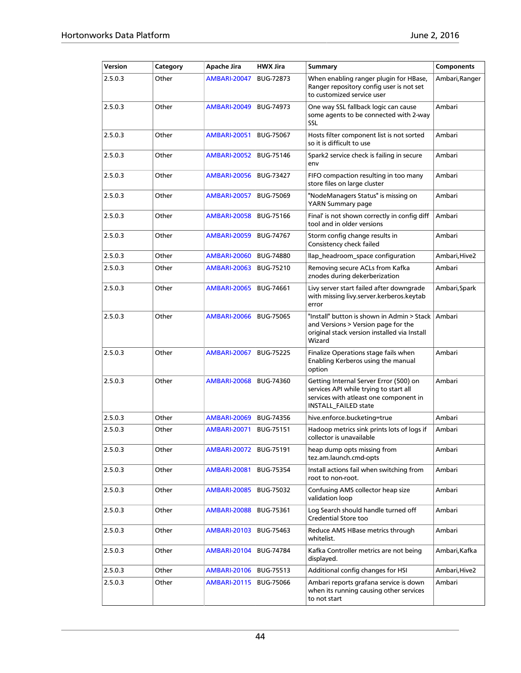| Version | Category | Apache Jira         | <b>HWX Jira</b>  | <b>Summary</b>                                                                                                                                     | <b>Components</b> |
|---------|----------|---------------------|------------------|----------------------------------------------------------------------------------------------------------------------------------------------------|-------------------|
| 2.5.0.3 | Other    | <b>AMBARI-20047</b> | <b>BUG-72873</b> | When enabling ranger plugin for HBase,<br>Ranger repository config user is not set<br>to customized service user                                   | Ambari, Ranger    |
| 2.5.0.3 | Other    | <b>AMBARI-20049</b> | <b>BUG-74973</b> | One way SSL fallback logic can cause<br>some agents to be connected with 2-way<br><b>SSL</b>                                                       | Ambari            |
| 2.5.0.3 | Other    | <b>AMBARI-20051</b> | <b>BUG-75067</b> | Hosts filter component list is not sorted<br>so it is difficult to use                                                                             | Ambari            |
| 2.5.0.3 | Other    | <b>AMBARI-20052</b> | <b>BUG-75146</b> | Spark2 service check is failing in secure<br>env                                                                                                   | Ambari            |
| 2.5.0.3 | Other    | <b>AMBARI-20056</b> | <b>BUG-73427</b> | FIFO compaction resulting in too many<br>store files on large cluster                                                                              | Ambari            |
| 2.5.0.3 | Other    | <b>AMBARI-20057</b> | <b>BUG-75069</b> | "NodeManagers Status" is missing on<br>YARN Summary page                                                                                           | Ambari            |
| 2.5.0.3 | Other    | <b>AMBARI-20058</b> | <b>BUG-75166</b> | Final' is not shown correctly in config diff<br>tool and in older versions                                                                         | Ambari            |
| 2.5.0.3 | Other    | <b>AMBARI-20059</b> | <b>BUG-74767</b> | Storm config change results in<br>Consistency check failed                                                                                         | Ambari            |
| 2.5.0.3 | Other    | <b>AMBARI-20060</b> | <b>BUG-74880</b> | llap_headroom_space configuration                                                                                                                  | Ambari, Hive2     |
| 2.5.0.3 | Other    | <b>AMBARI-20063</b> | <b>BUG-75210</b> | Removing secure ACLs from Kafka<br>znodes during dekerberization                                                                                   | Ambari            |
| 2.5.0.3 | Other    | <b>AMBARI-20065</b> | <b>BUG-74661</b> | Livy server start failed after downgrade<br>with missing livy.server.kerberos.keytab<br>error                                                      | Ambari, Spark     |
| 2.5.0.3 | Other    | <b>AMBARI-20066</b> | <b>BUG-75065</b> | "Install" button is shown in Admin > Stack<br>and Versions > Version page for the<br>original stack version installed via Install<br>Wizard        | Ambari            |
| 2.5.0.3 | Other    | <b>AMBARI-20067</b> | <b>BUG-75225</b> | Finalize Operations stage fails when<br>Enabling Kerberos using the manual<br>option                                                               | Ambari            |
| 2.5.0.3 | Other    | <b>AMBARI-20068</b> | <b>BUG-74360</b> | Getting Internal Server Error (500) on<br>services API while trying to start all<br>services with atleast one component in<br>INSTALL_FAILED state | Ambari            |
| 2.5.0.3 | Other    | <b>AMBARI-20069</b> | <b>BUG-74356</b> | hive.enforce.bucketing=true                                                                                                                        | Ambari            |
| 2.5.0.3 | Other    | <b>AMBARI-20071</b> | <b>BUG-75151</b> | Hadoop metrics sink prints lots of logs if<br>collector is unavailable                                                                             | Ambari            |
| 2.5.0.3 | Other    | <b>AMBARI-20072</b> | BUG-75191        | heap dump opts missing from<br>tez.am.launch.cmd-opts                                                                                              | Ambari            |
| 2.5.0.3 | Other    | <b>AMBARI-20081</b> | BUG-75354        | Install actions fail when switching from<br>root to non-root.                                                                                      | Ambari            |
| 2.5.0.3 | Other    | <b>AMBARI-20085</b> | BUG-75032        | Confusing AMS collector heap size<br>validation loop                                                                                               | Ambari            |
| 2.5.0.3 | Other    | <b>AMBARI-20088</b> | BUG-75361        | Log Search should handle turned off<br>Credential Store too                                                                                        | Ambari            |
| 2.5.0.3 | Other    | <b>AMBARI-20103</b> | BUG-75463        | Reduce AMS HBase metrics through<br>whitelist.                                                                                                     | Ambari            |
| 2.5.0.3 | Other    | <b>AMBARI-20104</b> | <b>BUG-74784</b> | Kafka Controller metrics are not being<br>displayed.                                                                                               | Ambari, Kafka     |
| 2.5.0.3 | Other    | <b>AMBARI-20106</b> | BUG-75513        | Additional config changes for HSI                                                                                                                  | Ambari, Hive2     |
| 2.5.0.3 | Other    | <b>AMBARI-20115</b> | <b>BUG-75066</b> | Ambari reports grafana service is down<br>when its running causing other services<br>to not start                                                  | Ambari            |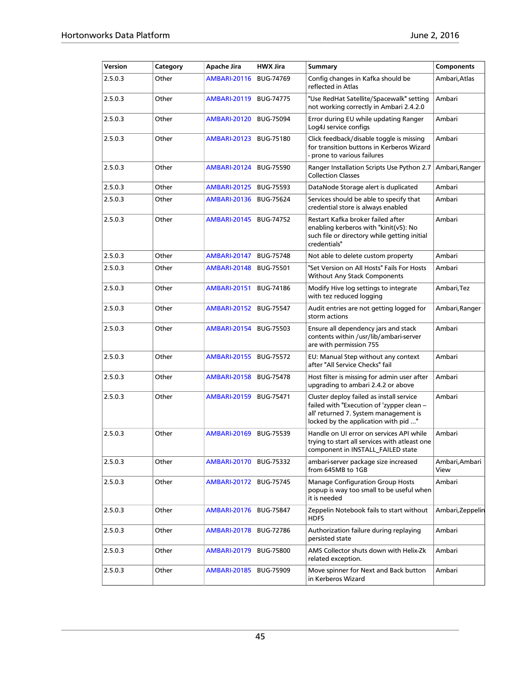| Version | Category | Apache Jira         | <b>HWX Jira</b>  | <b>Summary</b>                                                                                                                                                         | <b>Components</b>      |
|---------|----------|---------------------|------------------|------------------------------------------------------------------------------------------------------------------------------------------------------------------------|------------------------|
| 2.5.0.3 | Other    | <b>AMBARI-20116</b> | <b>BUG-74769</b> | Config changes in Kafka should be<br>reflected in Atlas                                                                                                                | Ambari,Atlas           |
| 2.5.0.3 | Other    | <b>AMBARI-20119</b> | <b>BUG-74775</b> | "Use RedHat Satellite/Spacewalk" setting<br>not working correctly in Ambari 2.4.2.0                                                                                    | Ambari                 |
| 2.5.0.3 | Other    | <b>AMBARI-20120</b> | <b>BUG-75094</b> | Error during EU while updating Ranger<br>Log4J service configs                                                                                                         | Ambari                 |
| 2.5.0.3 | Other    | <b>AMBARI-20123</b> | <b>BUG-75180</b> | Click feedback/disable toggle is missing<br>for transition buttons in Kerberos Wizard<br>- prone to various failures                                                   | Ambari                 |
| 2.5.0.3 | Other    | AMBARI-20124        | <b>BUG-75590</b> | Ranger Installation Scripts Use Python 2.7<br><b>Collection Classes</b>                                                                                                | Ambari, Ranger         |
| 2.5.0.3 | Other    | AMBARI-20125        | <b>BUG-75593</b> | DataNode Storage alert is duplicated                                                                                                                                   | Ambari                 |
| 2.5.0.3 | Other    | <b>AMBARI-20136</b> | <b>BUG-75624</b> | Services should be able to specify that<br>credential store is always enabled                                                                                          | Ambari                 |
| 2.5.0.3 | Other    | <b>AMBARI-20145</b> | <b>BUG-74752</b> | Restart Kafka broker failed after<br>enabling kerberos with "kinit(v5): No<br>such file or directory while getting initial<br>credentials"                             | Ambari                 |
| 2.5.0.3 | Other    | <b>AMBARI-20147</b> | <b>BUG-75748</b> | Not able to delete custom property                                                                                                                                     | Ambari                 |
| 2.5.0.3 | Other    | <b>AMBARI-20148</b> | <b>BUG-75501</b> | "Set Version on All Hosts" Fails For Hosts<br><b>Without Any Stack Components</b>                                                                                      | Ambari                 |
| 2.5.0.3 | Other    | <b>AMBARI-20151</b> | <b>BUG-74186</b> | Modify Hive log settings to integrate<br>with tez reduced logging                                                                                                      | Ambari, Tez            |
| 2.5.0.3 | Other    | <b>AMBARI-20152</b> | <b>BUG-75547</b> | Audit entries are not getting logged for<br>storm actions                                                                                                              | Ambari, Ranger         |
| 2.5.0.3 | Other    | <b>AMBARI-20154</b> | <b>BUG-75503</b> | Ensure all dependency jars and stack<br>contents within /usr/lib/ambari-server<br>are with permission 755                                                              | Ambari                 |
| 2.5.0.3 | Other    | <b>AMBARI-20155</b> | <b>BUG-75572</b> | EU: Manual Step without any context<br>after "All Service Checks" fail                                                                                                 | Ambari                 |
| 2.5.0.3 | Other    | <b>AMBARI-20158</b> | <b>BUG-75478</b> | Host filter is missing for admin user after<br>upgrading to ambari 2.4.2 or above                                                                                      | Ambari                 |
| 2.5.0.3 | Other    | <b>AMBARI-20159</b> | <b>BUG-75471</b> | Cluster deploy failed as install service<br>failed with "Execution of 'zypper clean -<br>all' returned 7. System management is<br>locked by the application with pid " | Ambari                 |
| 2.5.0.3 | Other    | <b>AMBARI-20169</b> | BUG-75539        | Handle on UI error on services API while<br>trying to start all services with atleast one<br>component in INSTALL FAILED state                                         | Ambari                 |
| 2.5.0.3 | Other    | <b>AMBARI-20170</b> | BUG-75332        | ambari-server package size increased<br>from 645MB to 1GB                                                                                                              | Ambari, Ambari<br>View |
| 2.5.0.3 | Other    | <b>AMBARI-20172</b> | <b>BUG-75745</b> | <b>Manage Configuration Group Hosts</b><br>popup is way too small to be useful when<br>it is needed                                                                    | Ambari                 |
| 2.5.0.3 | Other    | <b>AMBARI-20176</b> | <b>BUG-75847</b> | Zeppelin Notebook fails to start without<br><b>HDFS</b>                                                                                                                | Ambari, Zeppelin       |
| 2.5.0.3 | Other    | <b>AMBARI-20178</b> | <b>BUG-72786</b> | Authorization failure during replaying<br>persisted state                                                                                                              | Ambari                 |
| 2.5.0.3 | Other    | <b>AMBARI-20179</b> | <b>BUG-75800</b> | AMS Collector shuts down with Helix-Zk<br>related exception.                                                                                                           | Ambari                 |
| 2.5.0.3 | Other    | <b>AMBARI-20185</b> | <b>BUG-75909</b> | Move spinner for Next and Back button<br>in Kerberos Wizard                                                                                                            | Ambari                 |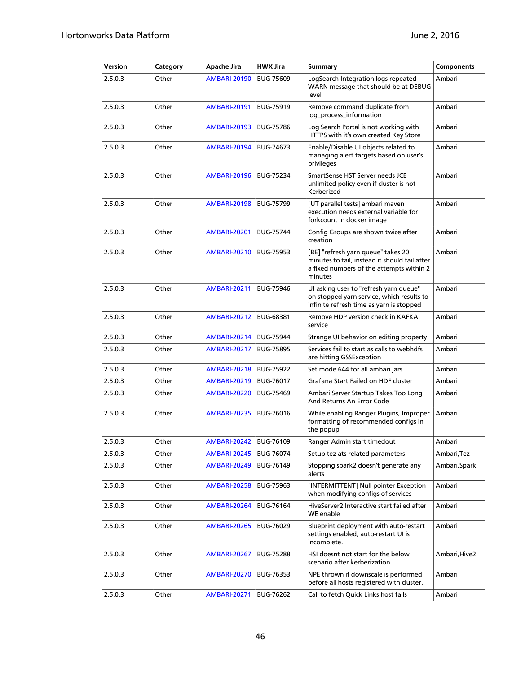| Version | Category | <b>Apache Jira</b>  | <b>HWX Jira</b>  | Summary                                                                                                                                    | Components    |
|---------|----------|---------------------|------------------|--------------------------------------------------------------------------------------------------------------------------------------------|---------------|
| 2.5.0.3 | Other    | <b>AMBARI-20190</b> | <b>BUG-75609</b> | LogSearch Integration logs repeated<br>WARN message that should be at DEBUG<br>level                                                       | Ambari        |
| 2.5.0.3 | Other    | <b>AMBARI-20191</b> | <b>BUG-75919</b> | Remove command duplicate from<br>log_process_information                                                                                   | Ambari        |
| 2.5.0.3 | Other    | <b>AMBARI-20193</b> | <b>BUG-75786</b> | Log Search Portal is not working with<br>HTTPS with it's own created Key Store                                                             | Ambari        |
| 2.5.0.3 | Other    | <b>AMBARI-20194</b> | <b>BUG-74673</b> | Enable/Disable UI objects related to<br>managing alert targets based on user's<br>privileges                                               | Ambari        |
| 2.5.0.3 | Other    | <b>AMBARI-20196</b> | <b>BUG-75234</b> | SmartSense HST Server needs JCE<br>unlimited policy even if cluster is not<br>Kerberized                                                   | Ambari        |
| 2.5.0.3 | Other    | <b>AMBARI-20198</b> | <b>BUG-75799</b> | [UT parallel tests] ambari maven<br>execution needs external variable for<br>forkcount in docker image                                     | Ambari        |
| 2.5.0.3 | Other    | <b>AMBARI-20201</b> | <b>BUG-75744</b> | Config Groups are shown twice after<br>creation                                                                                            | Ambari        |
| 2.5.0.3 | Other    | <b>AMBARI-20210</b> | <b>BUG-75953</b> | [BE] "refresh yarn queue" takes 20<br>minutes to fail, instead it should fail after<br>a fixed numbers of the attempts within 2<br>minutes | Ambari        |
| 2.5.0.3 | Other    | <b>AMBARI-20211</b> | <b>BUG-75946</b> | UI asking user to "refresh yarn queue"<br>on stopped yarn service, which results to<br>infinite refresh time as yarn is stopped            | Ambari        |
| 2.5.0.3 | Other    | <b>AMBARI-20212</b> | <b>BUG-68381</b> | Remove HDP version check in KAFKA<br>service                                                                                               | Ambari        |
| 2.5.0.3 | Other    | <b>AMBARI-20214</b> | <b>BUG-75944</b> | Strange UI behavior on editing property                                                                                                    | Ambari        |
| 2.5.0.3 | Other    | <b>AMBARI-20217</b> | <b>BUG-75895</b> | Services fail to start as calls to webhdfs<br>are hitting GSSException                                                                     | Ambari        |
| 2.5.0.3 | Other    | <b>AMBARI-20218</b> | <b>BUG-75922</b> | Set mode 644 for all ambari jars                                                                                                           | Ambari        |
| 2.5.0.3 | Other    | <b>AMBARI-20219</b> | <b>BUG-76017</b> | Grafana Start Failed on HDF cluster                                                                                                        | Ambari        |
| 2.5.0.3 | Other    | <b>AMBARI-20220</b> | <b>BUG-75469</b> | Ambari Server Startup Takes Too Long<br>And Returns An Error Code                                                                          | Ambari        |
| 2.5.0.3 | Other    | <b>AMBARI-20235</b> | <b>BUG-76016</b> | While enabling Ranger Plugins, Improper<br>formatting of recommended configs in<br>the popup                                               | Ambari        |
| 2.5.0.3 | Other    | <b>AMBARI-20242</b> | <b>BUG-76109</b> | Ranger Admin start timedout                                                                                                                | Ambari        |
| 2.5.0.3 | Other    | <b>AMBARI-20245</b> | <b>BUG-76074</b> | Setup tez ats related parameters                                                                                                           | Ambari, Tez   |
| 2.5.0.3 | Other    | <b>AMBARI-20249</b> | BUG-76149        | Stopping spark2 doesn't generate any<br>alerts                                                                                             | Ambari, Spark |
| 2.5.0.3 | Other    | <b>AMBARI-20258</b> | BUG-75963        | [INTERMITTENT] Null pointer Exception<br>when modifying configs of services                                                                | Ambari        |
| 2.5.0.3 | Other    | <b>AMBARI-20264</b> | <b>BUG-76164</b> | HiveServer2 Interactive start failed after<br>WE enable                                                                                    | Ambari        |
| 2.5.0.3 | Other    | <b>AMBARI-20265</b> | BUG-76029        | Blueprint deployment with auto-restart<br>settings enabled, auto-restart UI is<br>incomplete.                                              | Ambari        |
| 2.5.0.3 | Other    | <b>AMBARI-20267</b> | <b>BUG-75288</b> | HSI doesnt not start for the below<br>scenario after kerberization.                                                                        | Ambari,Hive2  |
| 2.5.0.3 | Other    | <b>AMBARI-20270</b> | <b>BUG-76353</b> | NPE thrown if downscale is performed<br>before all hosts registered with cluster.                                                          | Ambari        |
| 2.5.0.3 | Other    | <b>AMBARI-20271</b> | BUG-76262        | Call to fetch Quick Links host fails                                                                                                       | Ambari        |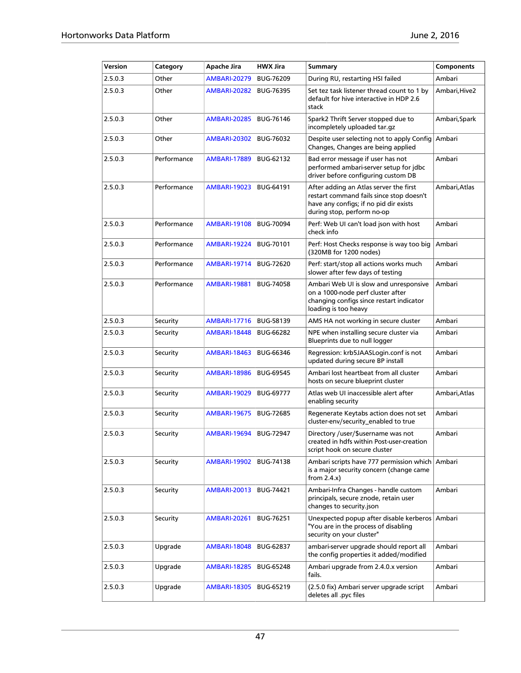| Version | Category    | Apache Jira         | <b>HWX Jira</b>  | Summary                                                                                                                                                    | <b>Components</b> |
|---------|-------------|---------------------|------------------|------------------------------------------------------------------------------------------------------------------------------------------------------------|-------------------|
| 2.5.0.3 | Other       | <b>AMBARI-20279</b> | <b>BUG-76209</b> | During RU, restarting HSI failed                                                                                                                           | Ambari            |
| 2.5.0.3 | Other       | <b>AMBARI-20282</b> | <b>BUG-76395</b> | Set tez task listener thread count to 1 by<br>default for hive interactive in HDP 2.6<br>stack                                                             | Ambari,Hive2      |
| 2.5.0.3 | Other       | <b>AMBARI-20285</b> | <b>BUG-76146</b> | Spark2 Thrift Server stopped due to<br>incompletely uploaded tar.gz                                                                                        | Ambari,Spark      |
| 2.5.0.3 | Other       | <b>AMBARI-20302</b> | <b>BUG-76032</b> | Despite user selecting not to apply Config Ambari<br>Changes, Changes are being applied                                                                    |                   |
| 2.5.0.3 | Performance | <b>AMBARI-17889</b> | BUG-62132        | Bad error message if user has not<br>performed ambari-server setup for jdbc<br>driver before configuring custom DB                                         | Ambari            |
| 2.5.0.3 | Performance | <b>AMBARI-19023</b> | <b>BUG-64191</b> | After adding an Atlas server the first<br>restart command fails since stop doesn't<br>have any configs; if no pid dir exists<br>during stop, perform no-op | Ambari,Atlas      |
| 2.5.0.3 | Performance | <b>AMBARI-19108</b> | <b>BUG-70094</b> | Perf: Web UI can't load json with host<br>check info                                                                                                       | Ambari            |
| 2.5.0.3 | Performance | <b>AMBARI-19224</b> | <b>BUG-70101</b> | Perf: Host Checks response is way too big<br>(320MB for 1200 nodes)                                                                                        | Ambari            |
| 2.5.0.3 | Performance | <b>AMBARI-19714</b> | <b>BUG-72620</b> | Perf: start/stop all actions works much<br>slower after few days of testing                                                                                | Ambari            |
| 2.5.0.3 | Performance | <b>AMBARI-19881</b> | <b>BUG-74058</b> | Ambari Web UI is slow and unresponsive<br>on a 1000-node perf cluster after<br>changing configs since restart indicator<br>loading is too heavy            | Ambari            |
| 2.5.0.3 | Security    | <b>AMBARI-17716</b> | <b>BUG-58139</b> | AMS HA not working in secure cluster                                                                                                                       | Ambari            |
| 2.5.0.3 | Security    | <b>AMBARI-18448</b> | <b>BUG-66282</b> | NPE when installing secure cluster via<br>Blueprints due to null logger                                                                                    | Ambari            |
| 2.5.0.3 | Security    | <b>AMBARI-18463</b> | BUG-66346        | Regression: krb5JAASLogin.conf is not<br>updated during secure BP install                                                                                  | Ambari            |
| 2.5.0.3 | Security    | <b>AMBARI-18986</b> | <b>BUG-69545</b> | Ambari lost heartbeat from all cluster<br>hosts on secure blueprint cluster                                                                                | Ambari            |
| 2.5.0.3 | Security    | <b>AMBARI-19029</b> | <b>BUG-69777</b> | Atlas web UI inaccessible alert after<br>enabling security                                                                                                 | Ambari,Atlas      |
| 2.5.0.3 | Security    | <b>AMBARI-19675</b> | <b>BUG-72685</b> | Regenerate Keytabs action does not set<br>cluster-env/security_enabled to true                                                                             | Ambari            |
| 2.5.0.3 | Security    | <b>AMBARI-19694</b> | <b>BUG-72947</b> | Directory /user/\$username was not<br>created in hdfs within Post-user-creation<br>script hook on secure cluster                                           | Ambari            |
| 2.5.0.3 | Security    | <b>AMBARI-19902</b> | <b>BUG-74138</b> | Ambari scripts have 777 permission which   Ambari<br>is a major security concern (change came<br>from $2.4.x$ )                                            |                   |
| 2.5.0.3 | Security    | <b>AMBARI-20013</b> | BUG-74421        | Ambari-Infra Changes - handle custom<br>principals, secure znode, retain user<br>changes to security.json                                                  | Ambari            |
| 2.5.0.3 | Security    | <b>AMBARI-20261</b> | BUG-76251        | Unexpected popup after disable kerberos   Ambari<br>"You are in the process of disabling<br>security on your cluster"                                      |                   |
| 2.5.0.3 | Upgrade     | <b>AMBARI-18048</b> | BUG-62837        | ambari-server upgrade should report all<br>the config properties it added/modified                                                                         | Ambari            |
| 2.5.0.3 | Upgrade     | <b>AMBARI-18285</b> | BUG-65248        | Ambari upgrade from 2.4.0.x version<br>fails.                                                                                                              | Ambari            |
| 2.5.0.3 | Upgrade     | <b>AMBARI-18305</b> | BUG-65219        | (2.5.0 fix) Ambari server upgrade script<br>deletes all .pyc files                                                                                         | Ambari            |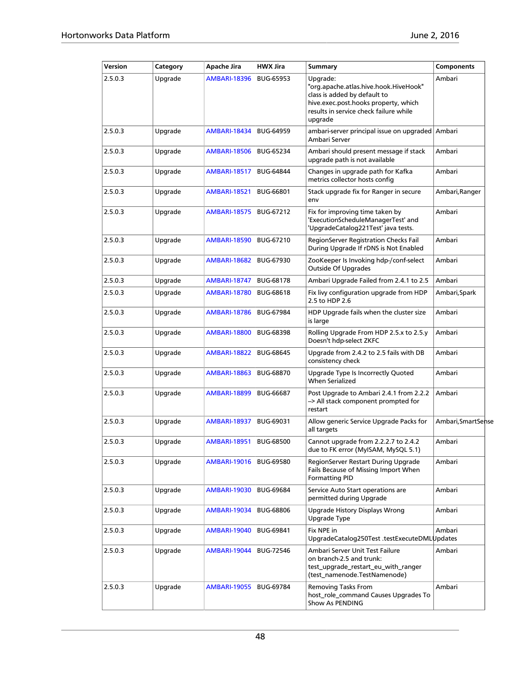| Version | Category | Apache Jira            | HWX Jira         | <b>Summary</b>                                                                                                                                                                 | <b>Components</b> |
|---------|----------|------------------------|------------------|--------------------------------------------------------------------------------------------------------------------------------------------------------------------------------|-------------------|
| 2.5.0.3 | Upgrade  | <b>AMBARI-18396</b>    | <b>BUG-65953</b> | Upgrade:<br>"org.apache.atlas.hive.hook.HiveHook"<br>class is added by default to<br>hive.exec.post.hooks property, which<br>results in service check failure while<br>upgrade | Ambari            |
| 2.5.0.3 | Upgrade  | <b>AMBARI-18434</b>    | <b>BUG-64959</b> | ambari-server principal issue on upgraded Ambari<br>Ambari Server                                                                                                              |                   |
| 2.5.0.3 | Upgrade  | <b>AMBARI-18506</b>    | <b>BUG-65234</b> | Ambari should present message if stack<br>upgrade path is not available                                                                                                        | Ambari            |
| 2.5.0.3 | Upgrade  | <b>AMBARI-18517</b>    | <b>BUG-64844</b> | Changes in upgrade path for Kafka<br>metrics collector hosts config                                                                                                            | Ambari            |
| 2.5.0.3 | Upgrade  | <b>AMBARI-18521</b>    | <b>BUG-66801</b> | Stack upgrade fix for Ranger in secure<br>env                                                                                                                                  | Ambari, Ranger    |
| 2.5.0.3 | Upgrade  | <b>AMBARI-18575</b>    | BUG-67212        | Fix for improving time taken by<br>'ExecutionScheduleManagerTest' and<br>'UpgradeCatalog221Test' java tests.                                                                   | Ambari            |
| 2.5.0.3 | Upgrade  | <b>AMBARI-18590</b>    | BUG-67210        | RegionServer Registration Checks Fail<br>During Upgrade If rDNS is Not Enabled                                                                                                 | Ambari            |
| 2.5.0.3 | Upgrade  | <b>AMBARI-18682</b>    | <b>BUG-67930</b> | ZooKeeper Is Invoking hdp-/conf-select<br><b>Outside Of Upgrades</b>                                                                                                           | Ambari            |
| 2.5.0.3 | Upgrade  | <b>AMBARI-18747</b>    | <b>BUG-68178</b> | Ambari Upgrade Failed from 2.4.1 to 2.5                                                                                                                                        | Ambari            |
| 2.5.0.3 | Upgrade  | <b>AMBARI-18780</b>    | <b>BUG-68618</b> | Fix livy configuration upgrade from HDP<br>2.5 to HDP 2.6                                                                                                                      | Ambari,Spark      |
| 2.5.0.3 | Upgrade  | <b>AMBARI-18786</b>    | <b>BUG-67984</b> | HDP Upgrade fails when the cluster size<br>is large                                                                                                                            | Ambari            |
| 2.5.0.3 | Upgrade  | <b>AMBARI-18800</b>    | <b>BUG-68398</b> | Rolling Upgrade From HDP 2.5.x to 2.5.y<br>Doesn't hdp-select ZKFC                                                                                                             | Ambari            |
| 2.5.0.3 | Upgrade  | <b>AMBARI-18822</b>    | <b>BUG-68645</b> | Upgrade from 2.4.2 to 2.5 fails with DB<br>consistency check                                                                                                                   | Ambari            |
| 2.5.0.3 | Upgrade  | <b>AMBARI-18863</b>    | <b>BUG-68870</b> | Upgrade Type Is Incorrectly Quoted<br><b>When Serialized</b>                                                                                                                   | Ambari            |
| 2.5.0.3 | Upgrade  | <b>AMBARI-18899</b>    | <b>BUG-66687</b> | Post Upgrade to Ambari 2.4.1 from 2.2.2<br>-> All stack component prompted for<br>restart                                                                                      | Ambari            |
| 2.5.0.3 | Upgrade  | <b>AMBARI-18937</b>    | BUG-69031        | Allow generic Service Upgrade Packs for<br>all targets                                                                                                                         | Ambari,SmartSense |
| 2.5.0.3 | Upgrade  | AMBARI-18951 BUG-68500 |                  | Cannot upgrade from 2.2.2.7 to 2.4.2<br>due to FK error (MyISAM, MySQL 5.1)                                                                                                    | Ambari            |
| 2.5.0.3 | Upgrade  | <b>AMBARI-19016</b>    | <b>BUG-69580</b> | RegionServer Restart During Upgrade<br>Fails Because of Missing Import When<br><b>Formatting PID</b>                                                                           | Ambari            |
| 2.5.0.3 | Upgrade  | <b>AMBARI-19030</b>    | <b>BUG-69684</b> | Service Auto Start operations are<br>permitted during Upgrade                                                                                                                  | Ambari            |
| 2.5.0.3 | Upgrade  | <b>AMBARI-19034</b>    | <b>BUG-68806</b> | Upgrade History Displays Wrong<br>Upgrade Type                                                                                                                                 | Ambari            |
| 2.5.0.3 | Upgrade  | <b>AMBARI-19040</b>    | BUG-69841        | Fix NPE in<br>UpgradeCatalog250Test .testExecuteDMLUpdates                                                                                                                     | Ambari            |
| 2.5.0.3 | Upgrade  | <b>AMBARI-19044</b>    | <b>BUG-72546</b> | Ambari Server Unit Test Failure<br>on branch-2.5 and trunk:<br>test_upgrade_restart_eu_with_ranger<br>(test_namenode.TestNamenode)                                             | Ambari            |
| 2.5.0.3 | Upgrade  | <b>AMBARI-19055</b>    | BUG-69784        | Removing Tasks From<br>host_role_command Causes Upgrades To<br>Show As PENDING                                                                                                 | Ambari            |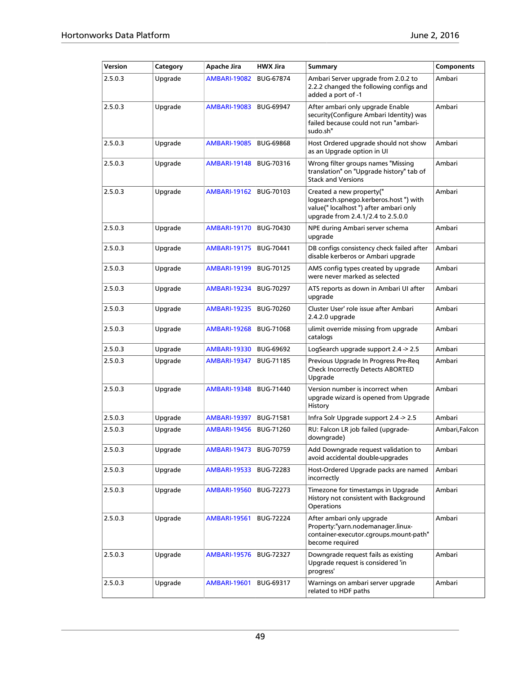| Version | Category | Apache Jira         | <b>HWX Jira</b>  | Summary                                                                                                                                          | <b>Components</b> |
|---------|----------|---------------------|------------------|--------------------------------------------------------------------------------------------------------------------------------------------------|-------------------|
| 2.5.0.3 | Upgrade  | <b>AMBARI-19082</b> | <b>BUG-67874</b> | Ambari Server upgrade from 2.0.2 to<br>2.2.2 changed the following configs and<br>added a port of -1                                             | Ambari            |
| 2.5.0.3 | Upgrade  | AMBARI-19083        | <b>BUG-69947</b> | After ambari only upgrade Enable<br>security(Configure Ambari Identity) was<br>failed because could not run "ambari-<br>sudo.sh"                 | Ambari            |
| 2.5.0.3 | Upgrade  | <b>AMBARI-19085</b> | <b>BUG-69868</b> | Host Ordered upgrade should not show<br>as an Upgrade option in UI                                                                               | Ambari            |
| 2.5.0.3 | Upgrade  | <b>AMBARI-19148</b> | <b>BUG-70316</b> | Wrong filter groups names "Missing<br>translation" on "Upgrade history" tab of<br><b>Stack and Versions</b>                                      | Ambari            |
| 2.5.0.3 | Upgrade  | AMBARI-19162        | <b>BUG-70103</b> | Created a new property("<br>logsearch.spnego.kerberos.host") with<br>value(" localhost ") after ambari only<br>upgrade from 2.4.1/2.4 to 2.5.0.0 | Ambari            |
| 2.5.0.3 | Upgrade  | AMBARI-19170        | <b>BUG-70430</b> | NPE during Ambari server schema<br>upgrade                                                                                                       | Ambari            |
| 2.5.0.3 | Upgrade  | AMBARI-19175        | BUG-70441        | DB configs consistency check failed after<br>disable kerberos or Ambari upgrade                                                                  | Ambari            |
| 2.5.0.3 | Upgrade  | AMBARI-19199        | <b>BUG-70125</b> | AMS config types created by upgrade<br>were never marked as selected                                                                             | Ambari            |
| 2.5.0.3 | Upgrade  | AMBARI-19234        | <b>BUG-70297</b> | ATS reports as down in Ambari UI after<br>upgrade                                                                                                | Ambari            |
| 2.5.0.3 | Upgrade  | AMBARI-19235        | <b>BUG-70260</b> | Cluster User' role issue after Ambari<br>2.4.2.0 upgrade                                                                                         | Ambari            |
| 2.5.0.3 | Upgrade  | <b>AMBARI-19268</b> | <b>BUG-71068</b> | ulimit override missing from upgrade<br>catalogs                                                                                                 | Ambari            |
| 2.5.0.3 | Upgrade  | <b>AMBARI-19330</b> | <b>BUG-69692</b> | LogSearch upgrade support 2.4 -> 2.5                                                                                                             | Ambari            |
| 2.5.0.3 | Upgrade  | AMBARI-19347        | <b>BUG-71185</b> | Previous Upgrade In Progress Pre-Reg<br>Check Incorrectly Detects ABORTED<br>Upgrade                                                             | Ambari            |
| 2.5.0.3 | Upgrade  | <b>AMBARI-19348</b> | <b>BUG-71440</b> | Version number is incorrect when<br>upgrade wizard is opened from Upgrade<br>History                                                             | Ambari            |
| 2.5.0.3 | Upgrade  | <b>AMBARI-19397</b> | <b>BUG-71581</b> | Infra Solr Upgrade support 2.4 -> 2.5                                                                                                            | Ambari            |
| 2.5.0.3 | Upgrade  | <b>AMBARI-19456</b> | BUG-71260        | RU: Falcon LR job failed (upgrade-<br>downgrade)                                                                                                 | Ambari, Falcon    |
| 2.5.0.3 | Upgrade  | AMBARI-19473        | <b>BUG-70759</b> | Add Downgrade request validation to<br>avoid accidental double-upgrades                                                                          | Ambari            |
| 2.5.0.3 | Upgrade  | AMBARI-19533        | <b>BUG-72283</b> | Host-Ordered Upgrade packs are named<br>incorrectly                                                                                              | Ambari            |
| 2.5.0.3 | Upgrade  | <b>AMBARI-19560</b> | <b>BUG-72273</b> | Timezone for timestamps in Upgrade<br>History not consistent with Background<br>Operations                                                       | Ambari            |
| 2.5.0.3 | Upgrade  | <b>AMBARI-19561</b> | <b>BUG-72224</b> | After ambari only upgrade<br>Property:"yarn.nodemanager.linux-<br>container-executor.cgroups.mount-path"<br>become required                      | Ambari            |
| 2.5.0.3 | Upgrade  | AMBARI-19576        | BUG-72327        | Downgrade request fails as existing<br>Upgrade request is considered 'in<br>progress'                                                            | Ambari            |
| 2.5.0.3 | Upgrade  | <b>AMBARI-19601</b> | BUG-69317        | Warnings on ambari server upgrade<br>related to HDF paths                                                                                        | Ambari            |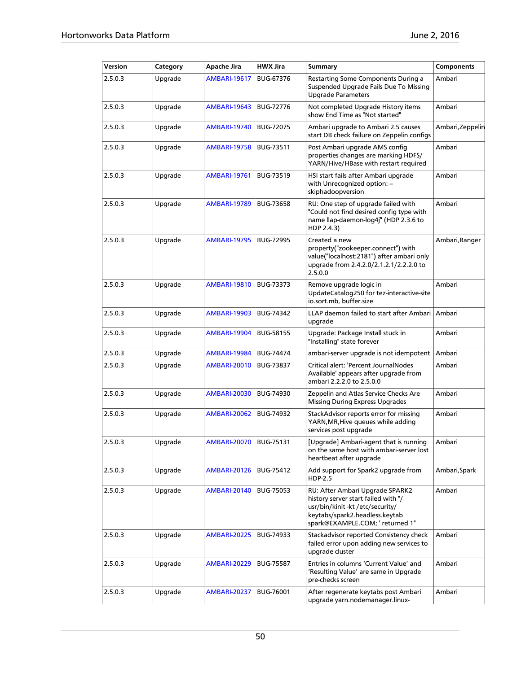| Version | Category | Apache Jira              | <b>HWX Jira</b>  | <b>Summary</b>                                                                                                                                                                 | <b>Components</b> |
|---------|----------|--------------------------|------------------|--------------------------------------------------------------------------------------------------------------------------------------------------------------------------------|-------------------|
| 2.5.0.3 | Upgrade  | <b>AMBARI-19617</b>      | <b>BUG-67376</b> | Restarting Some Components During a<br>Suspended Upgrade Fails Due To Missing<br><b>Upgrade Parameters</b>                                                                     | Ambari            |
| 2.5.0.3 | Upgrade  | <b>AMBARI-19643</b>      | <b>BUG-72776</b> | Not completed Upgrade History items<br>show End Time as "Not started"                                                                                                          | Ambari            |
| 2.5.0.3 | Upgrade  | <b>AMBARI-19740</b>      | <b>BUG-72075</b> | Ambari upgrade to Ambari 2.5 causes<br>start DB check failure on Zeppelin configs                                                                                              | Ambari, Zeppelin  |
| 2.5.0.3 | Upgrade  | <b>AMBARI-19758</b>      | BUG-73511        | Post Ambari upgrade AMS config<br>properties changes are marking HDFS/<br>YARN/Hive/HBase with restart required                                                                | Ambari            |
| 2.5.0.3 | Upgrade  | <b>AMBARI-19761</b>      | <b>BUG-73519</b> | HSI start fails after Ambari upgrade<br>with Unrecognized option: -<br>skiphadoopversion                                                                                       | Ambari            |
| 2.5.0.3 | Upgrade  | <b>AMBARI-19789</b>      | <b>BUG-73658</b> | RU: One step of upgrade failed with<br>"Could not find desired config type with<br>name llap-daemon-log4j" (HDP 2.3.6 to<br>HDP 2.4.3)                                         | Ambari            |
| 2.5.0.3 | Upgrade  | <b>AMBARI-19795</b>      | <b>BUG-72995</b> | Created a new<br>property("zookeeper.connect") with<br>value("localhost:2181") after ambari only<br>upgrade from 2.4.2.0/2.1.2.1/2.2.2.0 to<br>2.5.0.0                         | Ambari, Ranger    |
| 2.5.0.3 | Upgrade  | <b>AMBARI-19810</b>      | <b>BUG-73373</b> | Remove upgrade logic in<br>UpdateCatalog250 for tez-interactive-site<br>io.sort.mb, buffer.size                                                                                | Ambari            |
| 2.5.0.3 | Upgrade  | <b>AMBARI-19903</b>      | <b>BUG-74342</b> | LLAP daemon failed to start after Ambari<br>upgrade                                                                                                                            | Ambari            |
| 2.5.0.3 | Upgrade  | <b>AMBARI-19904</b>      | <b>BUG-58155</b> | Upgrade: Package Install stuck in<br>"Installing" state forever                                                                                                                | Ambari            |
| 2.5.0.3 | Upgrade  | <b>AMBARI-19984</b>      | <b>BUG-74474</b> | ambari-server upgrade is not idempotent                                                                                                                                        | Ambari            |
| 2.5.0.3 | Upgrade  | <b>AMBARI-20010</b>      | <b>BUG-73837</b> | Critical alert: 'Percent JournalNodes<br>Available' appears after upgrade from<br>ambari 2.2.2.0 to 2.5.0.0                                                                    | Ambari            |
| 2.5.0.3 | Upgrade  | <b>AMBARI-20030</b>      | BUG-74930        | Zeppelin and Atlas Service Checks Are<br><b>Missing During Express Upgrades</b>                                                                                                | Ambari            |
| 2.5.0.3 | Upgrade  | <b>AMBARI-20062</b>      | <b>BUG-74932</b> | StackAdvisor reports error for missing<br>YARN, MR, Hive queues while adding<br>services post upgrade                                                                          | Ambari            |
| 2.5.0.3 | Upgrade  | AMBARI-20070   BUG-75131 |                  | [Upgrade] Ambari-agent that is running<br>on the same host with ambari-server lost<br>heartbeat after upgrade                                                                  | Ambari            |
| 2.5.0.3 | Upgrade  | <b>AMBARI-20126</b>      | BUG-75412        | Add support for Spark2 upgrade from<br><b>HDP-2.5</b>                                                                                                                          | Ambari, Spark     |
| 2.5.0.3 | Upgrade  | <b>AMBARI-20140</b>      | <b>BUG-75053</b> | RU: After Ambari Upgrade SPARK2<br>history server start failed with "/<br>usr/bin/kinit-kt/etc/security/<br>keytabs/spark2.headless.keytab<br>spark@EXAMPLE.COM; ' returned 1" | Ambari            |
| 2.5.0.3 | Upgrade  | <b>AMBARI-20225</b>      | <b>BUG-74933</b> | Stackadvisor reported Consistency check<br>failed error upon adding new services to<br>upgrade cluster                                                                         | Ambari            |
| 2.5.0.3 | Upgrade  | <b>AMBARI-20229</b>      | <b>BUG-75587</b> | Entries in columns 'Current Value' and<br>'Resulting Value' are same in Upgrade<br>pre-checks screen                                                                           | Ambari            |
| 2.5.0.3 | Upgrade  | <b>AMBARI-20237</b>      | <b>BUG-76001</b> | After regenerate keytabs post Ambari<br>upgrade yarn.nodemanager.linux-                                                                                                        | Ambari            |